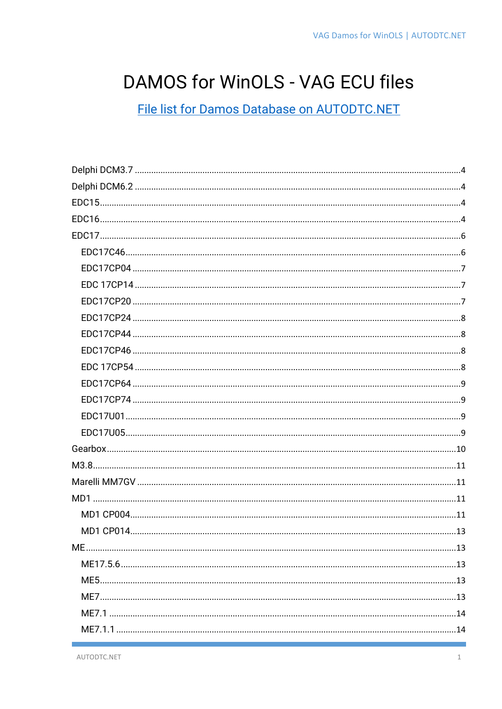# DAMOS for WinOLS - VAG ECU files

File list for Damos Database on AUTODTC.NET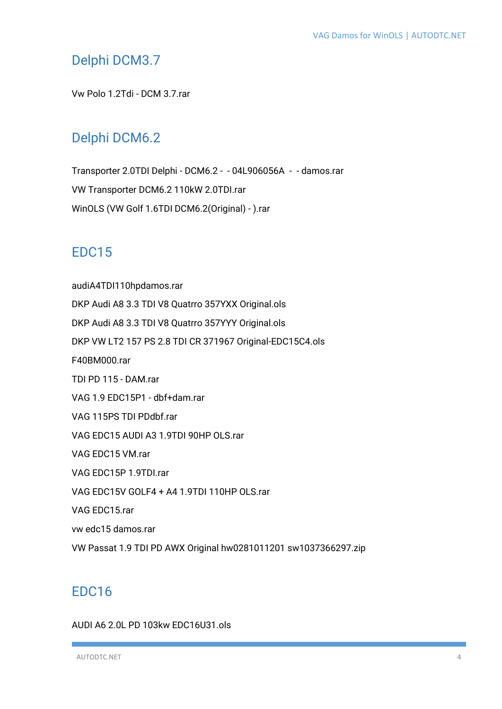# <span id="page-3-0"></span>Delphi DCM3.7

Vw Polo 1.2Tdi - DCM 3.7.rar

# <span id="page-3-1"></span>Delphi DCM6.2

Transporter 2.0TDI Delphi - DCM6.2 - - 04L906056A - - damos.rar VW Transporter DCM6.2 110kW 2.0TDI.rar WinOLS (VW Golf 1.6TDI DCM6.2(Original) - ).rar

# <span id="page-3-2"></span>EDC15

audiA4TDI110hpdamos.rar DKP Audi A8 3.3 TDI V8 Quatrro 357YXX Original.ols DKP Audi A8 3.3 TDI V8 Quatrro 357YYY Original.ols DKP VW LT2 157 PS 2.8 TDI CR 371967 Original-EDC15C4.ols F40BM000.rar TDI PD 115 - DAM.rar VAG 1.9 EDC15P1 - dbf+dam.rar VAG 115PS TDI PDdbf.rar VAG EDC15 AUDI A3 1.9TDI 90HP OLS.rar VAG EDC15 VM.rar VAG EDC15P 1.9TDI.rar VAG EDC15V GOLF4 + A4 1.9TDI 110HP OLS.rar VAG EDC15.rar vw edc15 damos.rar VW Passat 1.9 TDI PD AWX Original hw0281011201 sw1037366297.zip

# <span id="page-3-3"></span>EDC16

#### AUDI A6 2.0L PD 103kw EDC16U31.ols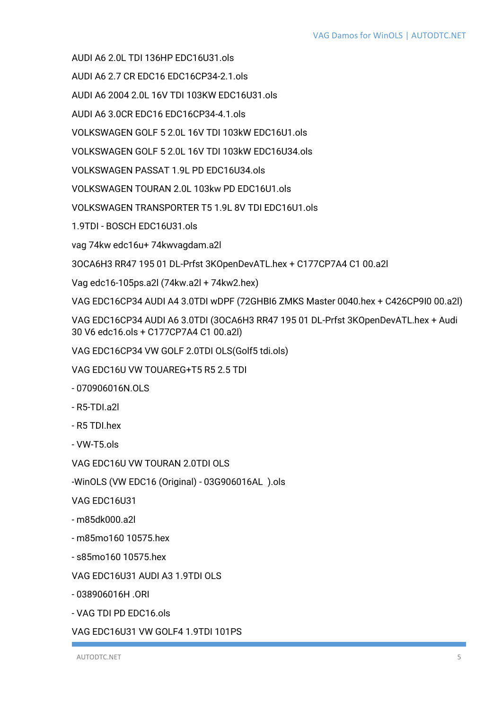AUDI A6 2.0L TDI 136HP EDC16U31.ols

AUDI A6 2.7 CR EDC16 EDC16CP34-2.1.ols

AUDI A6 2004 2.0L 16V TDI 103KW EDC16U31.ols

AUDI A6 3.0CR EDC16 EDC16CP34-4.1.ols

VOLKSWAGEN GOLF 5 2.0L 16V TDI 103kW EDC16U1.ols

VOLKSWAGEN GOLF 5 2.0L 16V TDI 103kW EDC16U34.ols

VOLKSWAGEN PASSAT 1.9L PD EDC16U34.ols

VOLKSWAGEN TOURAN 2.0L 103kw PD EDC16U1.ols

VOLKSWAGEN TRANSPORTER T5 1.9L 8V TDI EDC16U1.ols

1.9TDI - BOSCH EDC16U31.ols

vag 74kw edc16u+ 74kwvagdam.a2l

3OCA6H3 RR47 195 01 DL-Prfst 3KOpenDevATL.hex + C177CP7A4 C1 00.a2l

Vag edc16-105ps.a2l (74kw.a2l + 74kw2.hex)

VAG EDC16CP34 AUDI A4 3.0TDI wDPF (72GHBI6 ZMKS Master 0040.hex + C426CP9I0 00.a2l)

VAG EDC16CP34 AUDI A6 3.0TDI (3OCA6H3 RR47 195 01 DL-Prfst 3KOpenDevATL.hex + Audi 30 V6 edc16.ols + C177CP7A4 C1 00.a2l)

VAG EDC16CP34 VW GOLF 2.0TDI OLS(Golf5 tdi.ols)

VAG EDC16U VW TOUAREG+T5 R5 2.5 TDI

- 070906016N.OLS

- R5-TDI.a2l
- R5 TDI.hex

- VW-T5.ols

VAG EDC16U VW TOURAN 2.0TDI OLS

-WinOLS (VW EDC16 (Original) - 03G906016AL ).ols

VAG EDC16U31

- m85dk000.a2l
- m85mo160 10575.hex
- s85mo160 10575.hex

VAG EDC16U31 AUDI A3 1.9TDI OLS

- 038906016H .ORI

- VAG TDI PD EDC16.ols

VAG EDC16U31 VW GOLF4 1.9TDI 101PS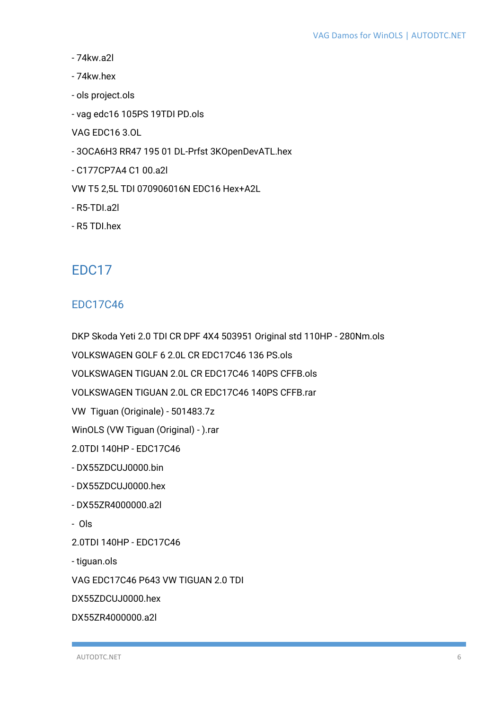- 74kw.a2l
- 74kw.hex
- ols project.ols
- vag edc16 105PS 19TDI PD.ols
- VAG EDC16 3.OL
- 3OCA6H3 RR47 195 01 DL-Prfst 3KOpenDevATL.hex
- C177CP7A4 C1 00.a2l
- VW T5 2,5L TDI 070906016N EDC16 Hex+A2L
- R5-TDI.a2l
- R5 TDI.hex

# <span id="page-5-0"></span>EDC17

### <span id="page-5-1"></span>EDC17C46

DKP Skoda Yeti 2.0 TDI CR DPF 4X4 503951 Original std 110HP - 280Nm.ols

VOLKSWAGEN GOLF 6 2.0L CR EDC17C46 136 PS.ols

VOLKSWAGEN TIGUAN 2.0L CR EDC17C46 140PS CFFB.ols

VOLKSWAGEN TIGUAN 2.0L CR EDC17C46 140PS CFFB.rar

VW Tiguan (Originale) - 501483.7z

WinOLS (VW Tiguan (Original) - ).rar

2.0TDI 140HP - EDC17C46

- DX55ZDCUJ0000.bin
- DX55ZDCUJ0000.hex
- DX55ZR4000000.a2l
- Ols
- 2.0TDI 140HP EDC17C46
- tiguan.ols

VAG EDC17C46 P643 VW TIGUAN 2.0 TDI

DX55ZDCUJ0000.hex

DX55ZR4000000.a2l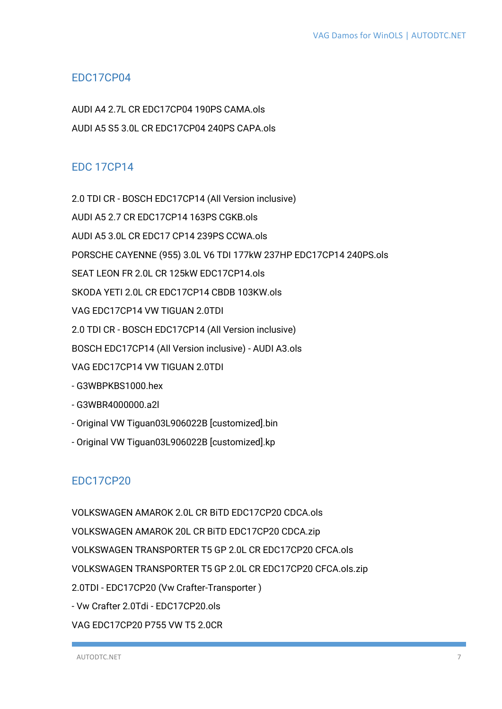#### <span id="page-6-0"></span>EDC17CP04

AUDI A4 2.7L CR EDC17CP04 190PS CAMA.ols AUDI A5 S5 3.0L CR EDC17CP04 240PS CAPA.ols

### <span id="page-6-1"></span>EDC 17CP14

2.0 TDI CR - BOSCH EDC17CP14 (All Version inclusive) AUDI A5 2.7 CR EDC17CP14 163PS CGKB.ols AUDI A5 3.0L CR EDC17 CP14 239PS CCWA.ols PORSCHE CAYENNE (955) 3.0L V6 TDI 177kW 237HP EDC17CP14 240PS.ols SEAT LEON FR 2.0L CR 125kW EDC17CP14.ols SKODA YETI 2.0L CR EDC17CP14 CBDB 103KW.ols VAG EDC17CP14 VW TIGUAN 2.0TDI 2.0 TDI CR - BOSCH EDC17CP14 (All Version inclusive) BOSCH EDC17CP14 (All Version inclusive) - AUDI A3.ols VAG EDC17CP14 VW TIGUAN 2.0TDI - G3WBPKBS1000.hex - G3WBR4000000.a2l - Original VW Tiguan03L906022B [customized].bin

- Original VW Tiguan03L906022B [customized].kp

### <span id="page-6-2"></span>EDC17CP20

VOLKSWAGEN AMAROK 2.0L CR BiTD EDC17CP20 CDCA.ols VOLKSWAGEN AMAROK 20L CR BiTD EDC17CP20 CDCA.zip VOLKSWAGEN TRANSPORTER T5 GP 2.0L CR EDC17CP20 CFCA.ols VOLKSWAGEN TRANSPORTER T5 GP 2.0L CR EDC17CP20 CFCA.ols.zip 2.0TDI - EDC17CP20 (Vw Crafter-Transporter ) - Vw Crafter 2.0Tdi - EDC17CP20.ols VAG EDC17CP20 P755 VW T5 2.0CR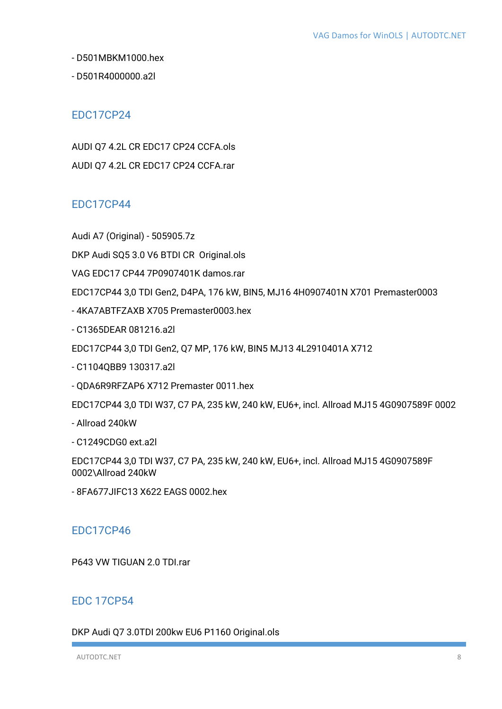- D501MBKM1000.hex

- D501R4000000.a2l

#### <span id="page-7-0"></span>EDC17CP24

AUDI Q7 4.2L CR EDC17 CP24 CCFA.ols AUDI Q7 4.2L CR EDC17 CP24 CCFA.rar

### <span id="page-7-1"></span>EDC17CP44

Audi A7 (Original) - 505905.7z

DKP Audi SQ5 3.0 V6 BTDI CR Original.ols

VAG EDC17 CP44 7P0907401K damos.rar

EDC17CP44 3,0 TDI Gen2, D4PA, 176 kW, BIN5, MJ16 4H0907401N X701 Premaster0003

- 4KA7ABTFZAXB X705 Premaster0003.hex

- C1365DEAR 081216.a2l

EDC17CP44 3,0 TDI Gen2, Q7 MP, 176 kW, BIN5 MJ13 4L2910401A X712

- C1104QBB9 130317.a2l

- QDA6R9RFZAP6 X712 Premaster 0011.hex

EDC17CP44 3,0 TDI W37, C7 PA, 235 kW, 240 kW, EU6+, incl. Allroad MJ15 4G0907589F 0002

- Allroad 240kW

- C1249CDG0 ext.a2l

EDC17CP44 3,0 TDI W37, C7 PA, 235 kW, 240 kW, EU6+, incl. Allroad MJ15 4G0907589F 0002\Allroad 240kW

- 8FA677JIFC13 X622 EAGS 0002.hex

#### <span id="page-7-2"></span>EDC17CP46

P643 VW TIGUAN 2.0 TDI.rar

#### <span id="page-7-3"></span>EDC 17CP54

DKP Audi Q7 3.0TDI 200kw EU6 P1160 Original.ols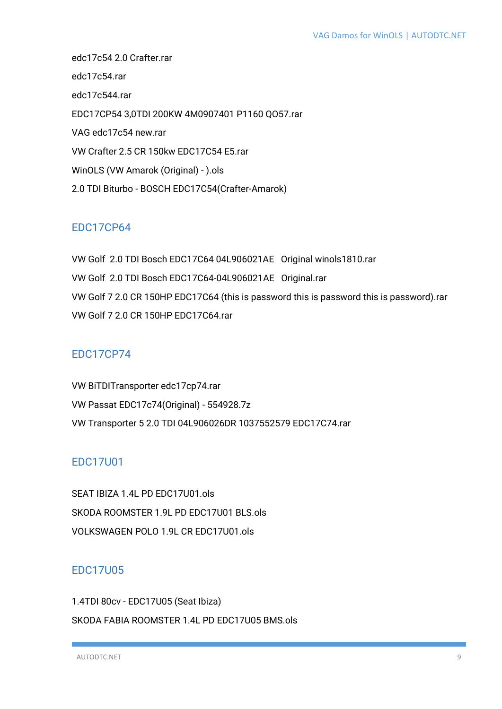edc17c54 2.0 Crafter.rar edc17c54.rar edc17c544.rar EDC17CP54 3,0TDI 200KW 4M0907401 P1160 QO57.rar VAG edc17c54 new.rar VW Crafter 2.5 CR 150kw EDC17C54 E5.rar WinOLS (VW Amarok (Original) - ).ols 2.0 TDI Biturbo - BOSCH EDC17C54(Crafter-Amarok)

### <span id="page-8-0"></span>EDC17CP64

VW Golf 2.0 TDI Bosch EDC17C64 04L906021AE Original winols1810.rar VW Golf 2.0 TDI Bosch EDC17C64-04L906021AE Original.rar VW Golf 7 2.0 CR 150HP EDC17C64 (this is password this is password this is password).rar VW Golf 7 2.0 CR 150HP EDC17C64.rar

### <span id="page-8-1"></span>EDC17CP74

VW BiTDITransporter edc17cp74.rar VW Passat EDC17c74(Original) - 554928.7z VW Transporter 5 2.0 TDI 04L906026DR 1037552579 EDC17C74.rar

# <span id="page-8-2"></span>EDC17U01

SEAT IBIZA 1.4L PD EDC17U01.ols SKODA ROOMSTER 1.9L PD EDC17U01 BLS.ols VOLKSWAGEN POLO 1.9L CR EDC17U01.ols

# <span id="page-8-3"></span>EDC17U05

1.4TDI 80cv - EDC17U05 (Seat Ibiza) SKODA FABIA ROOMSTER 1.4L PD EDC17U05 BMS.ols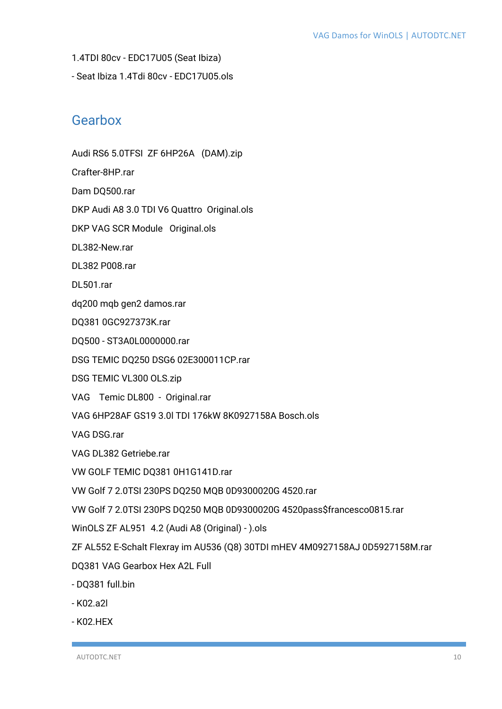- 1.4TDI 80cv EDC17U05 (Seat Ibiza)
- Seat Ibiza 1.4Tdi 80cv EDC17U05.ols

# <span id="page-9-0"></span>Gearbox

Audi RS6 5.0TFSI ZF 6HP26A (DAM).zip

- Crafter-8HP.rar
- Dam DQ500.rar

DKP Audi A8 3.0 TDI V6 Quattro Original.ols

- DKP VAG SCR Module Original.ols
- DL382-New.rar
- DL382 P008.rar
- DL501.rar
- dq200 mqb gen2 damos.rar
- DQ381 0GC927373K.rar
- DQ500 ST3A0L0000000.rar
- DSG TEMIC DQ250 DSG6 02E300011CP.rar
- DSG TEMIC VL300 OLS.zip
- VAG Temic DL800 Original.rar
- VAG 6HP28AF GS19 3.0l TDI 176kW 8K0927158A Bosch.ols
- VAG DSG.rar
- VAG DL382 Getriebe.rar
- VW GOLF TEMIC DQ381 0H1G141D.rar
- VW Golf 7 2.0TSI 230PS DQ250 MQB 0D9300020G 4520.rar
- VW Golf 7 2.0TSI 230PS DQ250 MQB 0D9300020G 4520pass\$francesco0815.rar
- WinOLS ZF AL951 4.2 (Audi A8 (Original) ).ols
- ZF AL552 E-Schalt Flexray im AU536 (Q8) 30TDI mHEV 4M0927158AJ 0D5927158M.rar
- DQ381 VAG Gearbox Hex A2L Full
- DQ381 full.bin
- K02.a2l
- K02.HEX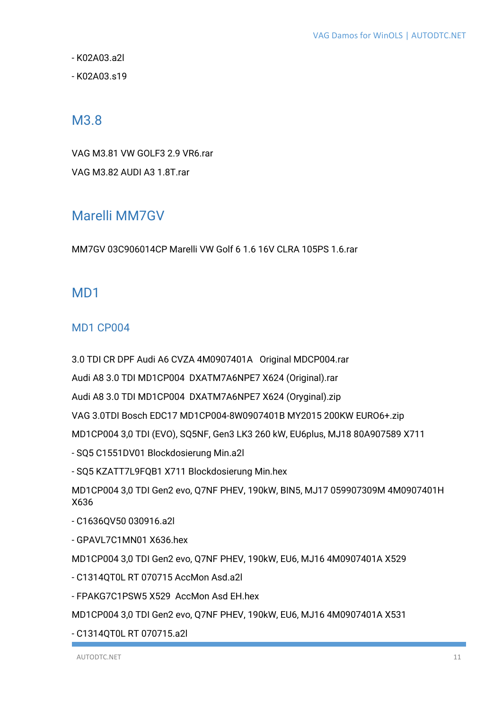- K02A03.a2l

- K02A03.s19

# <span id="page-10-0"></span>M3.8

VAG M3.81 VW GOLF3 2.9 VR6.rar VAG M3.82 AUDI A3 1.8T.rar

# <span id="page-10-1"></span>Marelli MM7GV

MM7GV 03C906014CP Marelli VW Golf 6 1.6 16V CLRA 105PS 1.6.rar

# <span id="page-10-2"></span>M<sub>D</sub>1

### <span id="page-10-3"></span>MD1 CP004

3.0 TDI CR DPF Audi A6 CVZA 4M0907401A Original MDCP004.rar

Audi A8 3.0 TDI MD1CP004 DXATM7A6NPE7 X624 (Original).rar

Audi A8 3.0 TDI MD1CP004 DXATM7A6NPE7 X624 (Oryginal).zip

VAG 3.0TDI Bosch EDC17 MD1CP004-8W0907401B MY2015 200KW EURO6+.zip

MD1CP004 3,0 TDI (EVO), SQ5NF, Gen3 LK3 260 kW, EU6plus, MJ18 80A907589 X711

- SQ5 C1551DV01 Blockdosierung Min.a2l

- SQ5 KZATT7L9FQB1 X711 Blockdosierung Min.hex

MD1CP004 3,0 TDI Gen2 evo, Q7NF PHEV, 190kW, BIN5, MJ17 059907309M 4M0907401H X636

- C1636QV50 030916.a2l
- GPAVL7C1MN01 X636.hex

MD1CP004 3,0 TDI Gen2 evo, Q7NF PHEV, 190kW, EU6, MJ16 4M0907401A X529

- C1314QT0L RT 070715 AccMon Asd.a2l

- FPAKG7C1PSW5 X529 AccMon Asd EH.hex

MD1CP004 3,0 TDI Gen2 evo, Q7NF PHEV, 190kW, EU6, MJ16 4M0907401A X531

- C1314QT0L RT 070715.a2l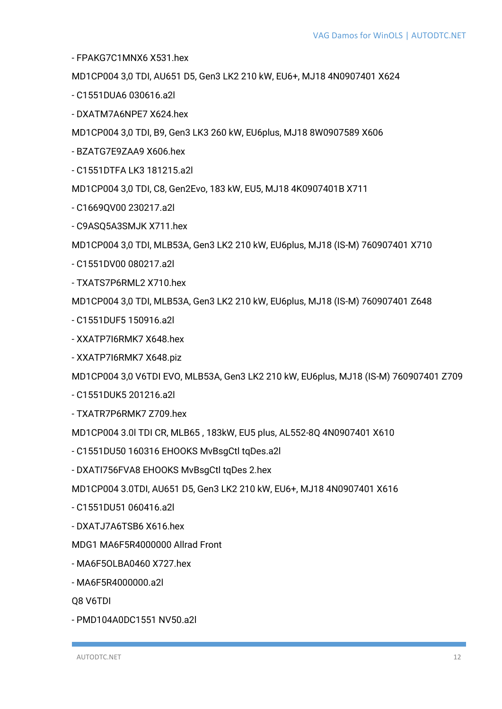- FPAKG7C1MNX6 X531.hex

MD1CP004 3,0 TDI, AU651 D5, Gen3 LK2 210 kW, EU6+, MJ18 4N0907401 X624

- C1551DUA6 030616.a2l
- DXATM7A6NPE7 X624.hex

MD1CP004 3,0 TDI, B9, Gen3 LK3 260 kW, EU6plus, MJ18 8W0907589 X606

- BZATG7E9ZAA9 X606.hex

- C1551DTFA LK3 181215.a2l

MD1CP004 3,0 TDI, C8, Gen2Evo, 183 kW, EU5, MJ18 4K0907401B X711

- C1669QV00 230217.a2l
- C9ASQ5A3SMJK X711.hex

MD1CP004 3,0 TDI, MLB53A, Gen3 LK2 210 kW, EU6plus, MJ18 (IS-M) 760907401 X710

- C1551DV00 080217.a2l
- TXATS7P6RML2 X710.hex

MD1CP004 3,0 TDI, MLB53A, Gen3 LK2 210 kW, EU6plus, MJ18 (IS-M) 760907401 Z648

- C1551DUF5 150916.a2l
- XXATP7I6RMK7 X648.hex
- XXATP7I6RMK7 X648.piz

MD1CP004 3,0 V6TDI EVO, MLB53A, Gen3 LK2 210 kW, EU6plus, MJ18 (IS-M) 760907401 Z709

- C1551DUK5 201216.a2l
- TXATR7P6RMK7 Z709.hex

MD1CP004 3.0l TDI CR, MLB65 , 183kW, EU5 plus, AL552-8Q 4N0907401 X610

- C1551DU50 160316 EHOOKS MvBsgCtl tqDes.a2l
- DXATI756FVA8 EHOOKS MvBsgCtl tqDes 2.hex

MD1CP004 3.0TDI, AU651 D5, Gen3 LK2 210 kW, EU6+, MJ18 4N0907401 X616

- C1551DU51 060416.a2l
- DXATJ7A6TSB6 X616.hex

MDG1 MA6F5R4000000 Allrad Front

- MA6F5OLBA0460 X727.hex
- MA6F5R4000000.a2l

Q8 V6TDI

- PMD104A0DC1551 NV50.a2l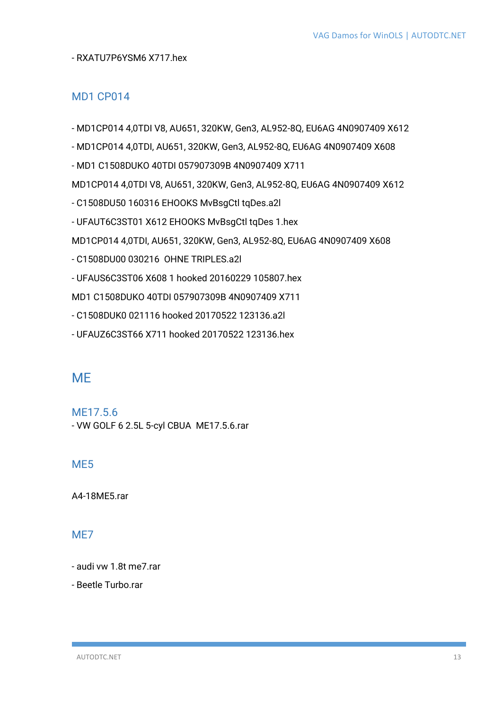#### - RXATU7P6YSM6 X717.hex

#### <span id="page-12-0"></span>MD1 CP014

- MD1CP014 4,0TDI V8, AU651, 320KW, Gen3, AL952-8Q, EU6AG 4N0907409 X612

- MD1CP014 4,0TDI, AU651, 320KW, Gen3, AL952-8Q, EU6AG 4N0907409 X608

- MD1 C1508DUKO 40TDI 057907309B 4N0907409 X711

MD1CP014 4,0TDI V8, AU651, 320KW, Gen3, AL952-8Q, EU6AG 4N0907409 X612

- C1508DU50 160316 EHOOKS MvBsgCtl tqDes.a2l
- UFAUT6C3ST01 X612 EHOOKS MvBsgCtl tqDes 1.hex

MD1CP014 4,0TDI, AU651, 320KW, Gen3, AL952-8Q, EU6AG 4N0907409 X608

- C1508DU00 030216 OHNE TRIPLES.a2l

- UFAUS6C3ST06 X608 1 hooked 20160229 105807.hex

MD1 C1508DUKO 40TDI 057907309B 4N0907409 X711

- C1508DUK0 021116 hooked 20170522 123136.a2l

- UFAUZ6C3ST66 X711 hooked 20170522 123136.hex

# <span id="page-12-1"></span>**MF**

<span id="page-12-2"></span>ME17.5.6 - VW GOLF 6 2.5L 5-cyl CBUA ME17.5.6.rar

#### <span id="page-12-3"></span>M<sub>F5</sub>

A4-18ME5.rar

#### <span id="page-12-4"></span>M<sub>E</sub>

- audi vw 1.8t me7.rar

- Beetle Turbo.rar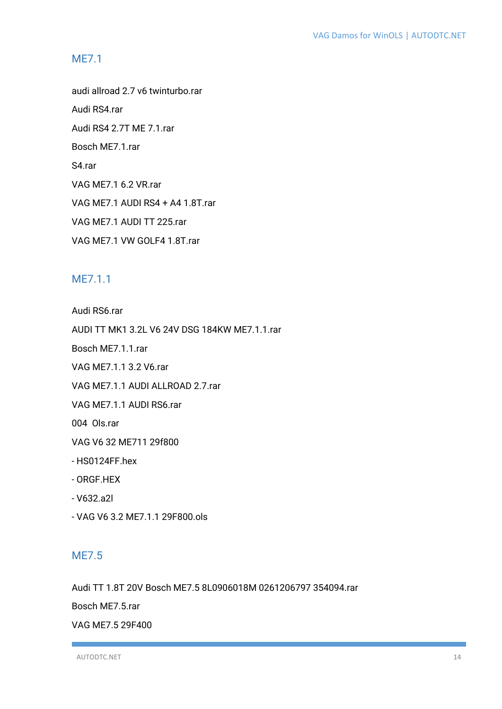#### <span id="page-13-0"></span>ME7.1

audi allroad 2.7 v6 twinturbo.rar

Audi RS4.rar

Audi RS4 2.7T ME 7.1.rar

Bosch ME7.1.rar

S4.rar

VAG ME7.1 6.2 VR.rar

VAG ME7.1 AUDI RS4 + A4 1.8T.rar

VAG ME7.1 AUDI TT 225.rar

VAG ME7.1 VW GOLF4 1.8T.rar

#### <span id="page-13-1"></span>ME7.1.1

Audi RS6.rar

AUDI TT MK1 3.2L V6 24V DSG 184KW ME7.1.1.rar

Bosch ME7.1.1.rar

VAG ME7.1.1 3.2 V6.rar

VAG ME7.1.1 AUDI ALLROAD 2.7.rar

VAG ME7.1.1 AUDI RS6.rar

004 Ols.rar

VAG V6 32 ME711 29f800

- HS0124FF.hex

- ORGF.HEX

- V632.a2l

- VAG V6 3.2 ME7.1.1 29F800.ols

#### <span id="page-13-2"></span>ME7.5

Audi TT 1.8T 20V Bosch ME7.5 8L0906018M 0261206797 354094.rar

Bosch ME7.5.rar

VAG ME7.5 29F400

AUTODTC.NET 14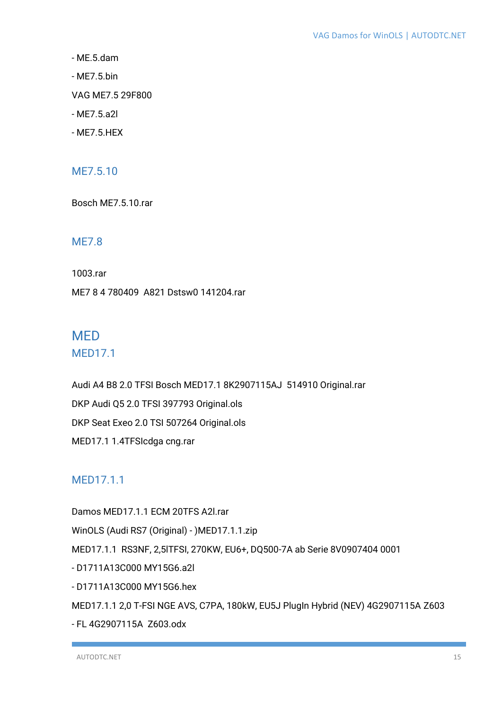- ME.5.dam

- ME7.5.bin

VAG ME7.5 29F800

- ME7.5.a2l
- ME7.5.HEX

#### <span id="page-14-0"></span>ME7.5.10

Bosch ME7.5.10.rar

#### <span id="page-14-1"></span>ME7.8

1003.rar

ME7 8 4 780409 A821 Dstsw0 141204.rar

# <span id="page-14-2"></span>**MFD** MED17.1

<span id="page-14-3"></span>

Audi A4 B8 2.0 TFSI Bosch MED17.1 8K2907115AJ 514910 Original.rar DKP Audi Q5 2.0 TFSI 397793 Original.ols DKP Seat Exeo 2.0 TSI 507264 Original.ols MED17.1 1.4TFSIcdga cng.rar

### <span id="page-14-4"></span>MFD1711

Damos MED17.1.1 ECM 20TFS A2l.rar WinOLS (Audi RS7 (Original) - )MED17.1.1.zip MED17.1.1 RS3NF, 2,5lTFSI, 270KW, EU6+, DQ500-7A ab Serie 8V0907404 0001 - D1711A13C000 MY15G6.a2l - D1711A13C000 MY15G6.hex MED17.1.1 2,0 T-FSI NGE AVS, C7PA, 180kW, EU5J PlugIn Hybrid (NEV) 4G2907115A Z603

- FL 4G2907115A Z603.odx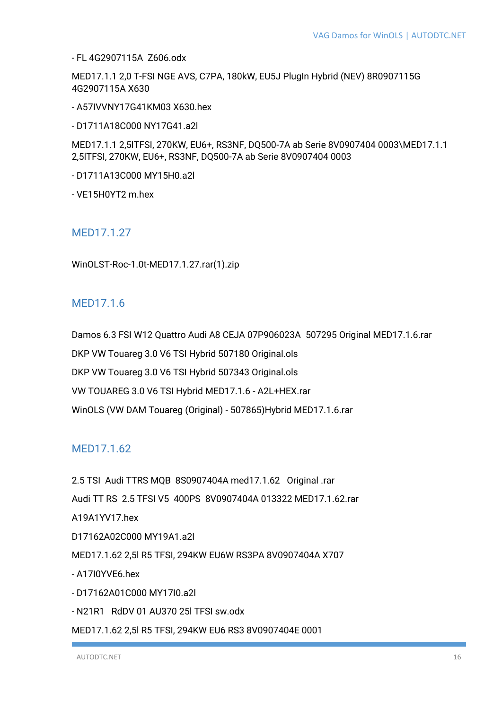- FL 4G2907115A Z606.odx

MED17.1.1 2,0 T-FSI NGE AVS, C7PA, 180kW, EU5J PlugIn Hybrid (NEV) 8R0907115G 4G2907115A X630

- A57IVVNY17G41KM03 X630.hex

- D1711A18C000 NY17G41.a2l

MED17.1.1 2,5lTFSI, 270KW, EU6+, RS3NF, DQ500-7A ab Serie 8V0907404 0003\MED17.1.1 2,5lTFSI, 270KW, EU6+, RS3NF, DQ500-7A ab Serie 8V0907404 0003

- D1711A13C000 MY15H0.a2l

- VE15H0YT2 m.hex

#### <span id="page-15-0"></span>MED17.1.27

WinOLST-Roc-1.0t-MED17.1.27.rar(1).zip

#### <span id="page-15-1"></span>MFD1716

Damos 6.3 FSI W12 Quattro Audi A8 CEJA 07P906023A 507295 Original MED17.1.6.rar DKP VW Touareg 3.0 V6 TSI Hybrid 507180 Original.ols DKP VW Touareg 3.0 V6 TSI Hybrid 507343 Original.ols VW TOUAREG 3.0 V6 TSI Hybrid MED17.1.6 - A2L+HEX.rar WinOLS (VW DAM Touareg (Original) - 507865)Hybrid MED17.1.6.rar

#### <span id="page-15-2"></span>MED17.1.62

2.5 TSI Audi TTRS MQB 8S0907404A med17.1.62 Original .rar Audi TT RS 2.5 TFSI V5 400PS 8V0907404A 013322 MED17.1.62.rar A19A1YV17.hex D17162A02C000 MY19A1.a2l MED17.1.62 2,5l R5 TFSI, 294KW EU6W RS3PA 8V0907404A X707 - A17I0YVE6.hex - D17162A01C000 MY17I0.a2l - N21R1 RdDV 01 AU370 25l TFSI sw.odx MED17.1.62 2,5l R5 TFSI, 294KW EU6 RS3 8V0907404E 0001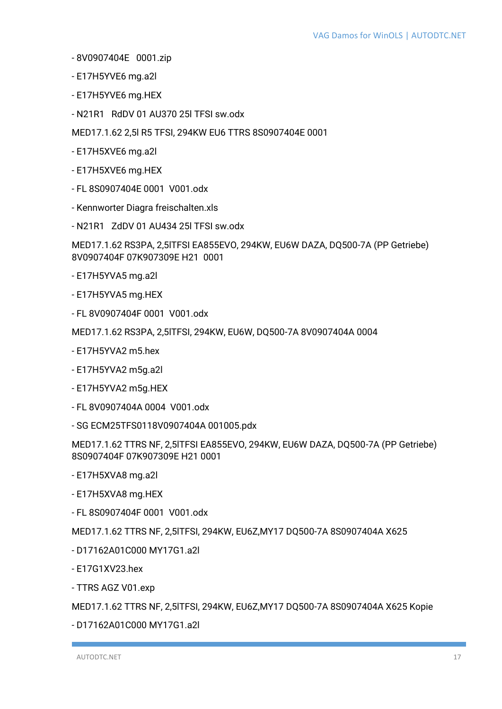- 8V0907404E 0001.zip
- E17H5YVE6 mg.a2l
- E17H5YVE6 mg.HEX
- N21R1 RdDV 01 AU370 25l TFSI sw.odx

MED17.1.62 2,5l R5 TFSI, 294KW EU6 TTRS 8S0907404E 0001

- E17H5XVE6 mg.a2l
- E17H5XVE6 mg.HEX
- FL 8S0907404E 0001 V001.odx
- Kennworter Diagra freischalten.xls
- N21R1 ZdDV 01 AU434 25l TFSI sw.odx

MED17.1.62 RS3PA, 2,5lTFSI EA855EVO, 294KW, EU6W DAZA, DQ500-7A (PP Getriebe) 8V0907404F 07K907309E H21 0001

- E17H5YVA5 mg.a2l
- E17H5YVA5 mg.HEX
- FL 8V0907404F 0001 V001.odx

MED17.1.62 RS3PA, 2,5lTFSI, 294KW, EU6W, DQ500-7A 8V0907404A 0004

- E17H5YVA2 m5.hex
- E17H5YVA2 m5g.a2l
- E17H5YVA2 m5g.HEX
- FL 8V0907404A 0004 V001.odx
- SG ECM25TFS0118V0907404A 001005.pdx

MED17.1.62 TTRS NF, 2,5lTFSI EA855EVO, 294KW, EU6W DAZA, DQ500-7A (PP Getriebe) 8S0907404F 07K907309E H21 0001

- E17H5XVA8 mg.a2l
- E17H5XVA8 mg.HEX
- FL 8S0907404F 0001 V001.odx

MED17.1.62 TTRS NF, 2,5lTFSI, 294KW, EU6Z,MY17 DQ500-7A 8S0907404A X625

- D17162A01C000 MY17G1.a2l
- E17G1XV23.hex
- TTRS AGZ V01.exp

MED17.1.62 TTRS NF, 2,5lTFSI, 294KW, EU6Z,MY17 DQ500-7A 8S0907404A X625 Kopie

- D17162A01C000 MY17G1.a2l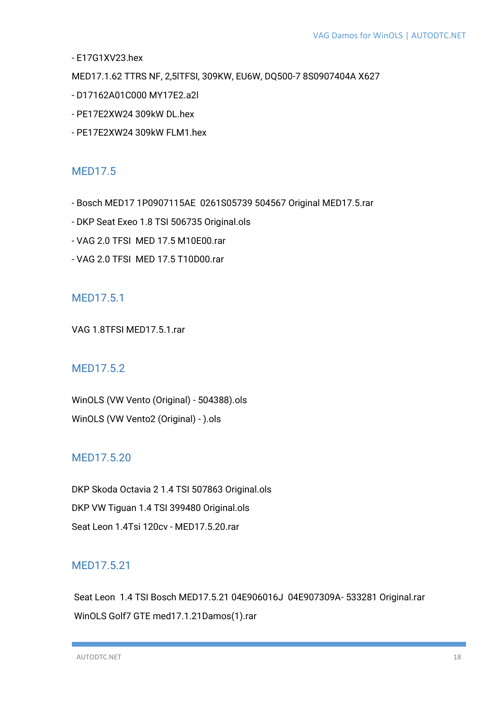- E17G1XV23.hex

MED17.1.62 TTRS NF, 2,5lTFSI, 309KW, EU6W, DQ500-7 8S0907404A X627

- D17162A01C000 MY17E2.a2l
- PE17E2XW24 309kW DL.hex
- PE17E2XW24 309kW FLM1.hex

#### <span id="page-17-0"></span>MED17.5

- Bosch MED17 1P0907115AE 0261S05739 504567 Original MED17.5.rar
- DKP Seat Exeo 1.8 TSI 506735 Original.ols
- VAG 2.0 TFSI MED 17.5 M10E00.rar
- VAG 2.0 TFSI MED 17.5 T10D00.rar

#### <span id="page-17-1"></span>MED17.5.1

VAG 1.8TFSI MED17.5.1.rar

#### <span id="page-17-2"></span>MED17.5.2

WinOLS (VW Vento (Original) - 504388).ols WinOLS (VW Vento2 (Original) - ).ols

#### <span id="page-17-3"></span>MED17.5.20

DKP Skoda Octavia 2 1.4 TSI 507863 Original.ols DKP VW Tiguan 1.4 TSI 399480 Original.ols Seat Leon 1.4Tsi 120cv - MED17.5.20.rar

#### <span id="page-17-4"></span>MED17.5.21

Seat Leon 1.4 TSI Bosch MED17.5.21 04E906016J 04E907309A- 533281 Original.rar WinOLS Golf7 GTE med17.1.21Damos(1).rar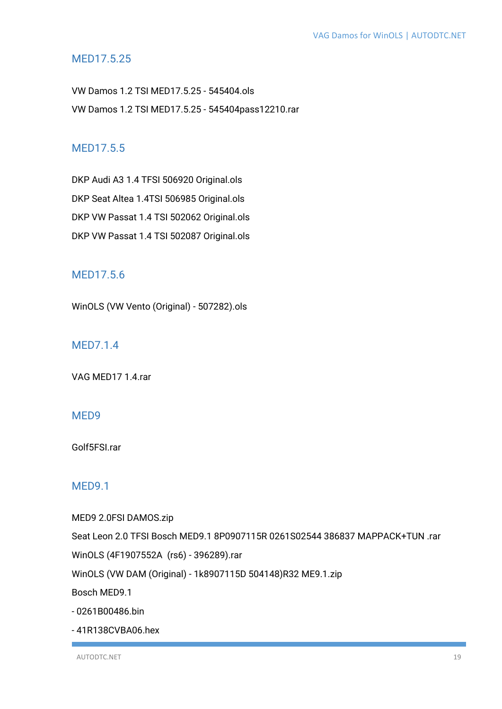#### <span id="page-18-0"></span>MED17.5.25

VW Damos 1.2 TSI MED17.5.25 - 545404.ols VW Damos 1.2 TSI MED17.5.25 - 545404pass12210.rar

### <span id="page-18-1"></span>MED17.5.5

DKP Audi A3 1.4 TFSI 506920 Original.ols DKP Seat Altea 1.4TSI 506985 Original.ols DKP VW Passat 1.4 TSI 502062 Original.ols DKP VW Passat 1.4 TSI 502087 Original.ols

### <span id="page-18-2"></span>MED17.5.6

WinOLS (VW Vento (Original) - 507282).ols

#### <span id="page-18-3"></span>MED7.1.4

VAG MED17 1.4.rar

#### <span id="page-18-4"></span>MED9

Golf5FSI.rar

#### <span id="page-18-5"></span>MED9.1

MED9 2.0FSI DAMOS.zip

Seat Leon 2.0 TFSI Bosch MED9.1 8P0907115R 0261S02544 386837 MAPPACK+TUN .rar

WinOLS (4F1907552A (rs6) - 396289).rar

WinOLS (VW DAM (Original) - 1k8907115D 504148)R32 ME9.1.zip

Bosch MED9.1

- 0261B00486.bin

- 41R138CVBA06.hex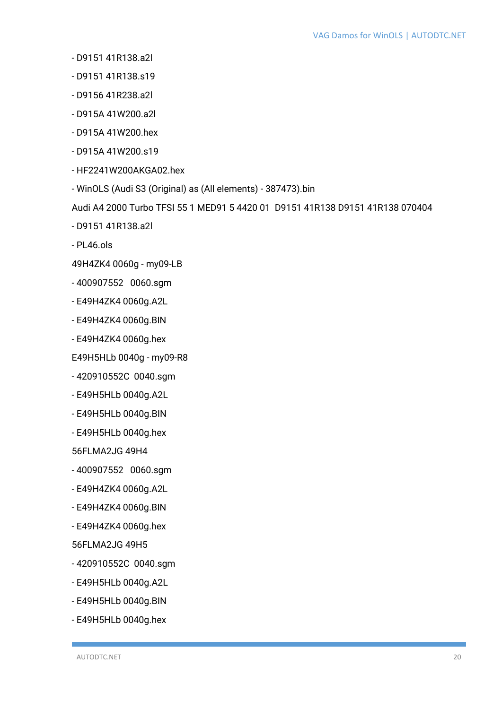- D9151 41R138.a2l
- D9151 41R138.s19
- D9156 41R238.a2l
- D915A 41W200.a2l
- D915A 41W200.hex
- D915A 41W200.s19
- HF2241W200AKGA02.hex
- WinOLS (Audi S3 (Original) as (All elements) 387473).bin

Audi A4 2000 Turbo TFSI 55 1 MED91 5 4420 01 D9151 41R138 D9151 41R138 070404

- D9151 41R138.a2l
- PL46.ols
- 49H4ZK4 0060g my09-LB
- 400907552 0060.sgm
- E49H4ZK4 0060g.A2L
- E49H4ZK4 0060g.BIN
- E49H4ZK4 0060g.hex
- E49H5HLb 0040g my09-R8
- 420910552C 0040.sgm
- E49H5HLb 0040g.A2L
- E49H5HLb 0040g.BIN
- E49H5HLb 0040g.hex

56FLMA2JG 49H4

- 400907552 0060.sgm
- E49H4ZK4 0060g.A2L
- E49H4ZK4 0060g.BIN
- E49H4ZK4 0060g.hex

56FLMA2JG 49H5

- 420910552C 0040.sgm
- E49H5HLb 0040g.A2L
- E49H5HLb 0040g.BIN
- E49H5HLb 0040g.hex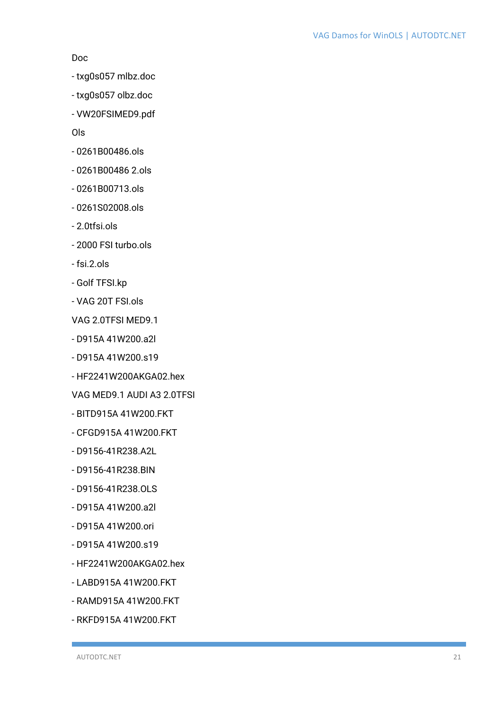#### Doc

- txg0s057 mlbz.doc
- txg0s057 olbz.doc
- VW20FSIMED9.pdf

Ols

- 0261B00486.ols
- 0261B00486 2.ols
- 0261B00713.ols
- 0261S02008.ols
- 2.0tfsi.ols
- 2000 FSI turbo.ols
- fsi.2.ols
- Golf TFSI.kp
- VAG 20T FSI.ols
- VAG 2.0TFSI MED9.1
- D915A 41W200.a2l
- D915A 41W200.s19
- HF2241W200AKGA02.hex
- VAG MED9.1 AUDI A3 2.0TFSI
- BITD915A 41W200.FKT
- CFGD915A 41W200.FKT
- D9156-41R238.A2L
- D9156-41R238.BIN
- D9156-41R238.OLS
- D915A 41W200.a2l
- D915A 41W200.ori
- D915A 41W200.s19
- HF2241W200AKGA02.hex
- LABD915A 41W200.FKT
- RAMD915A 41W200.FKT
- RKFD915A 41W200.FKT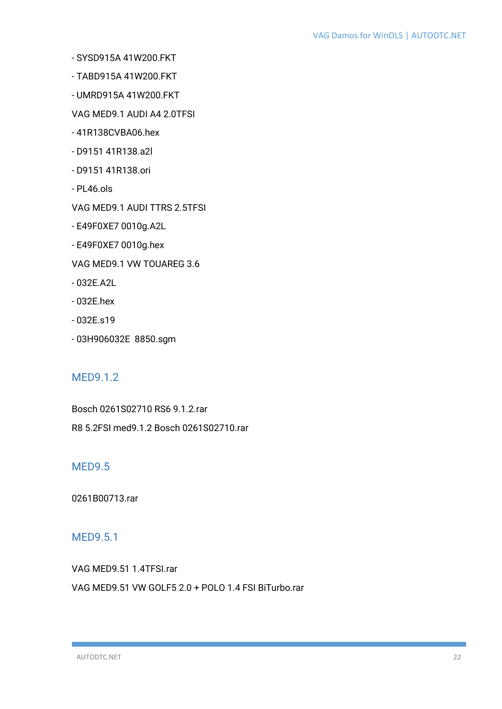- SYSD915A 41W200.FKT
- TABD915A 41W200.FKT
- UMRD915A 41W200.FKT
- VAG MED9.1 AUDI A4 2.0TFSI
- 41R138CVBA06.hex
- D9151 41R138.a2l
- D9151 41R138.ori
- PL46.ols
- VAG MED9.1 AUDI TTRS 2.5TFSI
- E49F0XE7 0010g.A2L
- E49F0XE7 0010g.hex
- VAG MED9.1 VW TOUAREG 3.6
- 032E.A2L
- 032E.hex
- 032E.s19
- 03H906032E 8850.sgm

#### <span id="page-21-0"></span>MED9.1.2

Bosch 0261S02710 RS6 9.1.2.rar R8 5.2FSI med9.1.2 Bosch 0261S02710.rar

#### <span id="page-21-1"></span>MED9.5

0261B00713.rar

#### <span id="page-21-2"></span>MED9.5.1

VAG MED9.51 1.4TFSI.rar

VAG MED9.51 VW GOLF5 2.0 + POLO 1.4 FSI BiTurbo.rar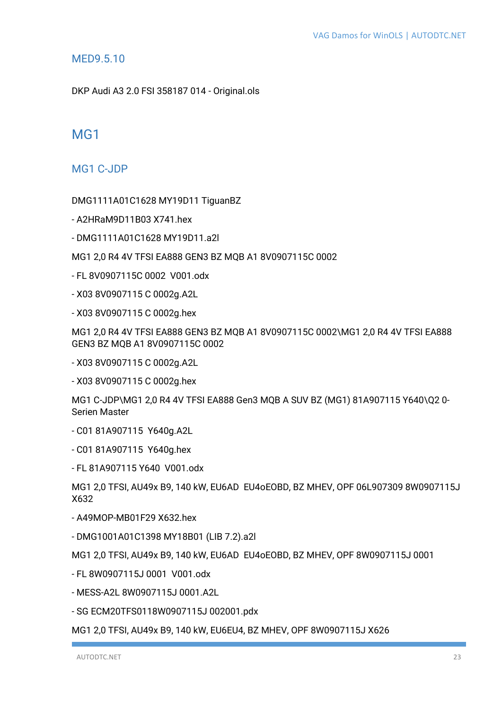#### <span id="page-22-0"></span>MED9.5.10

DKP Audi A3 2.0 FSI 358187 014 - Original.ols

# <span id="page-22-1"></span>MG1

<span id="page-22-2"></span>MG1 C-JDP

DMG1111A01C1628 MY19D11 TiguanBZ

- A2HRaM9D11B03 X741.hex

- DMG1111A01C1628 MY19D11.a2l

MG1 2,0 R4 4V TFSI EA888 GEN3 BZ MQB A1 8V0907115C 0002

- FL 8V0907115C 0002 V001.odx

- X03 8V0907115 C 0002g.A2L

- X03 8V0907115 C 0002g.hex

MG1 2,0 R4 4V TFSI EA888 GEN3 BZ MQB A1 8V0907115C 0002\MG1 2,0 R4 4V TFSI EA888 GEN3 BZ MQB A1 8V0907115C 0002

- X03 8V0907115 C 0002g.A2L

- X03 8V0907115 C 0002g.hex

MG1 C-JDP\MG1 2,0 R4 4V TFSI EA888 Gen3 MQB A SUV BZ (MG1) 81A907115 Y640\Q2 0- Serien Master

- C01 81A907115 Y640g.A2L

- C01 81A907115 Y640g.hex

- FL 81A907115 Y640 V001.odx

MG1 2,0 TFSI, AU49x B9, 140 kW, EU6AD EU4oEOBD, BZ MHEV, OPF 06L907309 8W0907115J X632

- A49MOP-MB01F29 X632.hex

- DMG1001A01C1398 MY18B01 (LIB 7.2).a2l

MG1 2,0 TFSI, AU49x B9, 140 kW, EU6AD EU4oEOBD, BZ MHEV, OPF 8W0907115J 0001

- FL 8W0907115J 0001 V001.odx

- MESS-A2L 8W0907115J 0001.A2L

- SG ECM20TFS0118W0907115J 002001.pdx

MG1 2,0 TFSI, AU49x B9, 140 kW, EU6EU4, BZ MHEV, OPF 8W0907115J X626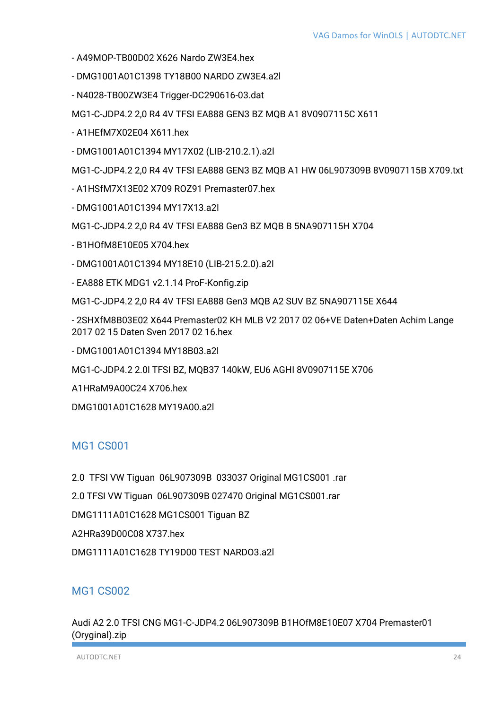- A49MOP-TB00D02 X626 Nardo ZW3E4.hex
- DMG1001A01C1398 TY18B00 NARDO ZW3E4.a2l
- N4028-TB00ZW3E4 Trigger-DC290616-03.dat

MG1-C-JDP4.2 2,0 R4 4V TFSI EA888 GEN3 BZ MQB A1 8V0907115C X611

- A1HEfM7X02E04 X611.hex
- DMG1001A01C1394 MY17X02 (LIB-210.2.1).a2l

MG1-C-JDP4.2 2,0 R4 4V TFSI EA888 GEN3 BZ MQB A1 HW 06L907309B 8V0907115B X709.txt

- A1HSfM7X13E02 X709 ROZ91 Premaster07.hex
- DMG1001A01C1394 MY17X13.a2l
- MG1-C-JDP4.2 2,0 R4 4V TFSI EA888 Gen3 BZ MQB B 5NA907115H X704
- B1HOfM8E10E05 X704.hex
- DMG1001A01C1394 MY18E10 (LIB-215.2.0).a2l
- EA888 ETK MDG1 v2.1.14 ProF-Konfig.zip
- MG1-C-JDP4.2 2,0 R4 4V TFSI EA888 Gen3 MQB A2 SUV BZ 5NA907115E X644
- 2SHXfM8B03E02 X644 Premaster02 KH MLB V2 2017 02 06+VE Daten+Daten Achim Lange 2017 02 15 Daten Sven 2017 02 16.hex
- DMG1001A01C1394 MY18B03.a2l
- MG1-C-JDP4.2 2.0l TFSI BZ, MQB37 140kW, EU6 AGHI 8V0907115E X706
- A1HRaM9A00C24 X706.hex
- DMG1001A01C1628 MY19A00.a2l

#### <span id="page-23-0"></span>MG1 CS001

- 2.0 TFSI VW Tiguan 06L907309B 033037 Original MG1CS001 .rar
- 2.0 TFSI VW Tiguan 06L907309B 027470 Original MG1CS001.rar
- DMG1111A01C1628 MG1CS001 Tiguan BZ
- A2HRa39D00C08 X737.hex
- DMG1111A01C1628 TY19D00 TEST NARDO3.a2l

#### <span id="page-23-1"></span>MG1 CS002

Audi A2 2.0 TFSI CNG MG1-C-JDP4.2 06L907309B B1HOfM8E10E07 X704 Premaster01 (Oryginal).zip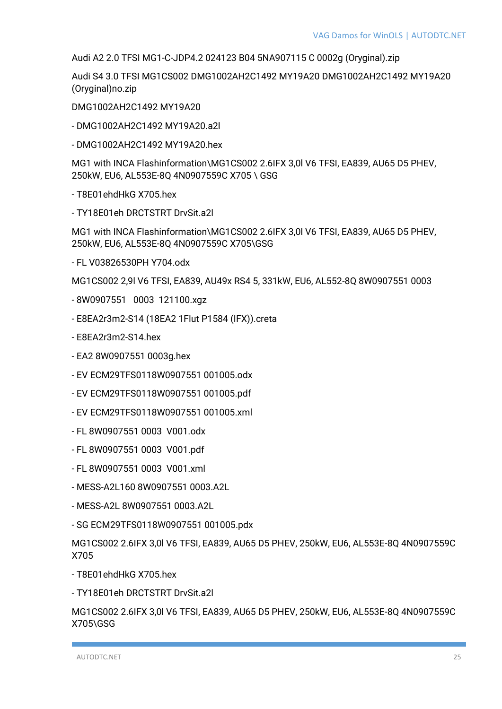Audi A2 2.0 TFSI MG1-C-JDP4.2 024123 B04 5NA907115 C 0002g (Oryginal).zip

Audi S4 3.0 TFSI MG1CS002 DMG1002AH2C1492 MY19A20 DMG1002AH2C1492 MY19A20 (Oryginal)no.zip

DMG1002AH2C1492 MY19A20

- DMG1002AH2C1492 MY19A20.a2l

- DMG1002AH2C1492 MY19A20.hex

MG1 with INCA Flashinformation\MG1CS002 2.6IFX 3,0l V6 TFSI, EA839, AU65 D5 PHEV, 250kW, EU6, AL553E-8Q 4N0907559C X705 \ GSG

- T8E01ehdHkG X705.hex
- TY18E01eh DRCTSTRT DrvSit.a2l

MG1 with INCA Flashinformation\MG1CS002 2.6IFX 3,0l V6 TFSI, EA839, AU65 D5 PHEV, 250kW, EU6, AL553E-8Q 4N0907559C X705\GSG

- FL V03826530PH Y704.odx

MG1CS002 2,9l V6 TFSI, EA839, AU49x RS4 5, 331kW, EU6, AL552-8Q 8W0907551 0003

- 8W0907551 0003 121100.xgz
- E8EA2r3m2-S14 (18EA2 1Flut P1584 (IFX)).creta
- E8EA2r3m2-S14.hex
- EA2 8W0907551 0003g.hex
- EV ECM29TFS0118W0907551 001005.odx
- EV ECM29TFS0118W0907551 001005.pdf
- EV ECM29TFS0118W0907551 001005.xml
- FL 8W0907551 0003 V001.odx
- FL 8W0907551 0003 V001.pdf
- FL 8W0907551 0003 V001.xml
- MESS-A2L160 8W0907551 0003.A2L
- MESS-A2L 8W0907551 0003.A2L
- SG ECM29TFS0118W0907551 001005.pdx

MG1CS002 2.6IFX 3,0l V6 TFSI, EA839, AU65 D5 PHEV, 250kW, EU6, AL553E-8Q 4N0907559C X705

- T8E01ehdHkG X705.hex
- TY18E01eh DRCTSTRT DrvSit.a2l

MG1CS002 2.6IFX 3,0l V6 TFSI, EA839, AU65 D5 PHEV, 250kW, EU6, AL553E-8Q 4N0907559C X705\GSG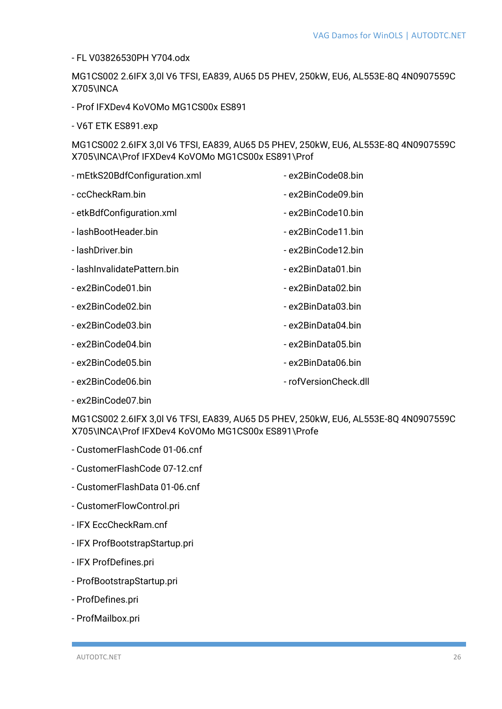- FL V03826530PH Y704.odx

MG1CS002 2.6IFX 3,0l V6 TFSI, EA839, AU65 D5 PHEV, 250kW, EU6, AL553E-8Q 4N0907559C X705\INCA

- Prof IFXDev4 KoVOMo MG1CS00x ES891
- V6T ETK ES891.exp

MG1CS002 2.6IFX 3,0l V6 TFSI, EA839, AU65 D5 PHEV, 250kW, EU6, AL553E-8Q 4N0907559C X705\INCA\Prof IFXDev4 KoVOMo MG1CS00x ES891\Prof

| - mEtkS20BdfConfiguration.xml | - ex2BinCode08.bin    |
|-------------------------------|-----------------------|
| - ccCheckRam.bin              | - ex2BinCode09.bin    |
| - etkBdfConfiguration.xml     | - ex2BinCode10.bin    |
| - lashBootHeader.bin          | - ex2BinCode11.bin    |
| - lashDriver.bin              | - ex2BinCode12.bin    |
| - lashInvalidatePattern.bin   | - ex2BinData01.bin    |
| - ex2BinCode01.bin            | - ex2BinData02.bin    |
| - ex2BinCode02.bin            | - ex2BinData03.bin    |
| - ex2BinCode03.bin            | - ex2BinData04.bin    |
| - ex2BinCode04.bin            | - ex2BinData05.bin    |
| - ex2BinCode05.bin            | - ex2BinData06.bin    |
| - ex2BinCode06.bin            | - rofVersionCheck.dll |

- ex2BinCode07.bin

MG1CS002 2.6IFX 3,0l V6 TFSI, EA839, AU65 D5 PHEV, 250kW, EU6, AL553E-8Q 4N0907559C X705\INCA\Prof IFXDev4 KoVOMo MG1CS00x ES891\Profe

- CustomerFlashCode 01-06.cnf
- CustomerFlashCode 07-12.cnf
- CustomerFlashData 01-06.cnf
- CustomerFlowControl.pri
- IFX EccCheckRam.cnf
- IFX ProfBootstrapStartup.pri
- IFX ProfDefines.pri
- ProfBootstrapStartup.pri
- ProfDefines.pri
- ProfMailbox.pri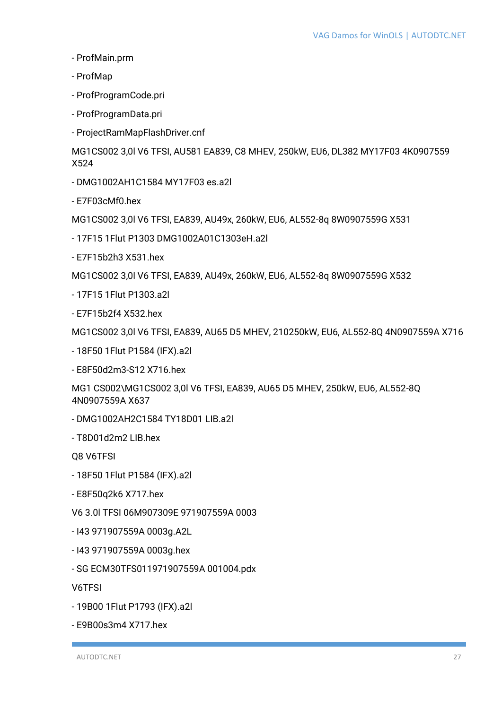- ProfMain.prm
- ProfMap
- ProfProgramCode.pri
- ProfProgramData.pri
- ProjectRamMapFlashDriver.cnf

MG1CS002 3,0l V6 TFSI, AU581 EA839, C8 MHEV, 250kW, EU6, DL382 MY17F03 4K0907559 X524

- DMG1002AH1C1584 MY17F03 es.a2l
- E7F03cMf0.hex

MG1CS002 3,0l V6 TFSI, EA839, AU49x, 260kW, EU6, AL552-8q 8W0907559G X531

- 17F15 1Flut P1303 DMG1002A01C1303eH.a2l
- E7F15b2h3 X531.hex

MG1CS002 3,0l V6 TFSI, EA839, AU49x, 260kW, EU6, AL552-8q 8W0907559G X532

- 17F15 1Flut P1303.a2l
- E7F15b2f4 X532.hex

MG1CS002 3,0l V6 TFSI, EA839, AU65 D5 MHEV, 210250kW, EU6, AL552-8Q 4N0907559A X716

- 18F50 1Flut P1584 (IFX).a2l

- E8F50d2m3-S12 X716.hex

MG1 CS002\MG1CS002 3,0l V6 TFSI, EA839, AU65 D5 MHEV, 250kW, EU6, AL552-8Q 4N0907559A X637

- DMG1002AH2C1584 TY18D01 LIB.a2l
- T8D01d2m2 LIB.hex

Q8 V6TFSI

- 18F50 1Flut P1584 (IFX).a2l
- E8F50q2k6 X717.hex
- V6 3.0l TFSI 06M907309E 971907559A 0003
- I43 971907559A 0003g.A2L
- I43 971907559A 0003g.hex
- SG ECM30TFS011971907559A 001004.pdx

V6TFSI

- 19B00 1Flut P1793 (IFX).a2l
- E9B00s3m4 X717.hex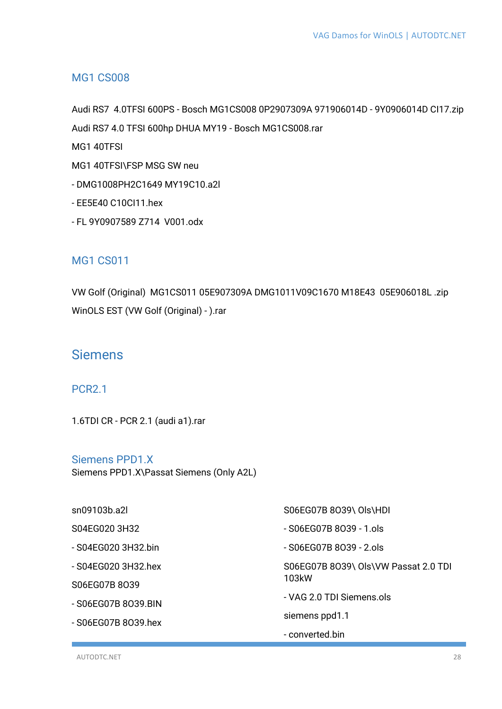#### <span id="page-27-0"></span>MG1 CS008

Audi RS7 4.0TFSI 600PS - Bosch MG1CS008 0P2907309A 971906014D - 9Y0906014D CI17.zip Audi RS7 4.0 TFSI 600hp DHUA MY19 - Bosch MG1CS008.rar

MG1 40TFSI

- MG1 40TFSI\FSP MSG SW neu
- DMG1008PH2C1649 MY19C10.a2l
- EE5E40 C10CI11.hex
- FL 9Y0907589 Z714 V001.odx

#### <span id="page-27-1"></span>MG1 CS011

VW Golf (Original) MG1CS011 05E907309A DMG1011V09C1670 M18E43 05E906018L .zip WinOLS EST (VW Golf (Original) - ).rar

### <span id="page-27-2"></span>Siemens

#### <span id="page-27-3"></span>PCR2.1

1.6TDI CR - PCR 2.1 (audi a1).rar

<span id="page-27-4"></span>Siemens PPD1.X Siemens PPD1.X\Passat Siemens (Only A2L)

sn09103b.a2l S04EG020 3H32 - S04EG020 3H32.bin - S04EG020 3H32.hex S06EG07B 8O39 - S06EG07B 8O39.BIN - S06EG07B 8O39.hex S06EG07B 8O39\ Ols\HDI - S06EG07B 8O39 - 1.ols - S06EG07B 8O39 - 2.ols S06EG07B 8O39\ Ols\VW Passat 2.0 TDI 103kW - VAG 2.0 TDI Siemens.ols siemens ppd1.1 - converted.bin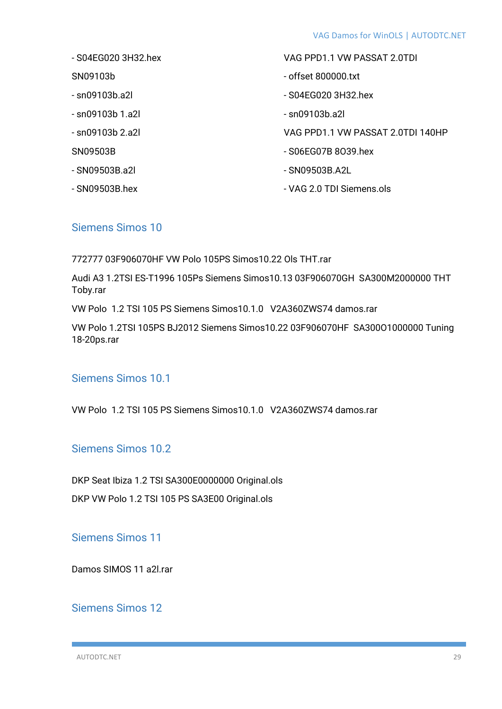- S04EG020 3H32.hex
- SN09103b
- sn09103b.a2l
- sn09103b 1.a2l
- sn09103b 2.a2l
- SN09503B
- SN09503B.a2l
- SN09503B.hex
- VAG PPD1.1 VW PASSAT 2.0TDI
- offset 800000.txt
- S04EG020 3H32.hex
- sn09103b.a2l
- VAG PPD1.1 VW PASSAT 2.0TDI 140HP
- S06EG07B 8O39.hex
- SN09503B.A2L
- VAG 2.0 TDI Siemens.ols

#### <span id="page-28-0"></span>Siemens Simos 10

772777 03F906070HF VW Polo 105PS Simos10.22 Ols THT.rar

Audi A3 1.2TSI ES-T1996 105Ps Siemens Simos10.13 03F906070GH SA300M2000000 THT Toby.rar

VW Polo 1.2 TSI 105 PS Siemens Simos10.1.0 V2A360ZWS74 damos.rar

VW Polo 1.2TSI 105PS BJ2012 Siemens Simos10.22 03F906070HF SA300O1000000 Tuning 18-20ps.rar

#### <span id="page-28-1"></span>Siemens Simos 10.1

VW Polo 1.2 TSI 105 PS Siemens Simos10.1.0 V2A360ZWS74 damos.rar

<span id="page-28-2"></span>Siemens Simos 10.2

DKP Seat Ibiza 1.2 TSI SA300E0000000 Original.ols

DKP VW Polo 1.2 TSI 105 PS SA3E00 Original.ols

<span id="page-28-3"></span>Siemens Simos 11

Damos SIMOS 11 a2l.rar

#### <span id="page-28-4"></span>Siemens Simos 12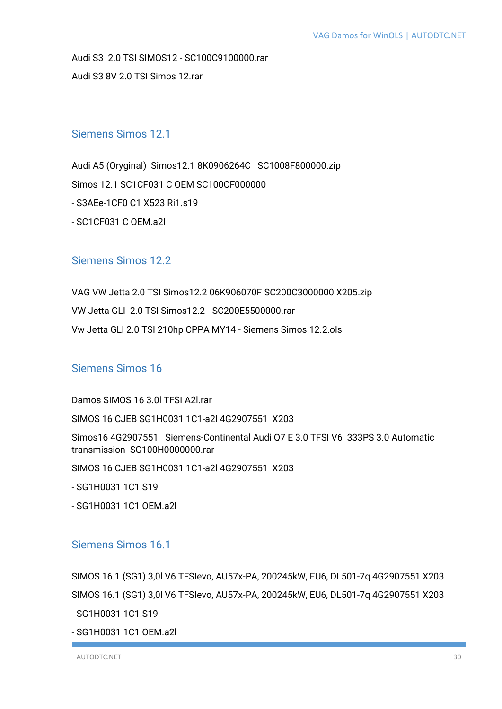Audi S3 2.0 TSI SIMOS12 - SC100C9100000.rar Audi S3 8V 2.0 TSI Simos 12.rar

#### <span id="page-29-0"></span>Siemens Simos 12.1

Audi A5 (Oryginal) Simos12.1 8K0906264C SC1008F800000.zip Simos 12.1 SC1CF031 C OEM SC100CF000000 - S3AEe-1CF0 C1 X523 Ri1.s19 - SC1CF031 C OEM.a2l

### <span id="page-29-1"></span>Siemens Simos 12.2

VAG VW Jetta 2.0 TSI Simos12.2 06K906070F SC200C3000000 X205.zip VW Jetta GLI 2.0 TSI Simos12.2 - SC200E5500000.rar Vw Jetta GLI 2.0 TSI 210hp CPPA MY14 - Siemens Simos 12.2.ols

# <span id="page-29-2"></span>Siemens Simos 16

Damos SIMOS 16 3.0l TFSI A2l.rar

SIMOS 16 CJEB SG1H0031 1C1-a2l 4G2907551 X203

Simos16 4G2907551 Siemens-Continental Audi Q7 E 3.0 TFSI V6 333PS 3.0 Automatic transmission SG100H0000000 rar

SIMOS 16 CJEB SG1H0031 1C1-a2l 4G2907551 X203

- SG1H0031 1C1.S19

- SG1H0031 1C1 OEM.a2l

#### <span id="page-29-3"></span>Siemens Simos 16.1

SIMOS 16.1 (SG1) 3,0l V6 TFSIevo, AU57x-PA, 200245kW, EU6, DL501-7q 4G2907551 X203 SIMOS 16.1 (SG1) 3,0l V6 TFSIevo, AU57x-PA, 200245kW, EU6, DL501-7q 4G2907551 X203 - SG1H0031 1C1.S19

- SG1H0031 1C1 OEM.a2l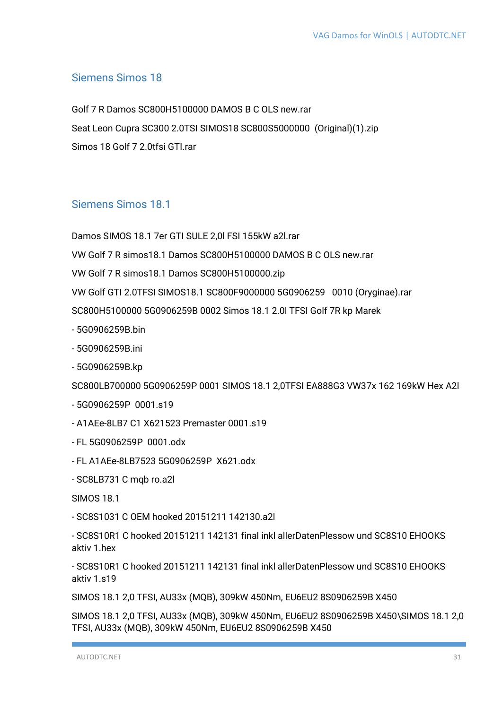#### <span id="page-30-0"></span>**Siemens Simos 18**

Golf 7 R Damos SC800H5100000 DAMOS B C OLS new.rar Seat Leon Cupra SC300 2.0TSI SIMOS18 SC800S5000000 (Original)(1).zip Simos 18 Golf 7 2.0tfsi GTI.rar

#### <span id="page-30-1"></span>Siemens Simos 18.1

Damos SIMOS 18.1 7er GTI SULE 2.0 FSI 155kW a2Lrar

VW Golf 7 R simos 18.1 Damos SC800H5100000 DAMOS B C OLS new.rar

VW Golf 7 R simos 18.1 Damos SC800H5100000.zip

VW Golf GTI 2.0TFSI SIMOS18.1 SC800F9000000 5G0906259 0010 (Orvainae).rar

SC800H5100000 5G0906259B 0002 Simos 18.1 2.0 TFSI Golf 7R kp Marek

- 5G0906259B.bin
- 5G0906259B.ini
- 5G0906259B.kp

SC800LB700000 5G0906259P 0001 SIMOS 18.1 2,0TFSI EA888G3 VW37x 162 169kW Hex A2I

- $-5G0906259P0001s19$
- A1AEe-8LB7 C1 X621523 Premaster 0001.s19
- FL 5G0906259P 0001.odx
- FL A1AEe-8LB7523 5G0906259P X621.odx
- SC8LB731 C mgb ro.a2l

**SIMOS 18.1** 

- SC8S1031 C OEM hooked 20151211 142130.a2
- SC8S10R1 C hooked 20151211 142131 final inkl allerDatenPlessow und SC8S10 EHOOKS aktiv 1.hex

- SC8S10R1 C hooked 20151211 142131 final inkl allerDatenPlessow und SC8S10 EHOOKS aktiv 1 s19

SIMOS 18.1 2,0 TFSI, AU33x (MQB), 309kW 450Nm, EU6EU2 8S0906259B X450

SIMOS 18.1 2,0 TFSI, AU33x (MQB), 309kW 450Nm, EU6EU2 8S0906259B X450\SIMOS 18.1 2,0 TFSI, AU33x (MQB), 309kW 450Nm, EU6EU2 8S0906259B X450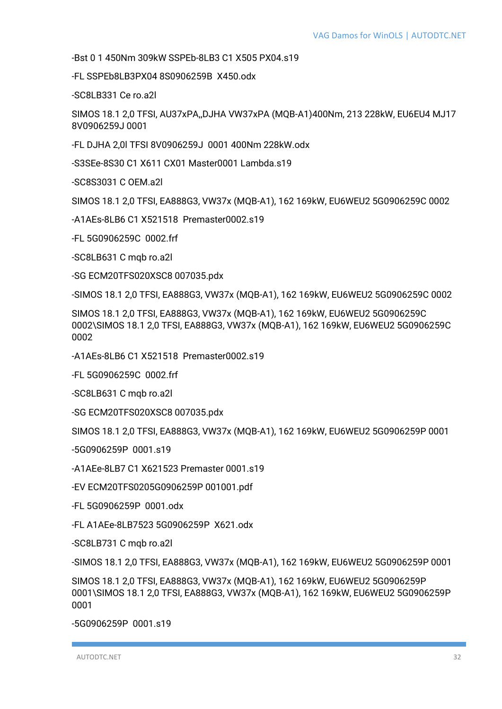-Bst 0 1 450Nm 309kW SSPEb-8LB3 C1 X505 PX04.s19

-FL SSPEb8LB3PX04 8S0906259B X450.odx

-SC8LB331 Ce ro.a2l

SIMOS 18.1 2,0 TFSI, AU37xPA,,DJHA VW37xPA (MQB-A1)400Nm, 213 228kW, EU6EU4 MJ17 8V0906259J 0001

-FL DJHA 2,0l TFSI 8V0906259J 0001 400Nm 228kW.odx

-S3SEe-8S30 C1 X611 CX01 Master0001 Lambda.s19

-SC8S3031 C OEM.a2l

SIMOS 18.1 2,0 TFSI, EA888G3, VW37x (MQB-A1), 162 169kW, EU6WEU2 5G0906259C 0002

-A1AEs-8LB6 C1 X521518 Premaster0002.s19

-FL 5G0906259C 0002.frf

-SC8LB631 C mqb ro.a2l

-SG ECM20TFS020XSC8 007035.pdx

-SIMOS 18.1 2,0 TFSI, EA888G3, VW37x (MQB-A1), 162 169kW, EU6WEU2 5G0906259C 0002

SIMOS 18.1 2,0 TFSI, EA888G3, VW37x (MQB-A1), 162 169kW, EU6WEU2 5G0906259C 0002\SIMOS 18.1 2,0 TFSI, EA888G3, VW37x (MQB-A1), 162 169kW, EU6WEU2 5G0906259C 0002

-A1AEs-8LB6 C1 X521518 Premaster0002.s19

-FL 5G0906259C 0002.frf

-SC8LB631 C mqb ro.a2l

-SG ECM20TFS020XSC8 007035.pdx

SIMOS 18.1 2,0 TFSI, EA888G3, VW37x (MQB-A1), 162 169kW, EU6WEU2 5G0906259P 0001

-5G0906259P 0001.s19

-A1AEe-8LB7 C1 X621523 Premaster 0001.s19

-EV ECM20TFS0205G0906259P 001001.pdf

-FL 5G0906259P 0001.odx

-FL A1AEe-8LB7523 5G0906259P X621.odx

-SC8LB731 C mqb ro.a2l

-SIMOS 18.1 2,0 TFSI, EA888G3, VW37x (MQB-A1), 162 169kW, EU6WEU2 5G0906259P 0001

SIMOS 18.1 2,0 TFSI, EA888G3, VW37x (MQB-A1), 162 169kW, EU6WEU2 5G0906259P 0001\SIMOS 18.1 2,0 TFSI, EA888G3, VW37x (MQB-A1), 162 169kW, EU6WEU2 5G0906259P 0001

-5G0906259P 0001.s19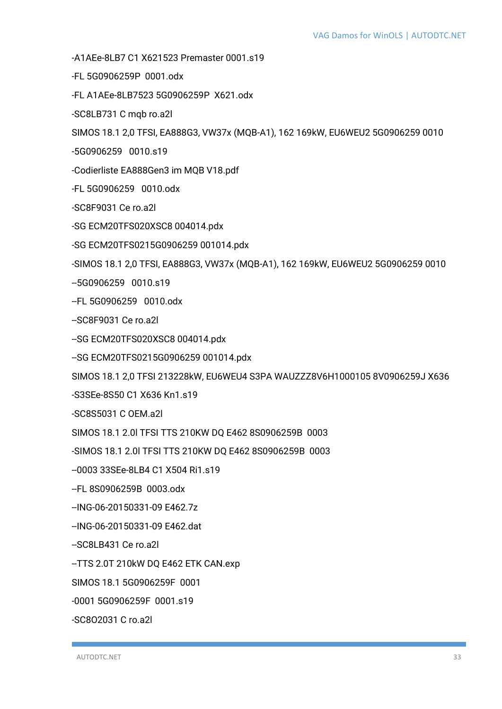-A1AEe-8LB7 C1 X621523 Premaster 0001.s19

- -FL 5G0906259P 0001.odx
- -FL A1AEe-8LB7523 5G0906259P X621.odx
- -SC8LB731 C mqb ro.a2l

SIMOS 18.1 2,0 TFSI, EA888G3, VW37x (MQB-A1), 162 169kW, EU6WEU2 5G0906259 0010

- -5G0906259 0010.s19
- -Codierliste EA888Gen3 im MQB V18.pdf
- -FL 5G0906259 0010.odx
- -SC8F9031 Ce ro.a2l
- -SG ECM20TFS020XSC8 004014.pdx
- -SG ECM20TFS0215G0906259 001014.pdx

-SIMOS 18.1 2,0 TFSI, EA888G3, VW37x (MQB-A1), 162 169kW, EU6WEU2 5G0906259 0010

- --5G0906259 0010.s19
- --FL 5G0906259 0010.odx
- --SC8F9031 Ce ro.a2l
- --SG ECM20TFS020XSC8 004014.pdx
- --SG ECM20TFS0215G0906259 001014.pdx

SIMOS 18.1 2,0 TFSI 213228kW, EU6WEU4 S3PA WAUZZZ8V6H1000105 8V0906259J X636

-S3SEe-8S50 C1 X636 Kn1.s19

-SC8S5031 C OEM.a2l

SIMOS 18.1 2.0l TFSI TTS 210KW DQ E462 8S0906259B 0003

-SIMOS 18.1 2.0l TFSI TTS 210KW DQ E462 8S0906259B 0003

--0003 33SEe-8LB4 C1 X504 Ri1.s19

- --FL 8S0906259B 0003.odx
- --ING-06-20150331-09 E462.7z
- --ING-06-20150331-09 E462.dat

--SC8LB431 Ce ro.a2l

--TTS 2.0T 210kW DQ E462 ETK CAN.exp

SIMOS 18.1 5G0906259F 0001

-0001 5G0906259F 0001.s19

-SC8O2031 C ro.a2l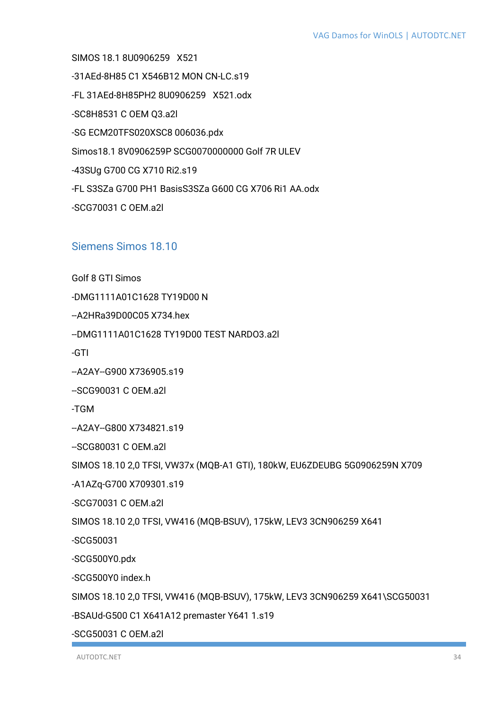SIMOS 18.1 8U0906259 X521 -31AEd-8H85 C1 X546B12 MON CN-LC.s19 -FL 31AEd-8H85PH2 8U0906259 X521.odx -SC8H8531 C OEM Q3.a2l -SG ECM20TFS020XSC8 006036.pdx Simos18.1 8V0906259P SCG0070000000 Golf 7R ULEV -43SUg G700 CG X710 Ri2.s19 -FL S3SZa G700 PH1 BasisS3SZa G600 CG X706 Ri1 AA.odx -SCG70031 C OEM.a2l

#### <span id="page-33-0"></span>Siemens Simos 18.10

Golf 8 GTI Simos

-DMG1111A01C1628 TY19D00 N

--A2HRa39D00C05 X734.hex

--DMG1111A01C1628 TY19D00 TEST NARDO3.a2l

-GTI

--A2AY--G900 X736905.s19

--SCG90031 C OEM.a2l

-TGM

--A2AY--G800 X734821.s19

--SCG80031 C OEM.a2l

SIMOS 18.10 2,0 TFSI, VW37x (MQB-A1 GTI), 180kW, EU6ZDEUBG 5G0906259N X709

-A1AZq-G700 X709301.s19

-SCG70031 C OEM.a2l

SIMOS 18.10 2,0 TFSI, VW416 (MQB-BSUV), 175kW, LEV3 3CN906259 X641

-SCG50031

-SCG500Y0.pdx

-SCG500Y0 index.h

SIMOS 18.10 2,0 TFSI, VW416 (MQB-BSUV), 175kW, LEV3 3CN906259 X641\SCG50031

-BSAUd-G500 C1 X641A12 premaster Y641 1.s19

-SCG50031 C OEM.a2l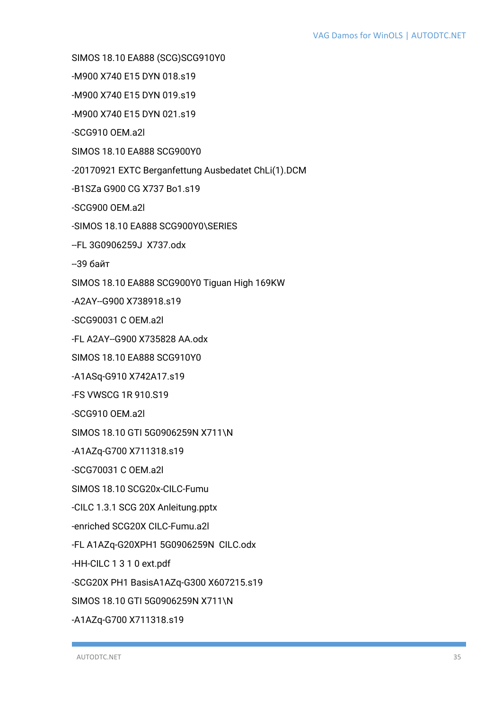SIMOS 18.10 EA888 (SCG)SCG910Y0

-M900 X740 E15 DYN 018.s19

-M900 X740 E15 DYN 019.s19

-M900 X740 E15 DYN 021.s19

-SCG910 OEM.a2l

SIMOS 18.10 EA888 SCG900Y0

-20170921 EXTC Berganfettung Ausbedatet ChLi(1).DCM

-B1SZa G900 CG X737 Bo1.s19

-SCG900 OEM.a2l

-SIMOS 18.10 EA888 SCG900Y0\SERIES

--FL 3G0906259J X737.odx

 $-396$ яйт

SIMOS 18.10 EA888 SCG900Y0 Tiguan High 169KW

-A2AY--G900 X738918.s19

-SCG90031 C OFM a2L

-FL A2AY--G900 X735828 AA.odx

SIMOS 18.10 EA888 SCG910Y0

-A1ASq-G910 X742A17.s19

**-FS VWSCG 1R 910 S19** 

-SCG910 OEM.a2l

SIMOS 18.10 GTI 5G0906259N X711\N

-A1AZq-G700 X711318.s19

-SCG70031 C OEM.a2l

SIMOS 18.10 SCG20x-CILC-Fumu

-CILC 1.3.1 SCG 20X Anleitung.pptx

-enriched SCG20X CILC-Fumu.a2l

-FL A1AZq-G20XPH1 5G0906259N CILC.odx

-HH-CILC 1 3 1 0 ext.pdf

-SCG20X PH1 BasisA1AZq-G300 X607215.s19

SIMOS 18.10 GTI 5G0906259N X711\N

-A1AZq-G700 X711318.s19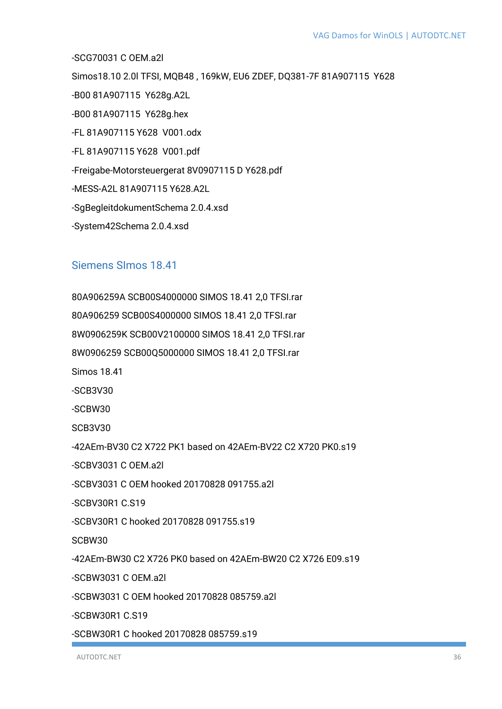-SCG70031 C OEM.a2l Simos18.10 2.0I TFSI, MQB48, 169kW, EU6 ZDEF, DQ381-7F 81A907115 Y628 -B00 81A907115 Y628g.A2L -B00 81A907115 Y628g.hex -FL 81A907115 Y628 V001.odx -FL 81A907115 Y628 V001.pdf -Freigabe-Motorsteuergerat 8V0907115 D Y628.pdf -MESS-A2L 81A907115 Y628.A2L -SqBegleitdokumentSchema 2.0.4.xsd

-System42Schema 2.0.4.xsd

#### <span id="page-35-0"></span>Siemens Slmos 18.41

80A906259A SCB00S4000000 SIMOS 18.41 2,0 TFSI.rar 80A906259 SCB00S4000000 SIMOS 18.41 2,0 TFSI.rar 8W0906259K SCB00V2100000 SIMOS 18.41 2.0 TFSI.rar 8W0906259 SCB00Q5000000 SIMOS 18.41 2,0 TFSI.rar **Simos 18.41** 

 $-SCB3V30$ 

 $-SCBW30$ 

**SCB3V30** 

-42AEm-BV30 C2 X722 PK1 based on 42AEm-BV22 C2 X720 PK0.s19

-SCBV3031 C OEM.a2l

-SCBV3031 C OEM hooked 20170828 091755.a2l

-SCBV30R1 C.S19

-SCBV30R1 C hooked 20170828 091755.s19

SCRW30

-42AEm-BW30 C2 X726 PK0 based on 42AEm-BW20 C2 X726 E09.s19

-SCBW3031 C OEM.a2L

-SCBW3031 C OFM hooked 20170828 085759 a2L

-SCBW30R1 C S19

-SCBW30R1 C hooked 20170828 085759.s19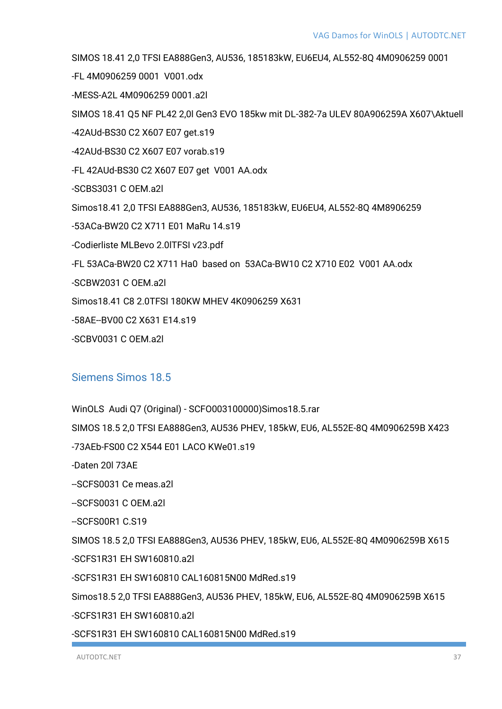SIMOS 18.41 2,0 TFSI EA888Gen3, AU536, 185183kW, EU6EU4, AL552-8Q 4M0906259 0001

-FL 4M0906259 0001 V001.odx

-MESS-A2L 4M0906259 0001.a2l

SIMOS 18.41 Q5 NF PL42 2,0l Gen3 EVO 185kw mit DL-382-7a ULEV 80A906259A X607\Aktuell

-42AUd-BS30 C2 X607 E07 get.s19

-42AUd-BS30 C2 X607 E07 vorab.s19

-FL 42AUd-BS30 C2 X607 E07 get V001 AA.odx

-SCBS3031 C OEM.a2l

Simos18.41 2,0 TFSI EA888Gen3, AU536, 185183kW, EU6EU4, AL552-8Q 4M8906259

-53ACa-BW20 C2 X711 E01 MaRu 14.s19

-Codierliste MLBevo 2.0lTFSI v23.pdf

-FL 53ACa-BW20 C2 X711 Ha0 based on 53ACa-BW10 C2 X710 E02 V001 AA.odx

-SCBW2031 C OEM.a2l

Simos18.41 C8 2.0TFSI 180KW MHEV 4K0906259 X631

-58AE--BV00 C2 X631 E14.s19

-SCBV0031 C OEM.a2l

### Siemens Simos 18.5

WinOLS Audi Q7 (Original) - SCFO003100000)Simos18.5.rar

SIMOS 18.5 2,0 TFSI EA888Gen3, AU536 PHEV, 185kW, EU6, AL552E-8Q 4M0906259B X423

-73AEb-FS00 C2 X544 E01 LACO KWe01.s19

-Daten 20l 73AE

--SCFS0031 Ce meas.a2l

--SCFS0031 C OEM.a2l

--SCFS00R1 C.S19

SIMOS 18.5 2,0 TFSI EA888Gen3, AU536 PHEV, 185kW, EU6, AL552E-8Q 4M0906259B X615 -SCFS1R31 EH SW160810.a2l

-SCFS1R31 EH SW160810 CAL160815N00 MdRed.s19

Simos18.5 2,0 TFSI EA888Gen3, AU536 PHEV, 185kW, EU6, AL552E-8Q 4M0906259B X615

-SCFS1R31 EH SW160810.a2l

-SCFS1R31 EH SW160810 CAL160815N00 MdRed.s19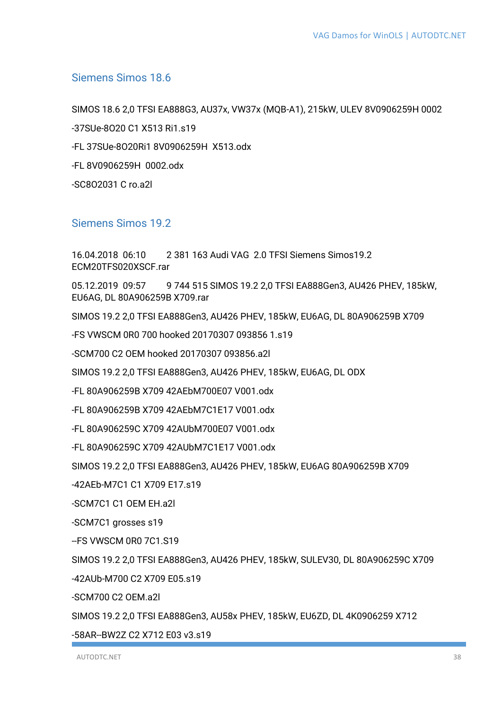### Siemens Simos 18.6

SIMOS 18.6 2,0 TFSI EA888G3, AU37x, VW37x (MQB-A1), 215kW, ULEV 8V0906259H 0002 -37SUe-8O20 C1 X513 Ri1.s19 -FL 37SUe-8O20Ri1 8V0906259H X513.odx -FL 8V0906259H 0002.odx -SC8O2031 C ro.a2l

### Siemens Simos 19.2

16.04.2018 06:10 2 381 163 Audi VAG 2.0 TFSI Siemens Simos19.2 ECM20TFS020XSCF.rar 05.12.2019 09:57 9 744 515 SIMOS 19.2 2,0 TFSI EA888Gen3, AU426 PHEV, 185kW, EU6AG, DL 80A906259B X709.rar SIMOS 19.2 2,0 TFSI EA888Gen3, AU426 PHEV, 185kW, EU6AG, DL 80A906259B X709 -FS VWSCM 0R0 700 hooked 20170307 093856 1.s19 -SCM700 C2 OEM hooked 20170307 093856.a2l SIMOS 19.2 2,0 TFSI EA888Gen3, AU426 PHEV, 185kW, EU6AG, DL ODX -FL 80A906259B X709 42AEbM700E07 V001.odx -FL 80A906259B X709 42AEbM7C1E17 V001.odx -FL 80A906259C X709 42AUbM700E07 V001.odx -FL 80A906259C X709 42AUbM7C1E17 V001.odx SIMOS 19.2 2,0 TFSI EA888Gen3, AU426 PHEV, 185kW, EU6AG 80A906259B X709 -42AEb-M7C1 C1 X709 E17.s19 -SCM7C1 C1 OEM EH.a2l -SCM7C1 grosses s19 --FS VWSCM 0R0 7C1.S19 SIMOS 19.2 2,0 TFSI EA888Gen3, AU426 PHEV, 185kW, SULEV30, DL 80A906259C X709 -42AUb-M700 C2 X709 E05.s19 -SCM700 C2 OEM.a2l

SIMOS 19.2 2,0 TFSI EA888Gen3, AU58x PHEV, 185kW, EU6ZD, DL 4K0906259 X712

-58AR--BW2Z C2 X712 E03 v3.s19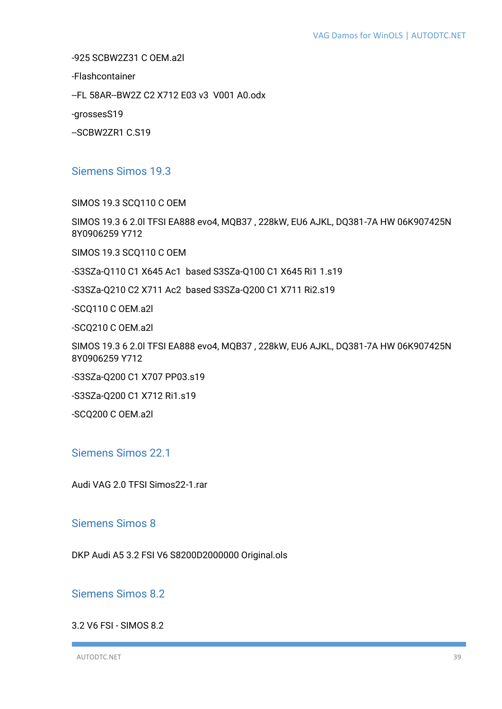-925 SCBW2Z31 C OEM.a2l

-Flashcontainer

--FL 58AR--BW2Z C2 X712 E03 v3 V001 A0.odx

-grossesS19

--SCBW2ZR1 C.S19

### Siemens Simos 19.3

SIMOS 19.3 SCQ110 C OEM

SIMOS 19.3 6 2.0l TFSI EA888 evo4, MQB37 , 228kW, EU6 AJKL, DQ381-7A HW 06K907425N 8Y0906259 Y712

SIMOS 19.3 SCQ110 C OEM

-S3SZa-Q110 C1 X645 Ac1 based S3SZa-Q100 C1 X645 Ri1 1.s19

-S3SZa-Q210 C2 X711 Ac2 based S3SZa-Q200 C1 X711 Ri2.s19

-SCQ110 C OEM.a2l

-SCQ210 C OEM.a2l

SIMOS 19.3 6 2.0l TFSI EA888 evo4, MQB37 , 228kW, EU6 AJKL, DQ381-7A HW 06K907425N 8Y0906259 Y712

-S3SZa-Q200 C1 X707 PP03.s19

-S3SZa-Q200 C1 X712 Ri1.s19

-SCQ200 C OEM.a2l

Siemens Simos 22.1

Audi VAG 2.0 TFSI Simos22-1.rar

### Siemens Simos 8

DKP Audi A5 3.2 FSI V6 S8200D2000000 Original.ols

Siemens Simos 8.2

3.2 V6 FSI - SIMOS 8.2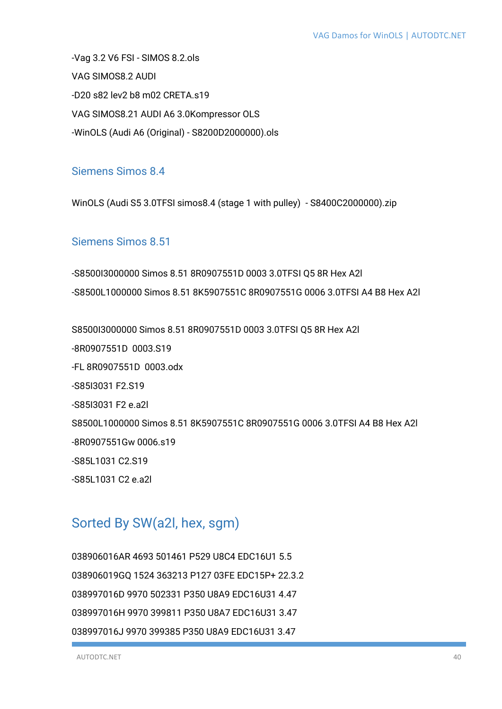-Vag 3.2 V6 FSI - SIMOS 8.2.ols VAG SIMOS8.2 AUDI -D20 s82 lev2 b8 m02 CRETA.s19 VAG SIMOS8.21 AUDI A6 3.0Kompressor OLS -WinOLS (Audi A6 (Original) - S8200D2000000).ols

### Siemens Simos 8.4

WinOLS (Audi S5 3.0TFSI simos8.4 (stage 1 with pulley) - S8400C2000000).zip

### Siemens Simos 8.51

-S8500I3000000 Simos 8.51 8R0907551D 0003 3.0TFSI Q5 8R Hex A2l -S8500L1000000 Simos 8.51 8K5907551C 8R0907551G 0006 3.0TFSI A4 B8 Hex A2l

S8500I3000000 Simos 8.51 8R0907551D 0003 3.0TFSI Q5 8R Hex A2l -8R0907551D 0003.S19 -FL 8R0907551D 0003.odx -S85I3031 F2.S19 -S85I3031 F2 e.a2l S8500L1000000 Simos 8.51 8K5907551C 8R0907551G 0006 3.0TFSI A4 B8 Hex A2l -8R0907551Gw 0006.s19 -S85L1031 C2.S19 -S85L1031 C2 e.a2l

# Sorted By SW(a2l, hex, sgm)

038906016AR 4693 501461 P529 U8C4 EDC16U1 5.5 038906019GQ 1524 363213 P127 03FE EDC15P+ 22.3.2 038997016D 9970 502331 P350 U8A9 EDC16U31 4.47 038997016H 9970 399811 P350 U8A7 EDC16U31 3.47 038997016J 9970 399385 P350 U8A9 EDC16U31 3.47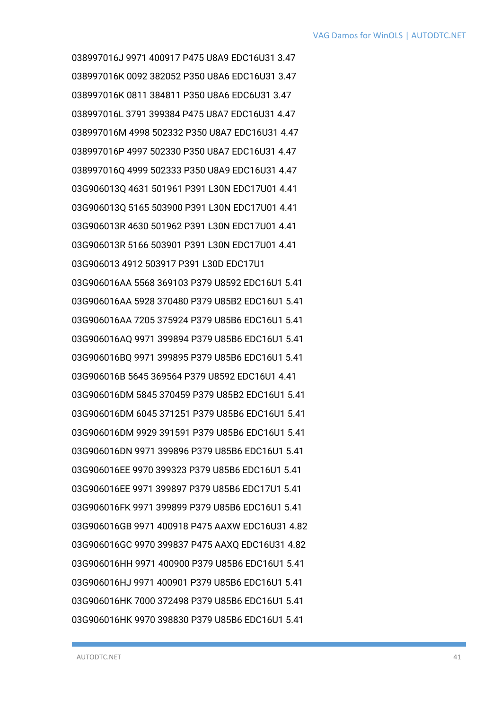038997016J 9971 400917 P475 U8A9 EDC16U31 3.47 038997016K 0092 382052 P350 U8A6 EDC16U31 3.47 038997016K 0811 384811 P350 U8A6 EDC6U31 3.47 038997016L 3791 399384 P475 U8A7 EDC16U31 4.47 038997016M 4998 502332 P350 U8A7 EDC16U31 4.47 038997016P 4997 502330 P350 U8A7 EDC16U31 4.47 038997016Q 4999 502333 P350 U8A9 EDC16U31 4.47 03G906013Q 4631 501961 P391 L30N EDC17U01 4.41 03G906013Q 5165 503900 P391 L30N EDC17U01 4.41 03G906013R 4630 501962 P391 L30N EDC17U01 4.41 03G906013R 5166 503901 P391 L30N EDC17U01 4.41 03G906013 4912 503917 P391 L30D EDC17U1 03G906016AA 5568 369103 P379 U8592 EDC16U1 5.41 03G906016AA 5928 370480 P379 U85B2 EDC16U1 5.41 03G906016AA 7205 375924 P379 U85B6 EDC16U1 5.41 03G906016AQ 9971 399894 P379 U85B6 EDC16U1 5.41 03G906016BQ 9971 399895 P379 U85B6 EDC16U1 5.41 03G906016B 5645 369564 P379 U8592 EDC16U1 4.41 03G906016DM 5845 370459 P379 U85B2 EDC16U1 5.41 03G906016DM 6045 371251 P379 U85B6 EDC16U1 5.41 03G906016DM 9929 391591 P379 U85B6 EDC16U1 5.41 03G906016DN 9971 399896 P379 U85B6 EDC16U1 5.41 03G906016EE 9970 399323 P379 U85B6 EDC16U1 5.41 03G906016EE 9971 399897 P379 U85B6 EDC17U1 5.41 03G906016FK 9971 399899 P379 U85B6 EDC16U1 5.41 03G906016GB 9971 400918 P475 AAXW EDC16U31 4.82 03G906016GC 9970 399837 P475 AAXQ EDC16U31 4.82 03G906016HH 9971 400900 P379 U85B6 EDC16U1 5.41 03G906016HJ 9971 400901 P379 U85B6 EDC16U1 5.41 03G906016HK 7000 372498 P379 U85B6 EDC16U1 5.41 03G906016HK 9970 398830 P379 U85B6 EDC16U1 5.41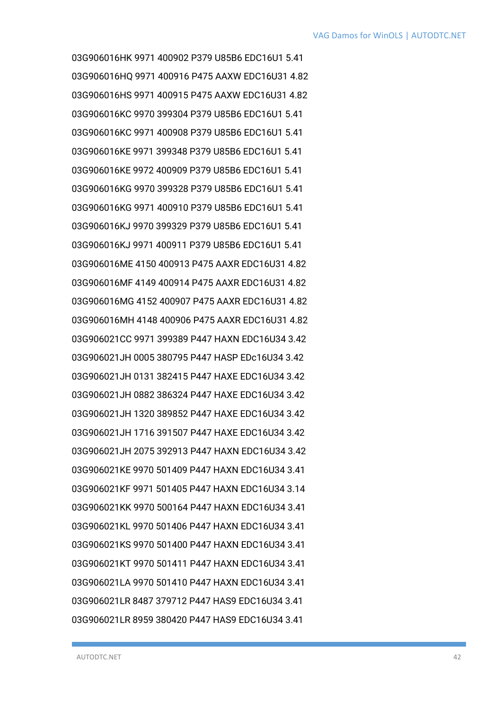03G906016HK 9971 400902 P379 U85B6 EDC16U1 5.41 03G906016HQ 9971 400916 P475 AAXW EDC16U31 4.82 03G906016HS 9971 400915 P475 AAXW EDC16U31 4.82 03G906016KC 9970 399304 P379 U85B6 EDC16U1 5.41 03G906016KC 9971 400908 P379 U85B6 EDC16U1 5.41 03G906016KE 9971 399348 P379 U85B6 EDC16U1 5.41 03G906016KE 9972 400909 P379 U85B6 EDC16U1 5.41 03G906016KG 9970 399328 P379 U85B6 EDC16U1 5.41 03G906016KG 9971 400910 P379 U85B6 EDC16U1 5.41 03G906016KJ 9970 399329 P379 U85B6 EDC16U1 5.41 03G906016KJ 9971 400911 P379 U85B6 EDC16U1 5.41 03G906016ME 4150 400913 P475 AAXR EDC16U31 4.82 03G906016MF 4149 400914 P475 AAXR EDC16U31 4.82 03G906016MG 4152 400907 P475 AAXR EDC16U31 4.82 03G906016MH 4148 400906 P475 AAXR EDC16U31 4.82 03G906021CC 9971 399389 P447 HAXN EDC16U34 3.42 03G906021JH 0005 380795 P447 HASP EDc16U34 3.42 03G906021JH 0131 382415 P447 HAXE EDC16U34 3.42 03G906021JH 0882 386324 P447 HAXE EDC16U34 3.42 03G906021JH 1320 389852 P447 HAXE EDC16U34 3.42 03G906021JH 1716 391507 P447 HAXE EDC16U34 3.42 03G906021JH 2075 392913 P447 HAXN EDC16U34 3.42 03G906021KE 9970 501409 P447 HAXN EDC16U34 3.41 03G906021KF 9971 501405 P447 HAXN EDC16U34 3.14 03G906021KK 9970 500164 P447 HAXN EDC16U34 3.41 03G906021KL 9970 501406 P447 HAXN EDC16U34 3.41 03G906021KS 9970 501400 P447 HAXN EDC16U34 3.41 03G906021KT 9970 501411 P447 HAXN EDC16U34 3.41 03G906021LA 9970 501410 P447 HAXN EDC16U34 3.41 03G906021LR 8487 379712 P447 HAS9 EDC16U34 3.41 03G906021LR 8959 380420 P447 HAS9 EDC16U34 3.41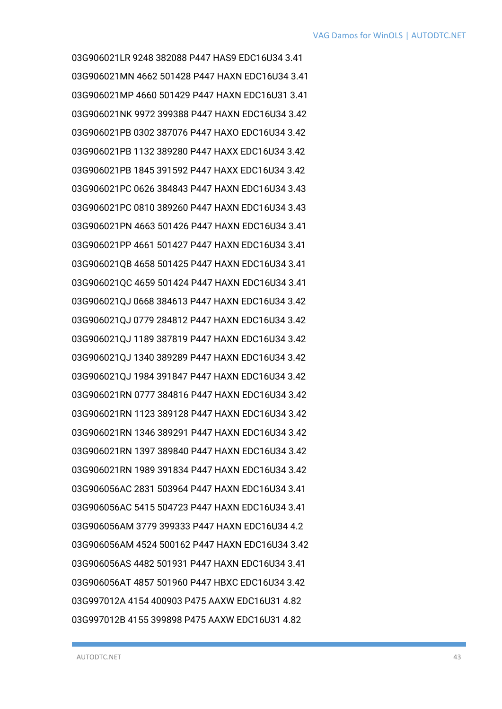03G906021LR 9248 382088 P447 HAS9 EDC16U34 3.41 03G906021MN 4662 501428 P447 HAXN EDC16U34 3.41 03G906021MP 4660 501429 P447 HAXN EDC16U31 3.41 03G906021NK 9972 399388 P447 HAXN EDC16U34 3.42 03G906021PB 0302 387076 P447 HAXO EDC16U34 3.42 03G906021PB 1132 389280 P447 HAXX EDC16U34 3.42 03G906021PB 1845 391592 P447 HAXX EDC16U34 3.42 03G906021PC 0626 384843 P447 HAXN EDC16U34 3.43 03G906021PC 0810 389260 P447 HAXN EDC16U34 3.43 03G906021PN 4663 501426 P447 HAXN EDC16U34 3.41 03G906021PP 4661 501427 P447 HAXN EDC16U34 3.41 03G906021QB 4658 501425 P447 HAXN EDC16U34 3.41 03G906021QC 4659 501424 P447 HAXN EDC16U34 3.41 03G906021QJ 0668 384613 P447 HAXN EDC16U34 3.42 03G906021QJ 0779 284812 P447 HAXN EDC16U34 3.42 03G906021QJ 1189 387819 P447 HAXN EDC16U34 3.42 03G906021QJ 1340 389289 P447 HAXN EDC16U34 3.42 03G906021QJ 1984 391847 P447 HAXN EDC16U34 3.42 03G906021RN 0777 384816 P447 HAXN EDC16U34 3.42 03G906021RN 1123 389128 P447 HAXN EDC16U34 3.42 03G906021RN 1346 389291 P447 HAXN EDC16U34 3.42 03G906021RN 1397 389840 P447 HAXN EDC16U34 3.42 03G906021RN 1989 391834 P447 HAXN EDC16U34 3.42 03G906056AC 2831 503964 P447 HAXN EDC16U34 3.41 03G906056AC 5415 504723 P447 HAXN EDC16U34 3.41 03G906056AM 3779 399333 P447 HAXN EDC16U34 4.2 03G906056AM 4524 500162 P447 HAXN EDC16U34 3.42 03G906056AS 4482 501931 P447 HAXN EDC16U34 3.41 03G906056AT 4857 501960 P447 HBXC EDC16U34 3.42 03G997012A 4154 400903 P475 AAXW EDC16U31 4.82 03G997012B 4155 399898 P475 AAXW EDC16U31 4.82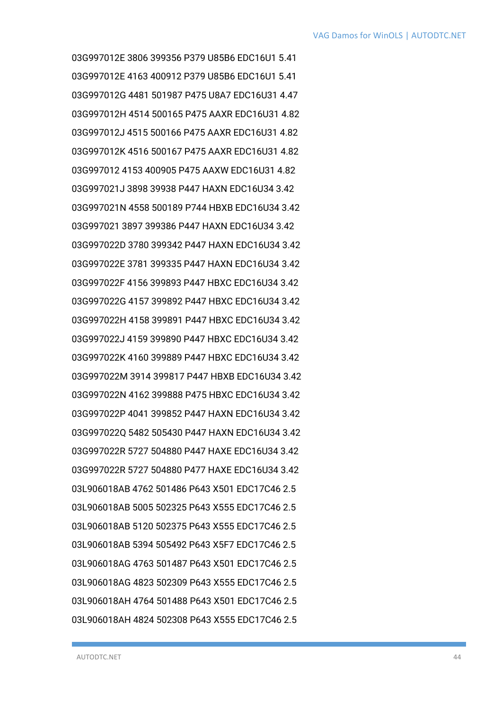03G997012E 3806 399356 P379 U85B6 EDC16U1 5.41 03G997012E 4163 400912 P379 U85B6 EDC16U1 5.41 03G997012G 4481 501987 P475 U8A7 EDC16U31 4.47 03G997012H 4514 500165 P475 AAXR EDC16U31 4.82 03G997012J 4515 500166 P475 AAXR EDC16U31 4.82 03G997012K 4516 500167 P475 AAXR EDC16U31 4.82 03G997012 4153 400905 P475 AAXW EDC16U31 4.82 03G997021J 3898 39938 P447 HAXN EDC16U34 3.42 03G997021N 4558 500189 P744 HBXB EDC16U34 3.42 03G997021 3897 399386 P447 HAXN EDC16U34 3.42 03G997022D 3780 399342 P447 HAXN EDC16U34 3.42 03G997022E 3781 399335 P447 HAXN EDC16U34 3.42 03G997022F 4156 399893 P447 HBXC EDC16U34 3.42 03G997022G 4157 399892 P447 HBXC EDC16U34 3.42 03G997022H 4158 399891 P447 HBXC EDC16U34 3.42 03G997022J 4159 399890 P447 HBXC EDC16U34 3.42 03G997022K 4160 399889 P447 HBXC EDC16U34 3.42 03G997022M 3914 399817 P447 HBXB EDC16U34 3.42 03G997022N 4162 399888 P475 HBXC EDC16U34 3.42 03G997022P 4041 399852 P447 HAXN EDC16U34 3.42 03G997022Q 5482 505430 P447 HAXN EDC16U34 3.42 03G997022R 5727 504880 P447 HAXE EDC16U34 3.42 03G997022R 5727 504880 P477 HAXE EDC16U34 3.42 03L906018AB 4762 501486 P643 X501 EDC17C46 2.5 03L906018AB 5005 502325 P643 X555 EDC17C46 2.5 03L906018AB 5120 502375 P643 X555 EDC17C46 2.5 03L906018AB 5394 505492 P643 X5F7 EDC17C46 2.5 03L906018AG 4763 501487 P643 X501 EDC17C46 2.5 03L906018AG 4823 502309 P643 X555 EDC17C46 2.5 03L906018AH 4764 501488 P643 X501 EDC17C46 2.5 03L906018AH 4824 502308 P643 X555 EDC17C46 2.5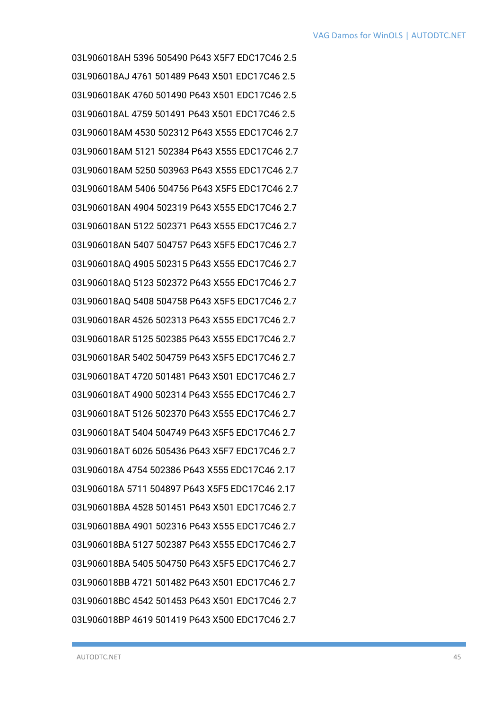03L906018AH 5396 505490 P643 X5F7 EDC17C46 2.5 03L906018AJ 4761 501489 P643 X501 EDC17C46 2.5 03L906018AK 4760 501490 P643 X501 EDC17C46 2.5 03L906018AL 4759 501491 P643 X501 EDC17C46 2.5 03L906018AM 4530 502312 P643 X555 EDC17C46 2.7 03L906018AM 5121 502384 P643 X555 EDC17C46 2.7 03L906018AM 5250 503963 P643 X555 EDC17C46 2.7 03L906018AM 5406 504756 P643 X5F5 EDC17C46 2.7 03L906018AN 4904 502319 P643 X555 EDC17C46 2.7 03L906018AN 5122 502371 P643 X555 EDC17C46 2.7 03L906018AN 5407 504757 P643 X5F5 EDC17C46 2.7 03L906018AQ 4905 502315 P643 X555 EDC17C46 2.7 03L906018AQ 5123 502372 P643 X555 EDC17C46 2.7 03L906018AQ 5408 504758 P643 X5F5 EDC17C46 2.7 03L906018AR 4526 502313 P643 X555 EDC17C46 2.7 03L906018AR 5125 502385 P643 X555 EDC17C46 2.7 03L906018AR 5402 504759 P643 X5F5 EDC17C46 2.7 03L906018AT 4720 501481 P643 X501 EDC17C46 2.7 03L906018AT 4900 502314 P643 X555 EDC17C46 2.7 03L906018AT 5126 502370 P643 X555 EDC17C46 2.7 03L906018AT 5404 504749 P643 X5F5 EDC17C46 2.7 03L906018AT 6026 505436 P643 X5F7 EDC17C46 2.7 03L906018A 4754 502386 P643 X555 EDC17C46 2.17 03L906018A 5711 504897 P643 X5F5 EDC17C46 2.17 03L906018BA 4528 501451 P643 X501 EDC17C46 2.7 03L906018BA 4901 502316 P643 X555 EDC17C46 2.7 03L906018BA 5127 502387 P643 X555 EDC17C46 2.7 03L906018BA 5405 504750 P643 X5F5 EDC17C46 2.7 03L906018BB 4721 501482 P643 X501 EDC17C46 2.7 03L906018BC 4542 501453 P643 X501 EDC17C46 2.7 03L906018BP 4619 501419 P643 X500 EDC17C46 2.7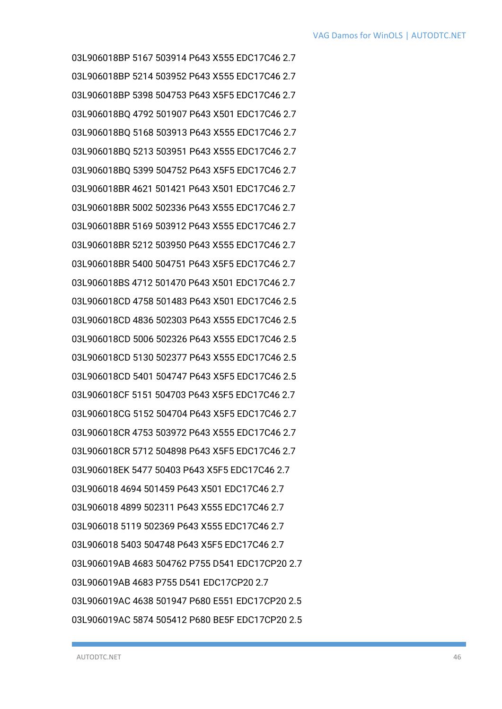03L906018BP 5167 503914 P643 X555 EDC17C46 2.7 03L906018BP 5214 503952 P643 X555 EDC17C46 2.7 03L906018BP 5398 504753 P643 X5F5 EDC17C46 2.7 03L906018BQ 4792 501907 P643 X501 EDC17C46 2.7 03L906018BQ 5168 503913 P643 X555 EDC17C46 2.7 03L906018BQ 5213 503951 P643 X555 EDC17C46 2.7 03L906018BQ 5399 504752 P643 X5F5 EDC17C46 2.7 03L906018BR 4621 501421 P643 X501 EDC17C46 2.7 03L906018BR 5002 502336 P643 X555 EDC17C46 2.7 03L906018BR 5169 503912 P643 X555 EDC17C46 2.7 03L906018BR 5212 503950 P643 X555 EDC17C46 2.7 03L906018BR 5400 504751 P643 X5F5 EDC17C46 2.7 03L906018BS 4712 501470 P643 X501 EDC17C46 2.7 03L906018CD 4758 501483 P643 X501 EDC17C46 2.5 03L906018CD 4836 502303 P643 X555 EDC17C46 2.5 03L906018CD 5006 502326 P643 X555 EDC17C46 2.5 03L906018CD 5130 502377 P643 X555 EDC17C46 2.5 03L906018CD 5401 504747 P643 X5F5 EDC17C46 2.5 03L906018CF 5151 504703 P643 X5F5 EDC17C46 2.7 03L906018CG 5152 504704 P643 X5F5 EDC17C46 2.7 03L906018CR 4753 503972 P643 X555 EDC17C46 2.7 03L906018CR 5712 504898 P643 X5F5 EDC17C46 2.7 03L906018EK 5477 50403 P643 X5F5 EDC17C46 2.7 03L906018 4694 501459 P643 X501 EDC17C46 2.7 03L906018 4899 502311 P643 X555 EDC17C46 2.7 03L906018 5119 502369 P643 X555 EDC17C46 2.7 03L906018 5403 504748 P643 X5F5 EDC17C46 2.7 03L906019AB 4683 504762 P755 D541 EDC17CP20 2.7 03L906019AB 4683 P755 D541 EDC17CP20 2.7 03L906019AC 4638 501947 P680 E551 EDC17CP20 2.5 03L906019AC 5874 505412 P680 BE5F EDC17CP20 2.5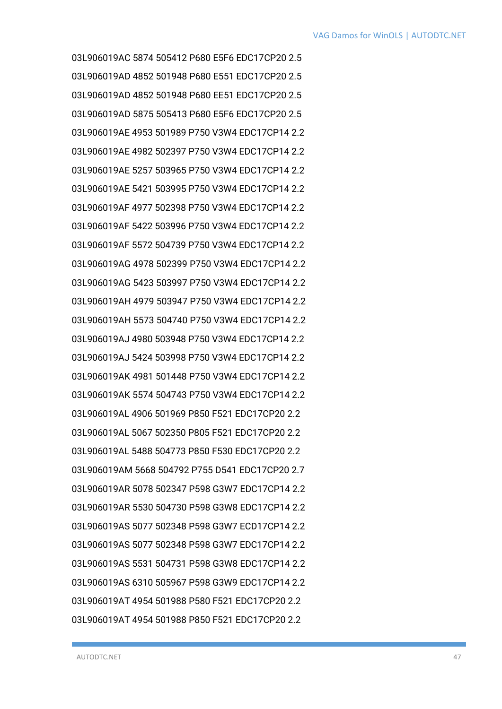03L906019AC 5874 505412 P680 E5F6 EDC17CP20 2.5 03L906019AD 4852 501948 P680 E551 EDC17CP20 2.5 03L906019AD 4852 501948 P680 EE51 EDC17CP20 2.5 03L906019AD 5875 505413 P680 E5F6 EDC17CP20 2.5 03L906019AE 4953 501989 P750 V3W4 EDC17CP14 2.2 03L906019AE 4982 502397 P750 V3W4 EDC17CP14 2.2 03L906019AE 5257 503965 P750 V3W4 EDC17CP14 2.2 03L906019AE 5421 503995 P750 V3W4 EDC17CP14 2.2 03L906019AF 4977 502398 P750 V3W4 EDC17CP14 2.2 03L906019AF 5422 503996 P750 V3W4 EDC17CP14 2.2 03L906019AF 5572 504739 P750 V3W4 EDC17CP14 2.2 03L906019AG 4978 502399 P750 V3W4 EDC17CP14 2.2 03L906019AG 5423 503997 P750 V3W4 EDC17CP14 2.2 03L906019AH 4979 503947 P750 V3W4 EDC17CP14 2.2 03L906019AH 5573 504740 P750 V3W4 EDC17CP14 2.2 03L906019AJ 4980 503948 P750 V3W4 EDC17CP14 2.2 03L906019AJ 5424 503998 P750 V3W4 EDC17CP14 2.2 03L906019AK 4981 501448 P750 V3W4 EDC17CP14 2.2 03L906019AK 5574 504743 P750 V3W4 EDC17CP14 2.2 03L906019AL 4906 501969 P850 F521 EDC17CP20 2.2 03L906019AL 5067 502350 P805 F521 EDC17CP20 2.2 03L906019AL 5488 504773 P850 F530 EDC17CP20 2.2 03L906019AM 5668 504792 P755 D541 EDC17CP20 2.7 03L906019AR 5078 502347 P598 G3W7 EDC17CP14 2.2 03L906019AR 5530 504730 P598 G3W8 EDC17CP14 2.2 03L906019AS 5077 502348 P598 G3W7 ECD17CP14 2.2 03L906019AS 5077 502348 P598 G3W7 EDC17CP14 2.2 03L906019AS 5531 504731 P598 G3W8 EDC17CP14 2.2 03L906019AS 6310 505967 P598 G3W9 EDC17CP14 2.2 03L906019AT 4954 501988 P580 F521 EDC17CP20 2.2 03L906019AT 4954 501988 P850 F521 EDC17CP20 2.2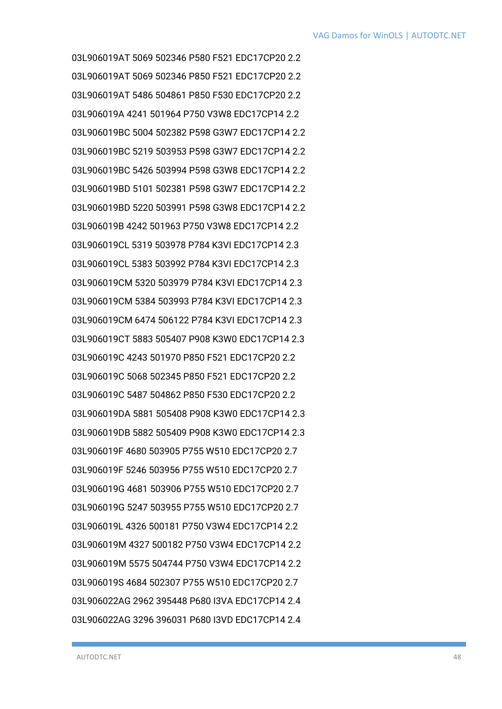03L906019AT 5069 502346 P580 F521 EDC17CP20 2.2 03L906019AT 5069 502346 P850 F521 EDC17CP20 2.2 03L906019AT 5486 504861 P850 F530 EDC17CP20 2.2 03L906019A 4241 501964 P750 V3W8 EDC17CP14 2.2 03L906019BC 5004 502382 P598 G3W7 EDC17CP14 2.2 03L906019BC 5219 503953 P598 G3W7 EDC17CP14 2.2 03L906019BC 5426 503994 P598 G3W8 EDC17CP14 2.2 03L906019BD 5101 502381 P598 G3W7 EDC17CP14 2.2 03L906019BD 5220 503991 P598 G3W8 EDC17CP14 2.2 03L906019B 4242 501963 P750 V3W8 EDC17CP14 2.2 03L906019CL 5319 503978 P784 K3VI EDC17CP14 2.3 03L906019CL 5383 503992 P784 K3VI EDC17CP14 2.3 03L906019CM 5320 503979 P784 K3VI EDC17CP14 2.3 03L906019CM 5384 503993 P784 K3VI EDC17CP14 2.3 03L906019CM 6474 506122 P784 K3VI EDC17CP14 2.3 03L906019CT 5883 505407 P908 K3W0 EDC17CP14 2.3 03L906019C 4243 501970 P850 F521 EDC17CP20 2.2 03L906019C 5068 502345 P850 F521 EDC17CP20 2.2 03L906019C 5487 504862 P850 F530 EDC17CP20 2.2 03L906019DA 5881 505408 P908 K3W0 EDC17CP14 2.3 03L906019DB 5882 505409 P908 K3W0 EDC17CP14 2.3 03L906019F 4680 503905 P755 W510 EDC17CP20 2.7 03L906019F 5246 503956 P755 W510 EDC17CP20 2.7 03L906019G 4681 503906 P755 W510 EDC17CP20 2.7 03L906019G 5247 503955 P755 W510 EDC17CP20 2.7 03L906019L 4326 500181 P750 V3W4 EDC17CP14 2.2 03L906019M 4327 500182 P750 V3W4 EDC17CP14 2.2 03L906019M 5575 504744 P750 V3W4 EDC17CP14 2.2 03L906019S 4684 502307 P755 W510 EDC17CP20 2.7 03L906022AG 2962 395448 P680 I3VA EDC17CP14 2.4 03L906022AG 3296 396031 P680 I3VD EDC17CP14 2.4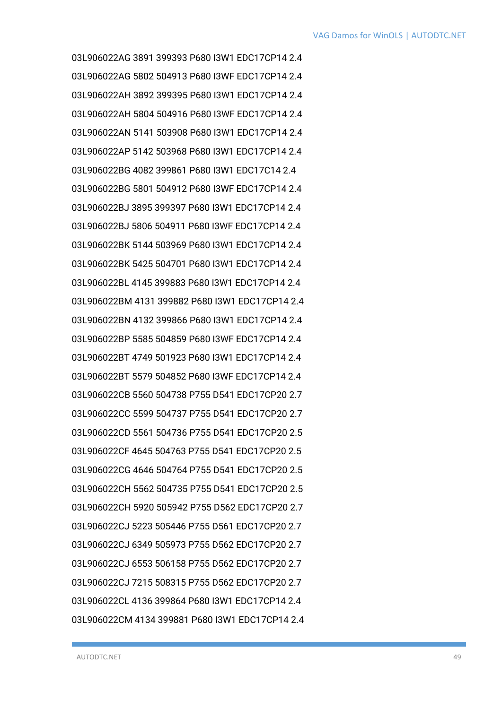03L906022AG 3891 399393 P680 I3W1 EDC17CP14 2.4 03L906022AG 5802 504913 P680 I3WF EDC17CP14 2.4 03L906022AH 3892 399395 P680 I3W1 EDC17CP14 2.4 03L906022AH 5804 504916 P680 I3WF EDC17CP14 2.4 03L906022AN 5141 503908 P680 I3W1 EDC17CP14 2.4 03L906022AP 5142 503968 P680 I3W1 EDC17CP14 2.4 03L906022BG 4082 399861 P680 I3W1 EDC17C14 2.4 03L906022BG 5801 504912 P680 I3WF EDC17CP14 2.4 03L906022BJ 3895 399397 P680 I3W1 EDC17CP14 2.4 03L906022BJ 5806 504911 P680 I3WF EDC17CP14 2.4 03L906022BK 5144 503969 P680 I3W1 EDC17CP14 2.4 03L906022BK 5425 504701 P680 I3W1 EDC17CP14 2.4 03L906022BL 4145 399883 P680 I3W1 EDC17CP14 2.4 03L906022BM 4131 399882 P680 I3W1 EDC17CP14 2.4 03L906022BN 4132 399866 P680 I3W1 EDC17CP14 2.4 03L906022BP 5585 504859 P680 I3WF EDC17CP14 2.4 03L906022BT 4749 501923 P680 I3W1 EDC17CP14 2.4 03L906022BT 5579 504852 P680 I3WF EDC17CP14 2.4 03L906022CB 5560 504738 P755 D541 EDC17CP20 2.7 03L906022CC 5599 504737 P755 D541 EDC17CP20 2.7 03L906022CD 5561 504736 P755 D541 EDC17CP20 2.5 03L906022CF 4645 504763 P755 D541 EDC17CP20 2.5 03L906022CG 4646 504764 P755 D541 EDC17CP20 2.5 03L906022CH 5562 504735 P755 D541 EDC17CP20 2.5 03L906022CH 5920 505942 P755 D562 EDC17CP20 2.7 03L906022CJ 5223 505446 P755 D561 EDC17CP20 2.7 03L906022CJ 6349 505973 P755 D562 EDC17CP20 2.7 03L906022CJ 6553 506158 P755 D562 EDC17CP20 2.7 03L906022CJ 7215 508315 P755 D562 EDC17CP20 2.7 03L906022CL 4136 399864 P680 I3W1 EDC17CP14 2.4 03L906022CM 4134 399881 P680 I3W1 EDC17CP14 2.4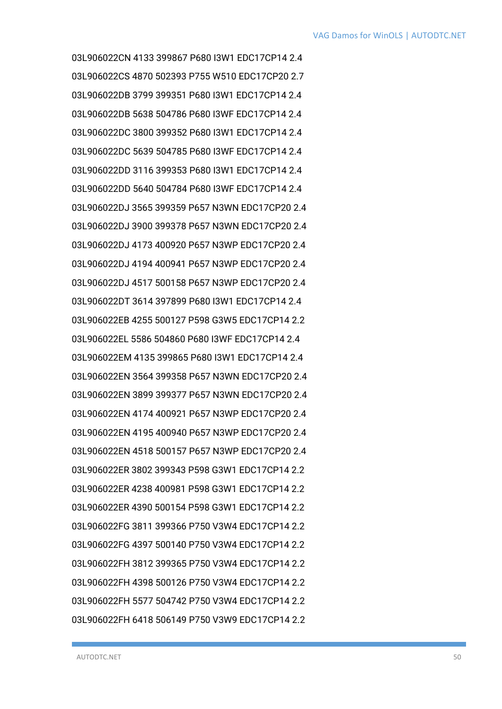03L906022CN 4133 399867 P680 I3W1 EDC17CP14 2.4 03L906022CS 4870 502393 P755 W510 EDC17CP20 2.7 03L906022DB 3799 399351 P680 I3W1 EDC17CP14 2.4 03L906022DB 5638 504786 P680 I3WF EDC17CP14 2.4 03L906022DC 3800 399352 P680 I3W1 EDC17CP14 2.4 03L906022DC 5639 504785 P680 I3WF EDC17CP14 2.4 03L906022DD 3116 399353 P680 I3W1 EDC17CP14 2.4 03L906022DD 5640 504784 P680 I3WF EDC17CP14 2.4 03L906022DJ 3565 399359 P657 N3WN EDC17CP20 2.4 03L906022DJ 3900 399378 P657 N3WN EDC17CP20 2.4 03L906022DJ 4173 400920 P657 N3WP EDC17CP20 2.4 03L906022DJ 4194 400941 P657 N3WP EDC17CP20 2.4 03L906022DJ 4517 500158 P657 N3WP EDC17CP20 2.4 03L906022DT 3614 397899 P680 I3W1 EDC17CP14 2.4 03L906022EB 4255 500127 P598 G3W5 EDC17CP14 2.2 03L906022EL 5586 504860 P680 I3WF EDC17CP14 2.4 03L906022EM 4135 399865 P680 I3W1 EDC17CP14 2.4 03L906022EN 3564 399358 P657 N3WN EDC17CP20 2.4 03L906022EN 3899 399377 P657 N3WN EDC17CP20 2.4 03L906022EN 4174 400921 P657 N3WP EDC17CP20 2.4 03L906022EN 4195 400940 P657 N3WP EDC17CP20 2.4 03L906022EN 4518 500157 P657 N3WP EDC17CP20 2.4 03L906022ER 3802 399343 P598 G3W1 EDC17CP14 2.2 03L906022ER 4238 400981 P598 G3W1 EDC17CP14 2.2 03L906022ER 4390 500154 P598 G3W1 EDC17CP14 2.2 03L906022FG 3811 399366 P750 V3W4 EDC17CP14 2.2 03L906022FG 4397 500140 P750 V3W4 EDC17CP14 2.2 03L906022FH 3812 399365 P750 V3W4 EDC17CP14 2.2 03L906022FH 4398 500126 P750 V3W4 EDC17CP14 2.2 03L906022FH 5577 504742 P750 V3W4 EDC17CP14 2.2 03L906022FH 6418 506149 P750 V3W9 EDC17CP14 2.2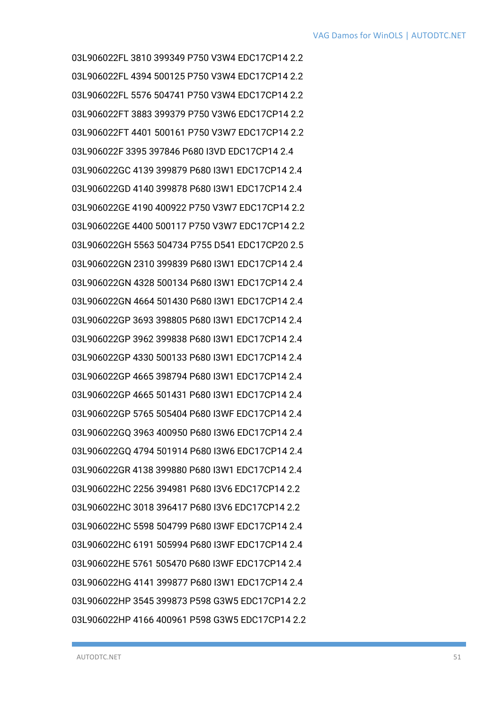03L906022FL 3810 399349 P750 V3W4 EDC17CP14 2.2 03L906022FL 4394 500125 P750 V3W4 EDC17CP14 2.2 03L906022FL 5576 504741 P750 V3W4 EDC17CP14 2.2 03L906022FT 3883 399379 P750 V3W6 EDC17CP14 2.2 03L906022FT 4401 500161 P750 V3W7 EDC17CP14 2.2 03L906022F 3395 397846 P680 I3VD EDC17CP14 2.4 03L906022GC 4139 399879 P680 I3W1 EDC17CP14 2.4 03L906022GD 4140 399878 P680 I3W1 EDC17CP14 2.4 03L906022GE 4190 400922 P750 V3W7 EDC17CP14 2.2 03L906022GE 4400 500117 P750 V3W7 EDC17CP14 2.2 03L906022GH 5563 504734 P755 D541 EDC17CP20 2.5 03L906022GN 2310 399839 P680 I3W1 EDC17CP14 2.4 03L906022GN 4328 500134 P680 I3W1 EDC17CP14 2.4 03L906022GN 4664 501430 P680 I3W1 EDC17CP14 2.4 03L906022GP 3693 398805 P680 I3W1 EDC17CP14 2.4 03L906022GP 3962 399838 P680 I3W1 EDC17CP14 2.4 03L906022GP 4330 500133 P680 I3W1 EDC17CP14 2.4 03L906022GP 4665 398794 P680 I3W1 EDC17CP14 2.4 03L906022GP 4665 501431 P680 I3W1 EDC17CP14 2.4 03L906022GP 5765 505404 P680 I3WF EDC17CP14 2.4 03L906022GQ 3963 400950 P680 I3W6 EDC17CP14 2.4 03L906022GQ 4794 501914 P680 I3W6 EDC17CP14 2.4 03L906022GR 4138 399880 P680 I3W1 EDC17CP14 2.4 03L906022HC 2256 394981 P680 I3V6 EDC17CP14 2.2 03L906022HC 3018 396417 P680 I3V6 EDC17CP14 2.2 03L906022HC 5598 504799 P680 I3WF EDC17CP14 2.4 03L906022HC 6191 505994 P680 I3WF EDC17CP14 2.4 03L906022HE 5761 505470 P680 I3WF EDC17CP14 2.4 03L906022HG 4141 399877 P680 I3W1 EDC17CP14 2.4 03L906022HP 3545 399873 P598 G3W5 EDC17CP14 2.2 03L906022HP 4166 400961 P598 G3W5 EDC17CP14 2.2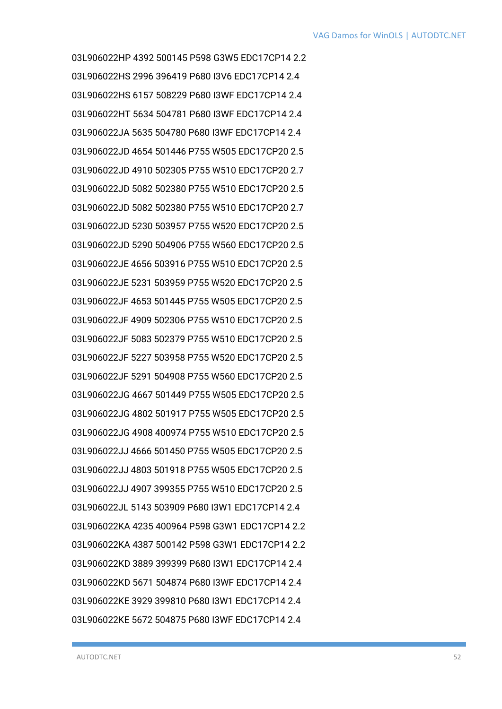03L906022HP 4392 500145 P598 G3W5 EDC17CP14 2.2 03L906022HS 2996 396419 P680 I3V6 EDC17CP14 2.4 03L906022HS 6157 508229 P680 I3WF EDC17CP14 2.4 03L906022HT 5634 504781 P680 I3WF EDC17CP14 2.4 03L906022JA 5635 504780 P680 I3WF EDC17CP14 2.4 03L906022JD 4654 501446 P755 W505 EDC17CP20 2.5 03L906022JD 4910 502305 P755 W510 EDC17CP20 2.7 03L906022JD 5082 502380 P755 W510 EDC17CP20 2.5 03L906022JD 5082 502380 P755 W510 EDC17CP20 2.7 03L906022JD 5230 503957 P755 W520 EDC17CP20 2.5 03L906022JD 5290 504906 P755 W560 EDC17CP20 2.5 03L906022JE 4656 503916 P755 W510 EDC17CP20 2.5 03L906022JE 5231 503959 P755 W520 EDC17CP20 2.5 03L906022JF 4653 501445 P755 W505 EDC17CP20 2.5 03L906022JF 4909 502306 P755 W510 EDC17CP20 2.5 03L906022JF 5083 502379 P755 W510 EDC17CP20 2.5 03L906022JF 5227 503958 P755 W520 EDC17CP20 2.5 03L906022JF 5291 504908 P755 W560 EDC17CP20 2.5 03L906022JG 4667 501449 P755 W505 EDC17CP20 2.5 03L906022JG 4802 501917 P755 W505 EDC17CP20 2.5 03L906022JG 4908 400974 P755 W510 EDC17CP20 2.5 03L906022JJ 4666 501450 P755 W505 EDC17CP20 2.5 03L906022JJ 4803 501918 P755 W505 EDC17CP20 2.5 03L906022JJ 4907 399355 P755 W510 EDC17CP20 2.5 03L906022JL 5143 503909 P680 I3W1 EDC17CP14 2.4 03L906022KA 4235 400964 P598 G3W1 EDC17CP14 2.2 03L906022KA 4387 500142 P598 G3W1 EDC17CP14 2.2 03L906022KD 3889 399399 P680 I3W1 EDC17CP14 2.4 03L906022KD 5671 504874 P680 I3WF EDC17CP14 2.4 03L906022KE 3929 399810 P680 I3W1 EDC17CP14 2.4 03L906022KE 5672 504875 P680 I3WF EDC17CP14 2.4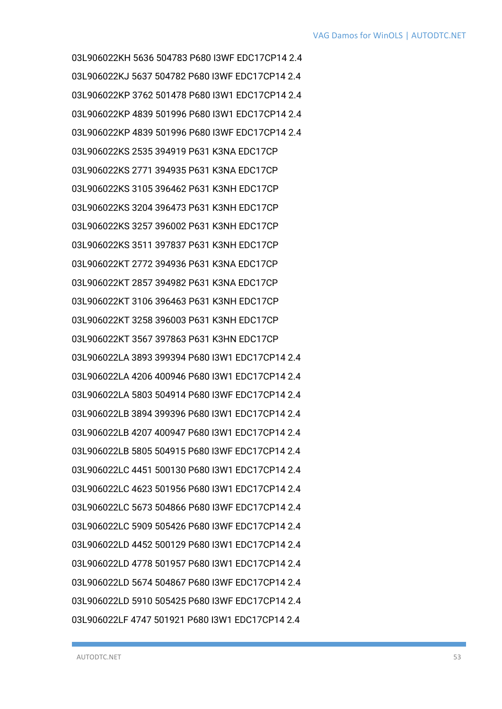03L906022KH 5636 504783 P680 I3WF EDC17CP14 2.4 03L906022KJ 5637 504782 P680 I3WF EDC17CP14 2.4 03L906022KP 3762 501478 P680 I3W1 EDC17CP14 2.4 03L906022KP 4839 501996 P680 I3W1 EDC17CP14 2.4 03L906022KP 4839 501996 P680 I3WF EDC17CP14 2.4 03L906022KS 2535 394919 P631 K3NA EDC17CP 03L906022KS 2771 394935 P631 K3NA EDC17CP 03L906022KS 3105 396462 P631 K3NH EDC17CP 03L906022KS 3204 396473 P631 K3NH EDC17CP 03L906022KS 3257 396002 P631 K3NH EDC17CP 03L906022KS 3511 397837 P631 K3NH EDC17CP 03L906022KT 2772 394936 P631 K3NA EDC17CP 03L906022KT 2857 394982 P631 K3NA EDC17CP 03L906022KT 3106 396463 P631 K3NH EDC17CP 03L906022KT 3258 396003 P631 K3NH EDC17CP 03L906022KT 3567 397863 P631 K3HN EDC17CP 03L906022LA 3893 399394 P680 I3W1 EDC17CP14 2.4 03L906022LA 4206 400946 P680 I3W1 EDC17CP14 2.4 03L906022LA 5803 504914 P680 I3WF EDC17CP14 2.4 03L906022LB 3894 399396 P680 I3W1 EDC17CP14 2.4 03L906022LB 4207 400947 P680 I3W1 EDC17CP14 2.4 03L906022LB 5805 504915 P680 I3WF EDC17CP14 2.4 03L906022LC 4451 500130 P680 I3W1 EDC17CP14 2.4 03L906022LC 4623 501956 P680 I3W1 EDC17CP14 2.4 03L906022LC 5673 504866 P680 I3WF EDC17CP14 2.4 03L906022LC 5909 505426 P680 I3WF EDC17CP14 2.4 03L906022LD 4452 500129 P680 I3W1 EDC17CP14 2.4 03L906022LD 4778 501957 P680 I3W1 EDC17CP14 2.4 03L906022LD 5674 504867 P680 I3WF EDC17CP14 2.4 03L906022LD 5910 505425 P680 I3WF EDC17CP14 2.4 03L906022LF 4747 501921 P680 I3W1 EDC17CP14 2.4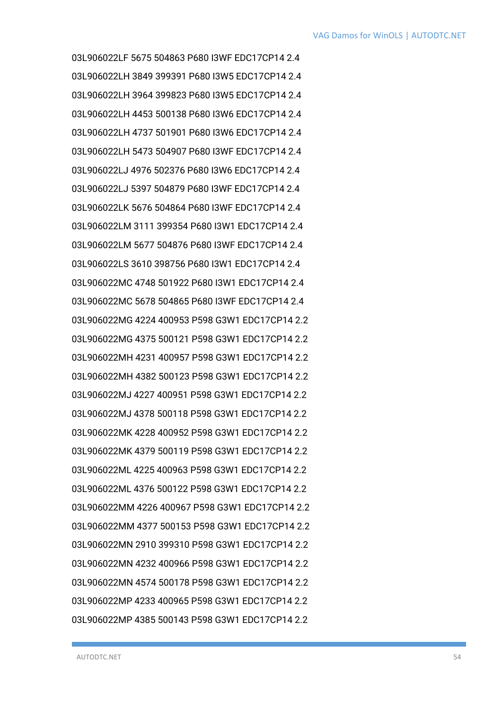03L906022LF 5675 504863 P680 I3WF EDC17CP14 2.4 03L906022LH 3849 399391 P680 I3W5 EDC17CP14 2.4 03L906022LH 3964 399823 P680 I3W5 EDC17CP14 2.4 03L906022LH 4453 500138 P680 I3W6 EDC17CP14 2.4 03L906022LH 4737 501901 P680 I3W6 EDC17CP14 2.4 03L906022LH 5473 504907 P680 I3WF EDC17CP14 2.4 03L906022LJ 4976 502376 P680 I3W6 EDC17CP14 2.4 03L906022LJ 5397 504879 P680 I3WF EDC17CP14 2.4 03L906022LK 5676 504864 P680 I3WF EDC17CP14 2.4 03L906022LM 3111 399354 P680 I3W1 EDC17CP14 2.4 03L906022LM 5677 504876 P680 I3WF EDC17CP14 2.4 03L906022LS 3610 398756 P680 I3W1 EDC17CP14 2.4 03L906022MC 4748 501922 P680 I3W1 EDC17CP14 2.4 03L906022MC 5678 504865 P680 I3WF EDC17CP14 2.4 03L906022MG 4224 400953 P598 G3W1 EDC17CP14 2.2 03L906022MG 4375 500121 P598 G3W1 EDC17CP14 2.2 03L906022MH 4231 400957 P598 G3W1 EDC17CP14 2.2 03L906022MH 4382 500123 P598 G3W1 EDC17CP14 2.2 03L906022MJ 4227 400951 P598 G3W1 EDC17CP14 2.2 03L906022MJ 4378 500118 P598 G3W1 EDC17CP14 2.2 03L906022MK 4228 400952 P598 G3W1 EDC17CP14 2.2 03L906022MK 4379 500119 P598 G3W1 EDC17CP14 2.2 03L906022ML 4225 400963 P598 G3W1 EDC17CP14 2.2 03L906022ML 4376 500122 P598 G3W1 EDC17CP14 2.2 03L906022MM 4226 400967 P598 G3W1 EDC17CP14 2.2 03L906022MM 4377 500153 P598 G3W1 EDC17CP14 2.2 03L906022MN 2910 399310 P598 G3W1 EDC17CP14 2.2 03L906022MN 4232 400966 P598 G3W1 EDC17CP14 2.2 03L906022MN 4574 500178 P598 G3W1 EDC17CP14 2.2 03L906022MP 4233 400965 P598 G3W1 EDC17CP14 2.2 03L906022MP 4385 500143 P598 G3W1 EDC17CP14 2.2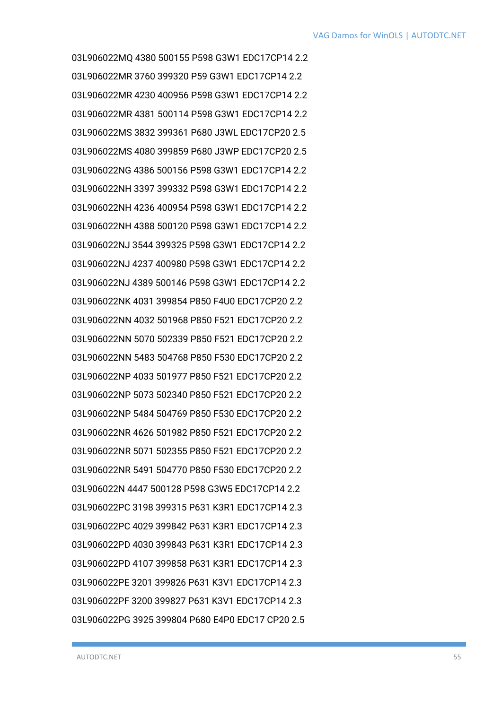03L906022MQ 4380 500155 P598 G3W1 EDC17CP14 2.2 03L906022MR 3760 399320 P59 G3W1 EDC17CP14 2.2 03L906022MR 4230 400956 P598 G3W1 EDC17CP14 2.2 03L906022MR 4381 500114 P598 G3W1 EDC17CP14 2.2 03L906022MS 3832 399361 P680 J3WL EDC17CP20 2.5 03L906022MS 4080 399859 P680 J3WP EDC17CP20 2.5 03L906022NG 4386 500156 P598 G3W1 EDC17CP14 2.2 03L906022NH 3397 399332 P598 G3W1 EDC17CP14 2.2 03L906022NH 4236 400954 P598 G3W1 EDC17CP14 2.2 03L906022NH 4388 500120 P598 G3W1 EDC17CP14 2.2 03L906022NJ 3544 399325 P598 G3W1 EDC17CP14 2.2 03L906022NJ 4237 400980 P598 G3W1 EDC17CP14 2.2 03L906022NJ 4389 500146 P598 G3W1 EDC17CP14 2.2 03L906022NK 4031 399854 P850 F4U0 EDC17CP20 2.2 03L906022NN 4032 501968 P850 F521 EDC17CP20 2.2 03L906022NN 5070 502339 P850 F521 EDC17CP20 2.2 03L906022NN 5483 504768 P850 F530 EDC17CP20 2.2 03L906022NP 4033 501977 P850 F521 EDC17CP20 2.2 03L906022NP 5073 502340 P850 F521 EDC17CP20 2.2 03L906022NP 5484 504769 P850 F530 EDC17CP20 2.2 03L906022NR 4626 501982 P850 F521 EDC17CP20 2.2 03L906022NR 5071 502355 P850 F521 EDC17CP20 2.2 03L906022NR 5491 504770 P850 F530 EDC17CP20 2.2 03L906022N 4447 500128 P598 G3W5 EDC17CP14 2.2 03L906022PC 3198 399315 P631 K3R1 EDC17CP14 2.3 03L906022PC 4029 399842 P631 K3R1 EDC17CP14 2.3 03L906022PD 4030 399843 P631 K3R1 EDC17CP14 2.3 03L906022PD 4107 399858 P631 K3R1 EDC17CP14 2.3 03L906022PE 3201 399826 P631 K3V1 EDC17CP14 2.3 03L906022PF 3200 399827 P631 K3V1 EDC17CP14 2.3 03L906022PG 3925 399804 P680 E4P0 EDC17 CP20 2.5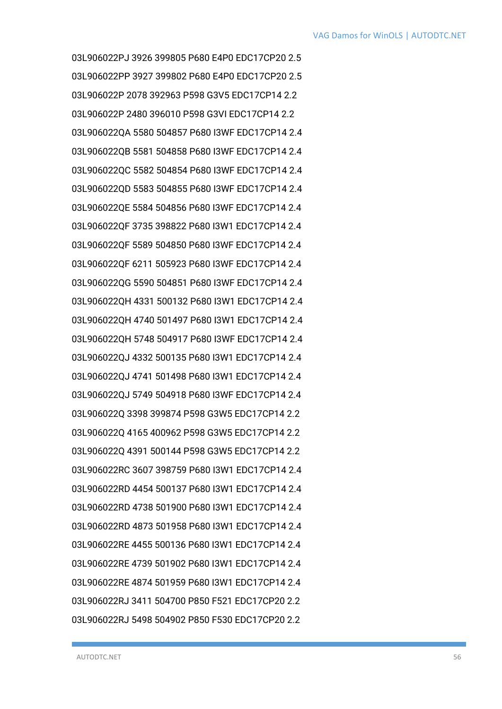03L906022PJ 3926 399805 P680 E4P0 EDC17CP20 2.5 03L906022PP 3927 399802 P680 E4P0 EDC17CP20 2.5 03L906022P 2078 392963 P598 G3V5 EDC17CP14 2.2 03L906022P 2480 396010 P598 G3VI EDC17CP14 2.2 03L906022QA 5580 504857 P680 I3WF EDC17CP14 2.4 03L906022QB 5581 504858 P680 I3WF EDC17CP14 2.4 03L906022QC 5582 504854 P680 I3WF EDC17CP14 2.4 03L906022QD 5583 504855 P680 I3WF EDC17CP14 2.4 03L906022QE 5584 504856 P680 I3WF EDC17CP14 2.4 03L906022QF 3735 398822 P680 I3W1 EDC17CP14 2.4 03L906022QF 5589 504850 P680 I3WF EDC17CP14 2.4 03L906022QF 6211 505923 P680 I3WF EDC17CP14 2.4 03L906022QG 5590 504851 P680 I3WF EDC17CP14 2.4 03L906022QH 4331 500132 P680 I3W1 EDC17CP14 2.4 03L906022QH 4740 501497 P680 I3W1 EDC17CP14 2.4 03L906022QH 5748 504917 P680 I3WF EDC17CP14 2.4 03L906022QJ 4332 500135 P680 I3W1 EDC17CP14 2.4 03L906022QJ 4741 501498 P680 I3W1 EDC17CP14 2.4 03L906022QJ 5749 504918 P680 I3WF EDC17CP14 2.4 03L906022Q 3398 399874 P598 G3W5 EDC17CP14 2.2 03L906022Q 4165 400962 P598 G3W5 EDC17CP14 2.2 03L906022Q 4391 500144 P598 G3W5 EDC17CP14 2.2 03L906022RC 3607 398759 P680 I3W1 EDC17CP14 2.4 03L906022RD 4454 500137 P680 I3W1 EDC17CP14 2.4 03L906022RD 4738 501900 P680 I3W1 EDC17CP14 2.4 03L906022RD 4873 501958 P680 I3W1 EDC17CP14 2.4 03L906022RE 4455 500136 P680 I3W1 EDC17CP14 2.4 03L906022RE 4739 501902 P680 I3W1 EDC17CP14 2.4 03L906022RE 4874 501959 P680 I3W1 EDC17CP14 2.4 03L906022RJ 3411 504700 P850 F521 EDC17CP20 2.2 03L906022RJ 5498 504902 P850 F530 EDC17CP20 2.2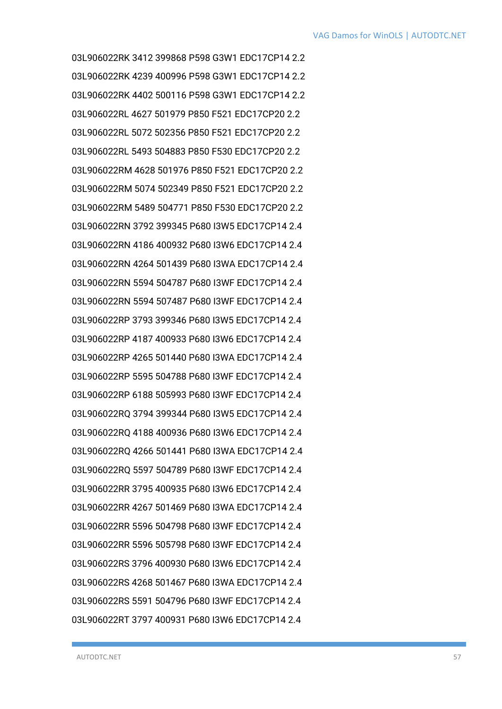03L906022RK 3412 399868 P598 G3W1 EDC17CP14 2.2 03L906022RK 4239 400996 P598 G3W1 EDC17CP14 2.2 03L906022RK 4402 500116 P598 G3W1 EDC17CP14 2.2 03L906022RL 4627 501979 P850 F521 EDC17CP20 2.2 03L906022RL 5072 502356 P850 F521 EDC17CP20 2.2 03L906022RL 5493 504883 P850 F530 EDC17CP20 2.2 03L906022RM 4628 501976 P850 F521 EDC17CP20 2.2 03L906022RM 5074 502349 P850 F521 EDC17CP20 2.2 03L906022RM 5489 504771 P850 F530 EDC17CP20 2.2 03L906022RN 3792 399345 P680 I3W5 EDC17CP14 2.4 03L906022RN 4186 400932 P680 I3W6 EDC17CP14 2.4 03L906022RN 4264 501439 P680 I3WA EDC17CP14 2.4 03L906022RN 5594 504787 P680 I3WF EDC17CP14 2.4 03L906022RN 5594 507487 P680 I3WF EDC17CP14 2.4 03L906022RP 3793 399346 P680 I3W5 EDC17CP14 2.4 03L906022RP 4187 400933 P680 I3W6 EDC17CP14 2.4 03L906022RP 4265 501440 P680 I3WA EDC17CP14 2.4 03L906022RP 5595 504788 P680 I3WF EDC17CP14 2.4 03L906022RP 6188 505993 P680 I3WF EDC17CP14 2.4 03L906022RQ 3794 399344 P680 I3W5 EDC17CP14 2.4 03L906022RQ 4188 400936 P680 I3W6 EDC17CP14 2.4 03L906022RQ 4266 501441 P680 I3WA EDC17CP14 2.4 03L906022RQ 5597 504789 P680 I3WF EDC17CP14 2.4 03L906022RR 3795 400935 P680 I3W6 EDC17CP14 2.4 03L906022RR 4267 501469 P680 I3WA EDC17CP14 2.4 03L906022RR 5596 504798 P680 I3WF EDC17CP14 2.4 03L906022RR 5596 505798 P680 I3WF EDC17CP14 2.4 03L906022RS 3796 400930 P680 I3W6 EDC17CP14 2.4 03L906022RS 4268 501467 P680 I3WA EDC17CP14 2.4 03L906022RS 5591 504796 P680 I3WF EDC17CP14 2.4 03L906022RT 3797 400931 P680 I3W6 EDC17CP14 2.4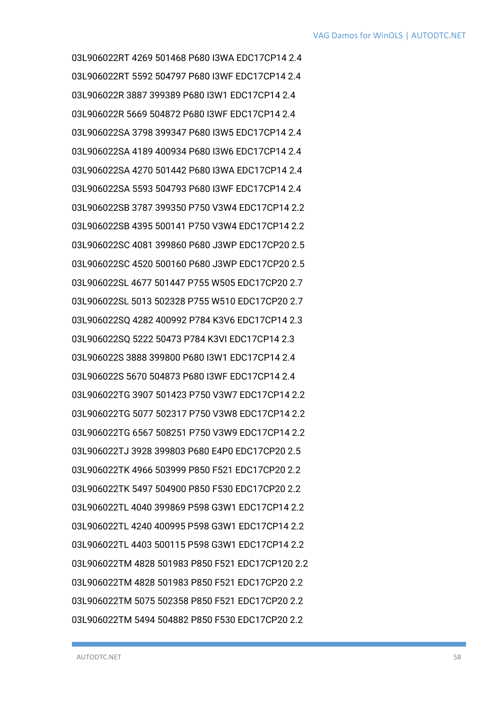03L906022RT 4269 501468 P680 I3WA EDC17CP14 2.4 03L906022RT 5592 504797 P680 I3WF EDC17CP14 2.4 03L906022R 3887 399389 P680 I3W1 EDC17CP14 2.4 03L906022R 5669 504872 P680 I3WF EDC17CP14 2.4 03L906022SA 3798 399347 P680 I3W5 EDC17CP14 2.4 03L906022SA 4189 400934 P680 I3W6 EDC17CP14 2.4 03L906022SA 4270 501442 P680 I3WA EDC17CP14 2.4 03L906022SA 5593 504793 P680 I3WF EDC17CP14 2.4 03L906022SB 3787 399350 P750 V3W4 EDC17CP14 2.2 03L906022SB 4395 500141 P750 V3W4 EDC17CP14 2.2 03L906022SC 4081 399860 P680 J3WP EDC17CP20 2.5 03L906022SC 4520 500160 P680 J3WP EDC17CP20 2.5 03L906022SL 4677 501447 P755 W505 EDC17CP20 2.7 03L906022SL 5013 502328 P755 W510 EDC17CP20 2.7 03L906022SQ 4282 400992 P784 K3V6 EDC17CP14 2.3 03L906022SQ 5222 50473 P784 K3VI EDC17CP14 2.3 03L906022S 3888 399800 P680 I3W1 EDC17CP14 2.4 03L906022S 5670 504873 P680 I3WF EDC17CP14 2.4 03L906022TG 3907 501423 P750 V3W7 EDC17CP14 2.2 03L906022TG 5077 502317 P750 V3W8 EDC17CP14 2.2 03L906022TG 6567 508251 P750 V3W9 EDC17CP14 2.2 03L906022TJ 3928 399803 P680 E4P0 EDC17CP20 2.5 03L906022TK 4966 503999 P850 F521 EDC17CP20 2.2 03L906022TK 5497 504900 P850 F530 EDC17CP20 2.2 03L906022TL 4040 399869 P598 G3W1 EDC17CP14 2.2 03L906022TL 4240 400995 P598 G3W1 EDC17CP14 2.2 03L906022TL 4403 500115 P598 G3W1 EDC17CP14 2.2 03L906022TM 4828 501983 P850 F521 EDC17CP120 2.2 03L906022TM 4828 501983 P850 F521 EDC17CP20 2.2 03L906022TM 5075 502358 P850 F521 EDC17CP20 2.2 03L906022TM 5494 504882 P850 F530 EDC17CP20 2.2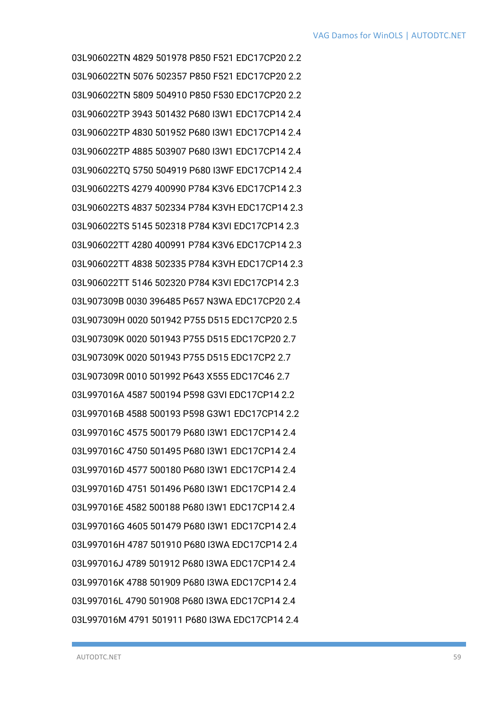03L906022TN 4829 501978 P850 F521 EDC17CP20 2.2 03L906022TN 5076 502357 P850 F521 EDC17CP20 2.2 03L906022TN 5809 504910 P850 F530 EDC17CP20 2.2 03L906022TP 3943 501432 P680 I3W1 EDC17CP14 2.4 03L906022TP 4830 501952 P680 I3W1 EDC17CP14 2.4 03L906022TP 4885 503907 P680 I3W1 EDC17CP14 2.4 03L906022TQ 5750 504919 P680 I3WF EDC17CP14 2.4 03L906022TS 4279 400990 P784 K3V6 EDC17CP14 2.3 03L906022TS 4837 502334 P784 K3VH EDC17CP14 2.3 03L906022TS 5145 502318 P784 K3VI EDC17CP14 2.3 03L906022TT 4280 400991 P784 K3V6 EDC17CP14 2.3 03L906022TT 4838 502335 P784 K3VH EDC17CP14 2.3 03L906022TT 5146 502320 P784 K3VI EDC17CP14 2.3 03L907309B 0030 396485 P657 N3WA EDC17CP20 2.4 03L907309H 0020 501942 P755 D515 EDC17CP20 2.5 03L907309K 0020 501943 P755 D515 EDC17CP20 2.7 03L907309K 0020 501943 P755 D515 EDC17CP2 2.7 03L907309R 0010 501992 P643 X555 EDC17C46 2.7 03L997016A 4587 500194 P598 G3VI EDC17CP14 2.2 03L997016B 4588 500193 P598 G3W1 EDC17CP14 2.2 03L997016C 4575 500179 P680 I3W1 EDC17CP14 2.4 03L997016C 4750 501495 P680 I3W1 EDC17CP14 2.4 03L997016D 4577 500180 P680 I3W1 EDC17CP14 2.4 03L997016D 4751 501496 P680 I3W1 EDC17CP14 2.4 03L997016E 4582 500188 P680 I3W1 EDC17CP14 2.4 03L997016G 4605 501479 P680 I3W1 EDC17CP14 2.4 03L997016H 4787 501910 P680 I3WA EDC17CP14 2.4 03L997016J 4789 501912 P680 I3WA EDC17CP14 2.4 03L997016K 4788 501909 P680 I3WA EDC17CP14 2.4 03L997016L 4790 501908 P680 I3WA EDC17CP14 2.4 03L997016M 4791 501911 P680 I3WA EDC17CP14 2.4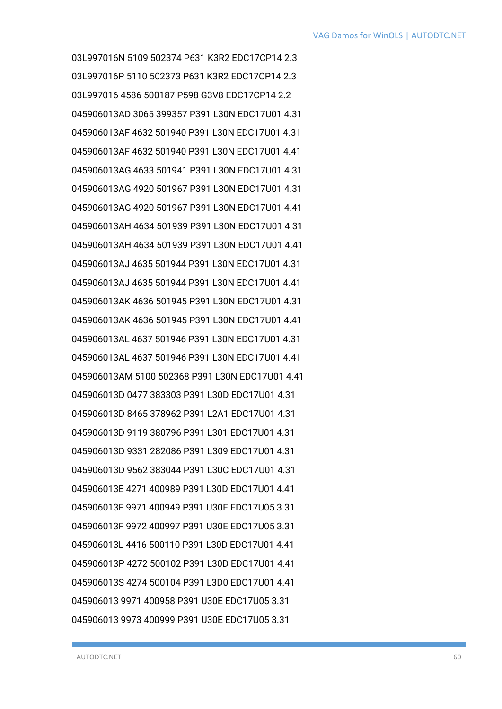03L997016N 5109 502374 P631 K3R2 EDC17CP14 2.3 03L997016P 5110 502373 P631 K3R2 EDC17CP14 2.3 03L997016 4586 500187 P598 G3V8 EDC17CP14 2.2 045906013AD 3065 399357 P391 L30N EDC17U01 4.31 045906013AF 4632 501940 P391 L30N EDC17U01 4.31 045906013AF 4632 501940 P391 L30N EDC17U01 4.41 045906013AG 4633 501941 P391 L30N EDC17U01 4.31 045906013AG 4920 501967 P391 L30N EDC17U01 4.31 045906013AG 4920 501967 P391 L30N EDC17U01 4.41 045906013AH 4634 501939 P391 L30N EDC17U01 4.31 045906013AH 4634 501939 P391 L30N EDC17U01 4.41 045906013AJ 4635 501944 P391 L30N EDC17U01 4.31 045906013AJ 4635 501944 P391 L30N EDC17U01 4.41 045906013AK 4636 501945 P391 L30N EDC17U01 4.31 045906013AK 4636 501945 P391 L30N EDC17U01 4.41 045906013AL 4637 501946 P391 L30N EDC17U01 4.31 045906013AL 4637 501946 P391 L30N EDC17U01 4.41 045906013AM 5100 502368 P391 L30N EDC17U01 4.41 045906013D 0477 383303 P391 L30D EDC17U01 4.31 045906013D 8465 378962 P391 L2A1 EDC17U01 4.31 045906013D 9119 380796 P391 L301 EDC17U01 4.31 045906013D 9331 282086 P391 L309 EDC17U01 4.31 045906013D 9562 383044 P391 L30C EDC17U01 4.31 045906013E 4271 400989 P391 L30D EDC17U01 4.41 045906013F 9971 400949 P391 U30E EDC17U05 3.31 045906013F 9972 400997 P391 U30E EDC17U05 3.31 045906013L 4416 500110 P391 L30D EDC17U01 4.41 045906013P 4272 500102 P391 L30D EDC17U01 4.41 045906013S 4274 500104 P391 L3D0 EDC17U01 4.41 045906013 9971 400958 P391 U30E EDC17U05 3.31 045906013 9973 400999 P391 U30E EDC17U05 3.31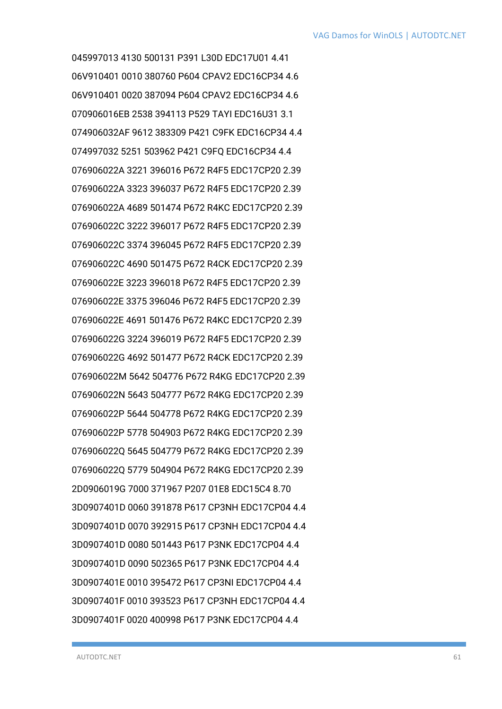045997013 4130 500131 P391 L30D EDC17U01 4.41 06V910401 0010 380760 P604 CPAV2 EDC16CP34 4.6 06V910401 0020 387094 P604 CPAV2 EDC16CP34 4.6 070906016EB 2538 394113 P529 TAYI EDC16U31 3.1 074906032AF 9612 383309 P421 C9FK EDC16CP34 4.4 074997032 5251 503962 P421 C9FQ EDC16CP34 4.4 076906022A 3221 396016 P672 R4F5 EDC17CP20 2.39 076906022A 3323 396037 P672 R4F5 EDC17CP20 2.39 076906022A 4689 501474 P672 R4KC EDC17CP20 2.39 076906022C 3222 396017 P672 R4F5 EDC17CP20 2.39 076906022C 3374 396045 P672 R4F5 EDC17CP20 2.39 076906022C 4690 501475 P672 R4CK EDC17CP20 2.39 076906022E 3223 396018 P672 R4F5 EDC17CP20 2.39 076906022E 3375 396046 P672 R4F5 EDC17CP20 2.39 076906022E 4691 501476 P672 R4KC EDC17CP20 2.39 076906022G 3224 396019 P672 R4F5 EDC17CP20 2.39 076906022G 4692 501477 P672 R4CK EDC17CP20 2.39 076906022M 5642 504776 P672 R4KG EDC17CP20 2.39 076906022N 5643 504777 P672 R4KG EDC17CP20 2.39 076906022P 5644 504778 P672 R4KG EDC17CP20 2.39 076906022P 5778 504903 P672 R4KG EDC17CP20 2.39 076906022Q 5645 504779 P672 R4KG EDC17CP20 2.39 076906022Q 5779 504904 P672 R4KG EDC17CP20 2.39 2D0906019G 7000 371967 P207 01E8 EDC15C4 8.70 3D0907401D 0060 391878 P617 CP3NH EDC17CP04 4.4 3D0907401D 0070 392915 P617 CP3NH EDC17CP04 4.4 3D0907401D 0080 501443 P617 P3NK EDC17CP04 4.4 3D0907401D 0090 502365 P617 P3NK EDC17CP04 4.4 3D0907401E 0010 395472 P617 CP3NI EDC17CP04 4.4 3D0907401F 0010 393523 P617 CP3NH EDC17CP04 4.4 3D0907401F 0020 400998 P617 P3NK EDC17CP04 4.4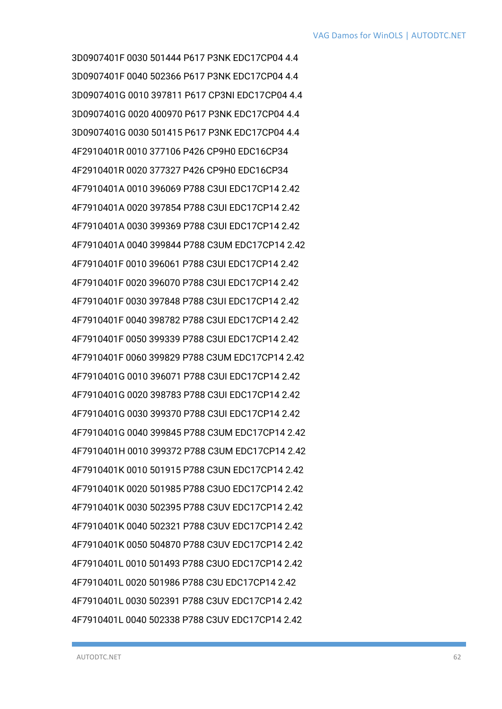3D0907401F 0030 501444 P617 P3NK EDC17CP04 4.4 3D0907401F 0040 502366 P617 P3NK EDC17CP04 4.4 3D0907401G 0010 397811 P617 CP3NI EDC17CP04 4.4 3D0907401G 0020 400970 P617 P3NK EDC17CP04 4.4 3D0907401G 0030 501415 P617 P3NK EDC17CP04 4.4 4F2910401R 0010 377106 P426 CP9H0 EDC16CP34 4F2910401R 0020 377327 P426 CP9H0 EDC16CP34 4F7910401A 0010 396069 P788 C3UI EDC17CP14 2.42 4F7910401A 0020 397854 P788 C3UI EDC17CP14 2.42 4F7910401A 0030 399369 P788 C3UI EDC17CP14 2.42 4F7910401A 0040 399844 P788 C3UM EDC17CP14 2.42 4F7910401F 0010 396061 P788 C3UI EDC17CP14 2.42 4F7910401F 0020 396070 P788 C3UI EDC17CP14 2.42 4F7910401F 0030 397848 P788 C3UI EDC17CP14 2.42 4F7910401F 0040 398782 P788 C3UI EDC17CP14 2.42 4F7910401F 0050 399339 P788 C3UI EDC17CP14 2.42 4F7910401F 0060 399829 P788 C3UM EDC17CP14 2.42 4F7910401G 0010 396071 P788 C3UI EDC17CP14 2.42 4F7910401G 0020 398783 P788 C3UI EDC17CP14 2.42 4F7910401G 0030 399370 P788 C3UI EDC17CP14 2.42 4F7910401G 0040 399845 P788 C3UM EDC17CP14 2.42 4F7910401H 0010 399372 P788 C3UM EDC17CP14 2.42 4F7910401K 0010 501915 P788 C3UN EDC17CP14 2.42 4F7910401K 0020 501985 P788 C3UO EDC17CP14 2.42 4F7910401K 0030 502395 P788 C3UV EDC17CP14 2.42 4F7910401K 0040 502321 P788 C3UV EDC17CP14 2.42 4F7910401K 0050 504870 P788 C3UV EDC17CP14 2.42 4F7910401L 0010 501493 P788 C3UO EDC17CP14 2.42 4F7910401L 0020 501986 P788 C3U EDC17CP14 2.42 4F7910401L 0030 502391 P788 C3UV EDC17CP14 2.42 4F7910401L 0040 502338 P788 C3UV EDC17CP14 2.42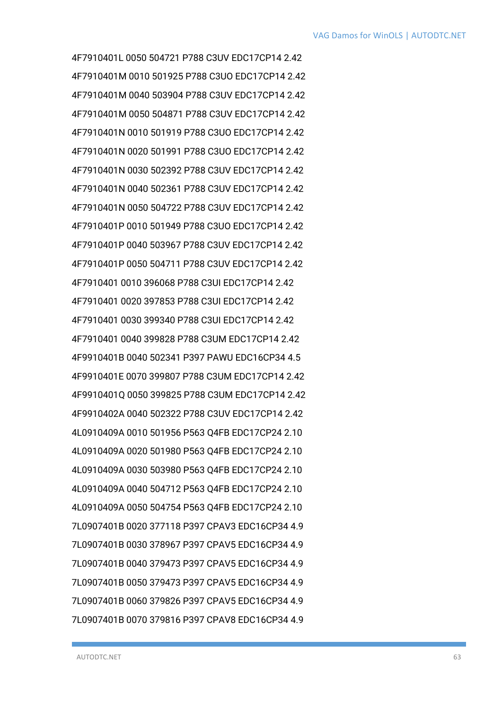4F7910401L 0050 504721 P788 C3UV EDC17CP14 2.42 4F7910401M 0010 501925 P788 C3UO EDC17CP14 2.42 4F7910401M 0040 503904 P788 C3UV EDC17CP14 2.42 4F7910401M 0050 504871 P788 C3UV EDC17CP14 2.42 4F7910401N 0010 501919 P788 C3UO EDC17CP14 2.42 4F7910401N 0020 501991 P788 C3UO EDC17CP14 2.42 4F7910401N 0030 502392 P788 C3UV EDC17CP14 2.42 4F7910401N 0040 502361 P788 C3UV EDC17CP14 2.42 4F7910401N 0050 504722 P788 C3UV EDC17CP14 2.42 4F7910401P 0010 501949 P788 C3UO EDC17CP14 2.42 4F7910401P 0040 503967 P788 C3UV EDC17CP14 2.42 4F7910401P 0050 504711 P788 C3UV EDC17CP14 2.42 4F7910401 0010 396068 P788 C3UI EDC17CP14 2.42 4F7910401 0020 397853 P788 C3UI EDC17CP14 2.42 4F7910401 0030 399340 P788 C3UI EDC17CP14 2.42 4F7910401 0040 399828 P788 C3UM EDC17CP14 2.42 4F9910401B 0040 502341 P397 PAWU EDC16CP34 4.5 4F9910401E 0070 399807 P788 C3UM EDC17CP14 2.42 4F9910401Q 0050 399825 P788 C3UM EDC17CP14 2.42 4F9910402A 0040 502322 P788 C3UV EDC17CP14 2.42 4L0910409A 0010 501956 P563 Q4FB EDC17CP24 2.10 4L0910409A 0020 501980 P563 Q4FB EDC17CP24 2.10 4L0910409A 0030 503980 P563 Q4FB EDC17CP24 2.10 4L0910409A 0040 504712 P563 Q4FB EDC17CP24 2.10 4L0910409A 0050 504754 P563 Q4FB EDC17CP24 2.10 7L0907401B 0020 377118 P397 CPAV3 EDC16CP34 4.9 7L0907401B 0030 378967 P397 CPAV5 EDC16CP34 4.9 7L0907401B 0040 379473 P397 CPAV5 EDC16CP34 4.9 7L0907401B 0050 379473 P397 CPAV5 EDC16CP34 4.9 7L0907401B 0060 379826 P397 CPAV5 EDC16CP34 4.9 7L0907401B 0070 379816 P397 CPAV8 EDC16CP34 4.9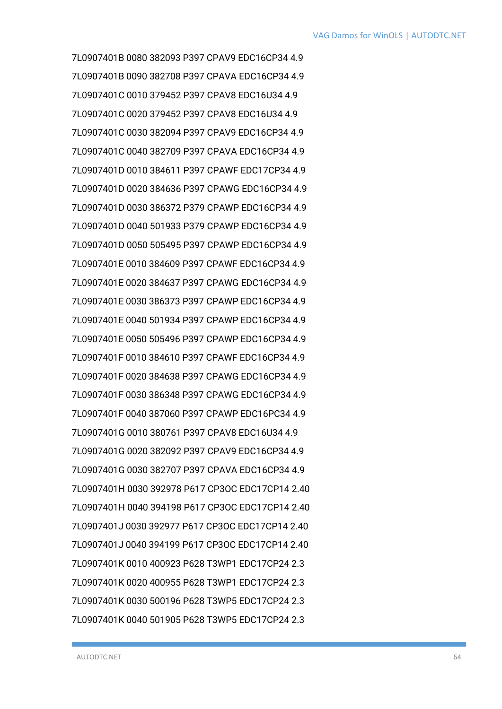7L0907401B 0080 382093 P397 CPAV9 EDC16CP34 4.9 7L0907401B 0090 382708 P397 CPAVA EDC16CP34 4.9 7L0907401C 0010 379452 P397 CPAV8 EDC16U34 4.9 7L0907401C 0020 379452 P397 CPAV8 EDC16U34 4.9 7L0907401C 0030 382094 P397 CPAV9 EDC16CP34 4.9 7L0907401C 0040 382709 P397 CPAVA EDC16CP34 4.9 7L0907401D 0010 384611 P397 CPAWF EDC17CP34 4.9 7L0907401D 0020 384636 P397 CPAWG EDC16CP34 4.9 7L0907401D 0030 386372 P379 CPAWP EDC16CP34 4.9 7L0907401D 0040 501933 P379 CPAWP EDC16CP34 4.9 7L0907401D 0050 505495 P397 CPAWP EDC16CP34 4.9 7L0907401E 0010 384609 P397 CPAWF EDC16CP34 4.9 7L0907401E 0020 384637 P397 CPAWG EDC16CP34 4.9 7L0907401E 0030 386373 P397 CPAWP EDC16CP34 4.9 7L0907401E 0040 501934 P397 CPAWP EDC16CP34 4.9 7L0907401E 0050 505496 P397 CPAWP EDC16CP34 4.9 7L0907401F 0010 384610 P397 CPAWF EDC16CP34 4.9 7L0907401F 0020 384638 P397 CPAWG EDC16CP34 4.9 7L0907401F 0030 386348 P397 CPAWG EDC16CP34 4.9 7L0907401F 0040 387060 P397 CPAWP EDC16PC34 4.9 7L0907401G 0010 380761 P397 CPAV8 EDC16U34 4.9 7L0907401G 0020 382092 P397 CPAV9 EDC16CP34 4.9 7L0907401G 0030 382707 P397 CPAVA EDC16CP34 4.9 7L0907401H 0030 392978 P617 CP3OC EDC17CP14 2.40 7L0907401H 0040 394198 P617 CP3OC EDC17CP14 2.40 7L0907401J 0030 392977 P617 CP3OC EDC17CP14 2.40 7L0907401J 0040 394199 P617 CP3OC EDC17CP14 2.40 7L0907401K 0010 400923 P628 T3WP1 EDC17CP24 2.3 7L0907401K 0020 400955 P628 T3WP1 EDC17CP24 2.3 7L0907401K 0030 500196 P628 T3WP5 EDC17CP24 2.3 7L0907401K 0040 501905 P628 T3WP5 EDC17CP24 2.3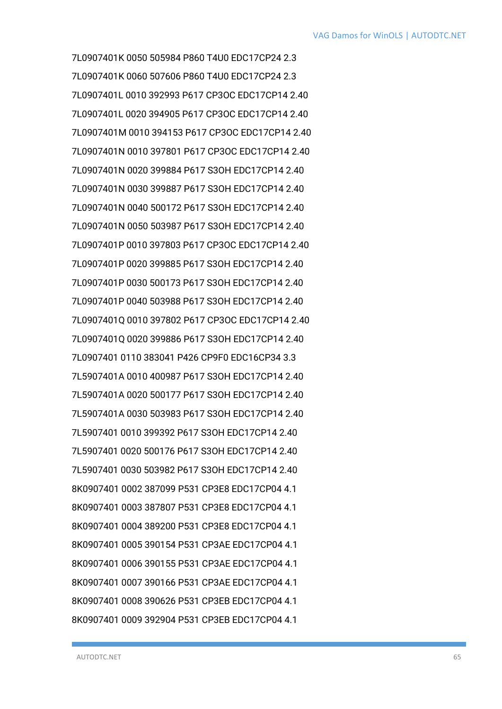7L0907401K 0050 505984 P860 T4U0 EDC17CP24 2.3 7L0907401K 0060 507606 P860 T4U0 EDC17CP24 2.3 7L0907401L 0010 392993 P617 CP3OC EDC17CP14 2.40 7L0907401L 0020 394905 P617 CP3OC EDC17CP14 2.40 7L0907401M 0010 394153 P617 CP3OC EDC17CP14 2.40 7L0907401N 0010 397801 P617 CP3OC EDC17CP14 2.40 7L0907401N 0020 399884 P617 S3OH EDC17CP14 2.40 7L0907401N 0030 399887 P617 S3OH EDC17CP14 2.40 7L0907401N 0040 500172 P617 S3OH EDC17CP14 2.40 7L0907401N 0050 503987 P617 S3OH EDC17CP14 2.40 7L0907401P 0010 397803 P617 CP3OC EDC17CP14 2.40 7L0907401P 0020 399885 P617 S3OH EDC17CP14 2.40 7L0907401P 0030 500173 P617 S3OH EDC17CP14 2.40 7L0907401P 0040 503988 P617 S3OH EDC17CP14 2.40 7L0907401Q 0010 397802 P617 CP3OC EDC17CP14 2.40 7L0907401Q 0020 399886 P617 S3OH EDC17CP14 2.40 7L0907401 0110 383041 P426 CP9F0 EDC16CP34 3.3 7L5907401A 0010 400987 P617 S3OH EDC17CP14 2.40 7L5907401A 0020 500177 P617 S3OH EDC17CP14 2.40 7L5907401A 0030 503983 P617 S3OH EDC17CP14 2.40 7L5907401 0010 399392 P617 S3OH EDC17CP14 2.40 7L5907401 0020 500176 P617 S3OH EDC17CP14 2.40 7L5907401 0030 503982 P617 S3OH EDC17CP14 2.40 8K0907401 0002 387099 P531 CP3E8 EDC17CP04 4.1 8K0907401 0003 387807 P531 CP3E8 EDC17CP04 4.1 8K0907401 0004 389200 P531 CP3E8 EDC17CP04 4.1 8K0907401 0005 390154 P531 CP3AE EDC17CP04 4.1 8K0907401 0006 390155 P531 CP3AE EDC17CP04 4.1 8K0907401 0007 390166 P531 CP3AE EDC17CP04 4.1 8K0907401 0008 390626 P531 CP3EB EDC17CP04 4.1 8K0907401 0009 392904 P531 CP3EB EDC17CP04 4.1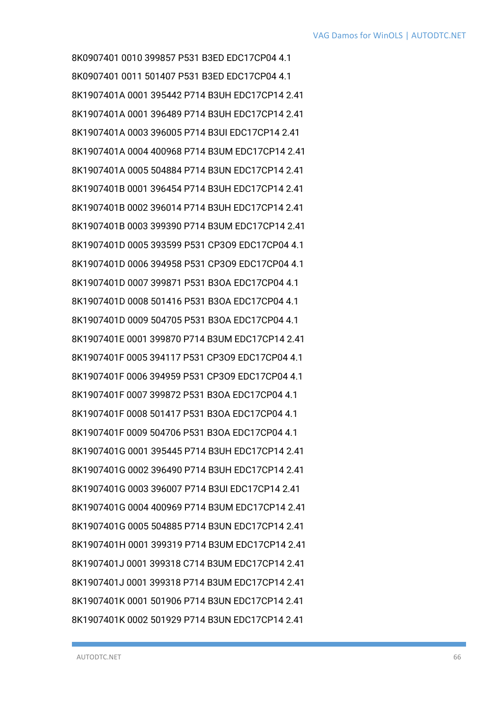8K0907401 0010 399857 P531 B3ED EDC17CP04 4.1 8K0907401 0011 501407 P531 B3ED EDC17CP04 4.1 8K1907401A 0001 395442 P714 B3UH EDC17CP14 2.41 8K1907401A 0001 396489 P714 B3UH EDC17CP14 2.41 8K1907401A 0003 396005 P714 B3UI EDC17CP14 2.41 8K1907401A 0004 400968 P714 B3UM EDC17CP14 2.41 8K1907401A 0005 504884 P714 B3UN EDC17CP14 2.41 8K1907401B 0001 396454 P714 B3UH EDC17CP14 2.41 8K1907401B 0002 396014 P714 B3UH EDC17CP14 2.41 8K1907401B 0003 399390 P714 B3UM EDC17CP14 2.41 8K1907401D 0005 393599 P531 CP3O9 EDC17CP04 4.1 8K1907401D 0006 394958 P531 CP3O9 EDC17CP04 4.1 8K1907401D 0007 399871 P531 B3OA EDC17CP04 4.1 8K1907401D 0008 501416 P531 B3OA EDC17CP04 4.1 8K1907401D 0009 504705 P531 B3OA EDC17CP04 4.1 8K1907401E 0001 399870 P714 B3UM EDC17CP14 2.41 8K1907401F 0005 394117 P531 CP3O9 EDC17CP04 4.1 8K1907401F 0006 394959 P531 CP3O9 EDC17CP04 4.1 8K1907401F 0007 399872 P531 B3OA EDC17CP04 4.1 8K1907401F 0008 501417 P531 B3OA EDC17CP04 4.1 8K1907401F 0009 504706 P531 B3OA EDC17CP04 4.1 8K1907401G 0001 395445 P714 B3UH EDC17CP14 2.41 8K1907401G 0002 396490 P714 B3UH EDC17CP14 2.41 8K1907401G 0003 396007 P714 B3UI EDC17CP14 2.41 8K1907401G 0004 400969 P714 B3UM EDC17CP14 2.41 8K1907401G 0005 504885 P714 B3UN EDC17CP14 2.41 8K1907401H 0001 399319 P714 B3UM EDC17CP14 2.41 8K1907401J 0001 399318 C714 B3UM EDC17CP14 2.41 8K1907401J 0001 399318 P714 B3UM EDC17CP14 2.41 8K1907401K 0001 501906 P714 B3UN EDC17CP14 2.41 8K1907401K 0002 501929 P714 B3UN EDC17CP14 2.41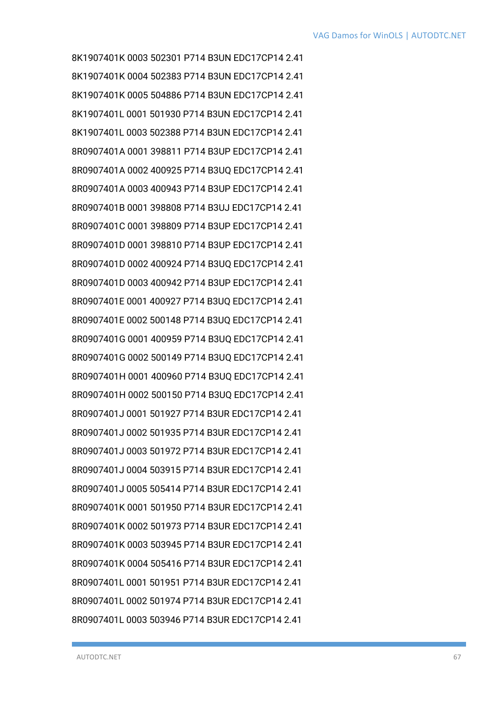8K1907401K 0003 502301 P714 B3UN EDC17CP14 2.41 8K1907401K 0004 502383 P714 B3UN EDC17CP14 2.41 8K1907401K 0005 504886 P714 B3UN EDC17CP14 2.41 8K1907401L 0001 501930 P714 B3UN EDC17CP14 2.41 8K1907401L 0003 502388 P714 B3UN EDC17CP14 2.41 8R0907401A 0001 398811 P714 B3UP EDC17CP14 2.41 8R0907401A 0002 400925 P714 B3UQ EDC17CP14 2.41 8R0907401A 0003 400943 P714 B3UP EDC17CP14 2.41 8R0907401B 0001 398808 P714 B3UJ EDC17CP14 2.41 8R0907401C 0001 398809 P714 B3UP EDC17CP14 2.41 8R0907401D 0001 398810 P714 B3UP EDC17CP14 2.41 8R0907401D 0002 400924 P714 B3UQ EDC17CP14 2.41 8R0907401D 0003 400942 P714 B3UP EDC17CP14 2.41 8R0907401E 0001 400927 P714 B3UQ EDC17CP14 2.41 8R0907401E 0002 500148 P714 B3UQ EDC17CP14 2.41 8R0907401G 0001 400959 P714 B3UQ EDC17CP14 2.41 8R0907401G 0002 500149 P714 B3UQ EDC17CP14 2.41 8R0907401H 0001 400960 P714 B3UQ EDC17CP14 2.41 8R0907401H 0002 500150 P714 B3UQ EDC17CP14 2.41 8R0907401J 0001 501927 P714 B3UR EDC17CP14 2.41 8R0907401J 0002 501935 P714 B3UR EDC17CP14 2.41 8R0907401J 0003 501972 P714 B3UR EDC17CP14 2.41 8R0907401J 0004 503915 P714 B3UR EDC17CP14 2.41 8R0907401J 0005 505414 P714 B3UR EDC17CP14 2.41 8R0907401K 0001 501950 P714 B3UR EDC17CP14 2.41 8R0907401K 0002 501973 P714 B3UR EDC17CP14 2.41 8R0907401K 0003 503945 P714 B3UR EDC17CP14 2.41 8R0907401K 0004 505416 P714 B3UR EDC17CP14 2.41 8R0907401L 0001 501951 P714 B3UR EDC17CP14 2.41 8R0907401L 0002 501974 P714 B3UR EDC17CP14 2.41 8R0907401L 0003 503946 P714 B3UR EDC17CP14 2.41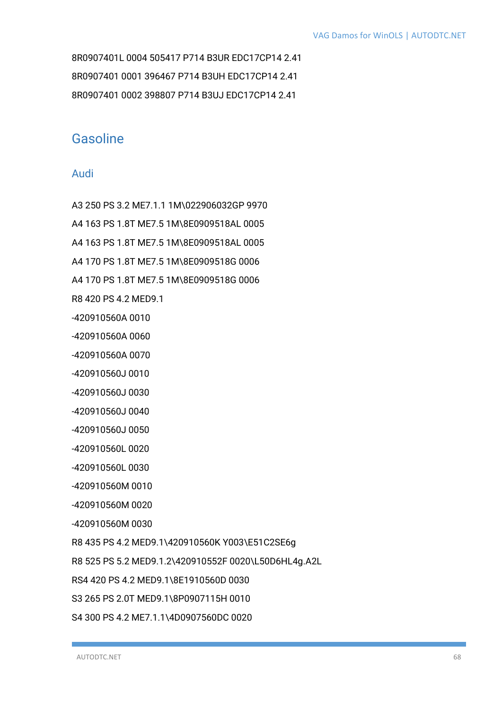8R0907401L 0004 505417 P714 B3UR EDC17CP14 2.41 8R0907401 0001 396467 P714 B3UH EDC17CP14 2.41 8R0907401 0002 398807 P714 B3UJ EDC17CP14 2.41

## Gasoline

### Audi

A3 250 PS 3.2 ME7.1.1 1M\022906032GP 9970 A4 163 PS 1.8T ME7.5 1M\8E0909518AL 0005 A4 163 PS 1.8T ME7.5 1M\8E0909518AL 0005 A4 170 PS 1.8T ME7.5 1M\8E0909518G 0006 A4 170 PS 1.8T ME7.5 1M\8E0909518G 0006 R8 420 PS 4.2 MED9.1 -420910560A 0010 -420910560A 0060 -420910560A 0070 -420910560J 0010 -420910560J 0030 -420910560J 0040 -420910560J 0050 -420910560L 0020 -420910560L 0030 -420910560M 0010 -420910560M 0020 -420910560M 0030 R8 435 PS 4.2 MED9.1\420910560K Y003\E51C2SE6g R8 525 PS 5.2 MED9.1.2\420910552F 0020\L50D6HL4g.A2L RS4 420 PS 4.2 MED9.1\8E1910560D 0030 S3 265 PS 2.0T MED9.1\8P0907115H 0010

S4 300 PS 4.2 ME7.1.1\4D0907560DC 0020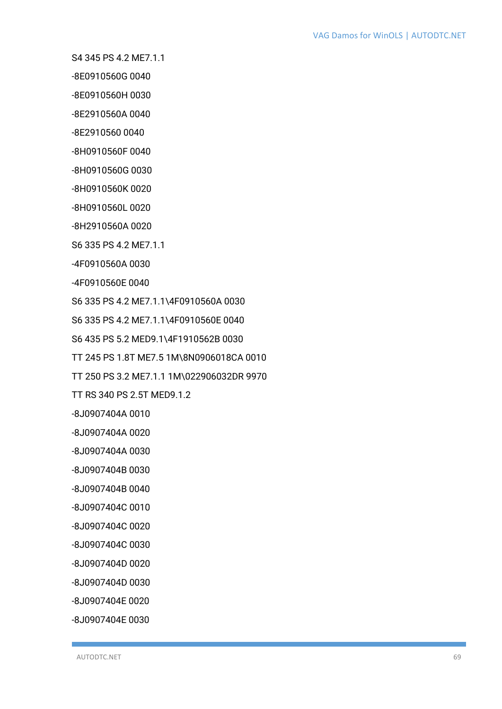S4 345 PS 4.2 ME7.1.1

-8E0910560G 0040

-8E0910560H 0030

-8E2910560A 0040

-8E2910560 0040

-8H0910560F 0040

-8H0910560G 0030

-8H0910560K 0020

-8H0910560L 0020

-8H2910560A 0020

S6 335 PS 4.2 ME7.1.1

-4F0910560A 0030

-4F0910560E 0040

S6 335 PS 4.2 ME7.1.1\4F0910560A 0030

S6 335 PS 4.2 ME7.1.1\4F0910560E 0040

S6 435 PS 5.2 MED9.1\4F1910562B 0030

TT 245 PS 1.8T ME7.5 1M\8N0906018CA 0010

TT 250 PS 3.2 ME7.1.1 1M\022906032DR 9970

TT RS 340 PS 2.5T MED9.1.2

-8J0907404A 0010

-8J0907404A 0020

-8J0907404A 0030

-8J0907404B 0030

-8J0907404B 0040

-8J0907404C 0010

-8J0907404C 0020

-8J0907404C 0030

-8J0907404D 0020

-8J0907404D 0030

-8J0907404E 0020

-8J0907404E 0030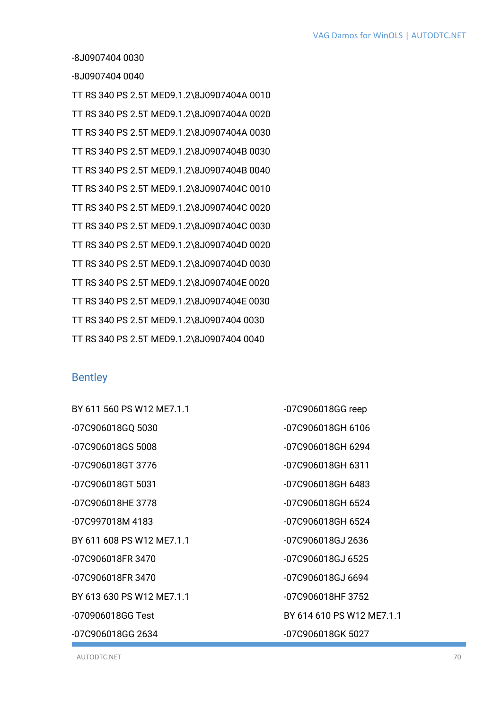-8J0907404 0030

-8J0907404 0040

TT RS 340 PS 2.5T MED9.1.2\8J0907404A 0010 TT RS 340 PS 2.5T MED9.1.2\8J0907404A 0020 TT RS 340 PS 2.5T MED9.1.2\8J0907404A 0030 TT RS 340 PS 2.5T MED9.1.2\8J0907404B 0030 TT RS 340 PS 2.5T MED9.1.2\8J0907404B 0040 TT RS 340 PS 2.5T MED9.1.2\8J0907404C 0010 TT RS 340 PS 2.5T MED9.1.2\8J0907404C 0020 TT RS 340 PS 2.5T MED9.1.2\8J0907404C 0030 TT RS 340 PS 2.5T MED9.1.2\8J0907404D 0020 TT RS 340 PS 2.5T MED9.1.2\8J0907404D 0030 TT RS 340 PS 2.5T MED9.1.2\8J0907404E 0020 TT RS 340 PS 2.5T MED9.1.2\8J0907404E 0030 TT RS 340 PS 2.5T MED9.1.2\8J0907404 0030 TT RS 340 PS 2.5T MED9.1.2\8J0907404 0040

### **Bentley**

BY 611 560 PS W12 ME7.1.1 -07C906018GQ 5030 -07C906018GS 5008 -07C906018GT 3776 -07C906018GT 5031 -07C906018HE 3778 -07C997018M 4183 BY 611 608 PS W12 ME7.1.1 -07C906018FR 3470 -07C906018FR 3470 BY 613 630 PS W12 MF7 11 -070906018GG Test -07C906018GG 2634 -07C906018GG reep -07C906018GH 6106 -07C906018GH 6294 -07C906018GH 6311 -07C906018GH 6483 -07C906018GH 6524 -07C906018GH 6524 -07C906018GJ 2636 -07C906018GJ 6525 -07C906018GJ 6694 -07C906018HF 3752 BY 614 610 PS W12 ME7.1.1 -07C906018GK 5027

AUTODTC.NET 70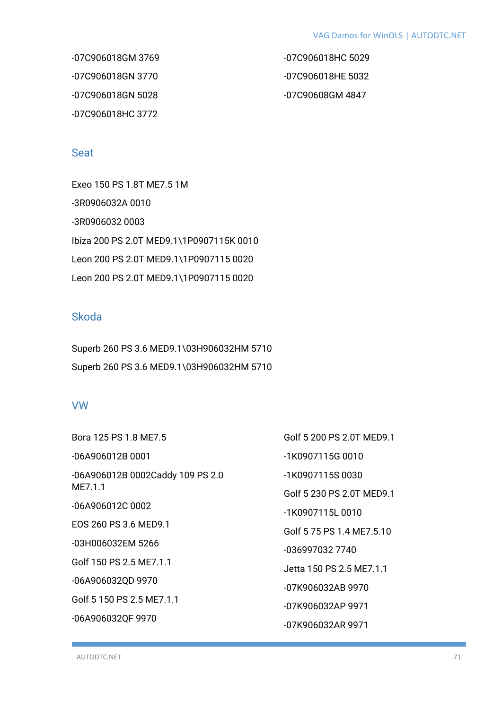-07C906018GM 3769 -07C906018GN 3770 -07C906018GN 5028 -07C906018HC 3772

-07C906018HC 5029 -07C906018HE 5032 -07C90608GM 4847

### **Seat**

Exeo 150 PS 1.8T ME7.5 1M -3R0906032A 0010 -3R0906032 0003 Ibiza 200 PS 2.0T MED9.1\1P0907115K 0010 Leon 200 PS 2.0T MED9.1\1P0907115 0020 Leon 200 PS 2.0T MED9.1\1P0907115 0020

### Skoda

Superb 260 PS 3.6 MED9.1\03H906032HM 5710 Superb 260 PS 3.6 MED9.1\03H906032HM 5710

### VW

| Golf 5 200 PS 2.0T MED9.1 |
|---------------------------|
| -1K0907115G 0010          |
| -1K0907115S0030           |
| Golf 5 230 PS 2.0T MED9.1 |
| -1K0907115L0010           |
| Golf 5 75 PS 1.4 ME7.5.10 |
| -036997032 7740           |
| Jetta 150 PS 2.5 ME7.1.1  |
| -07K906032AB 9970         |
| -07K906032AP 9971         |
| -07K906032AR 9971         |
|                           |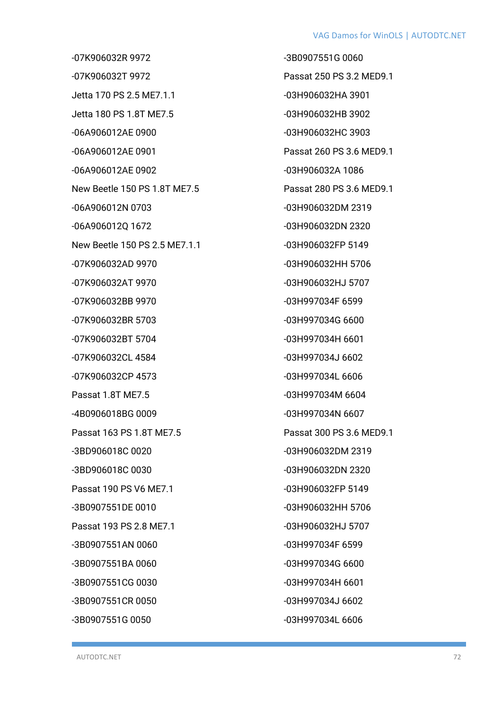#### VAG Damos for WinOLS | AUTODTC.NET

-07K906032R 9972 -07K906032T 9972 Jetta 170 PS 2.5 ME7.1.1 Jetta 180 PS 1.8T ME7.5 -06A906012AE 0900 -06A906012AE 0901 -06A906012AE 0902 New Beetle 150 PS 1.8T ME7.5 -06A906012N 0703 -06A906012Q 1672 New Beetle 150 PS 2.5 ME7.1.1 -07K906032AD 9970 -07K906032AT 9970 -07K906032BB 9970 -07K906032BR 5703 -07K906032BT 5704 -07K906032CL 4584 -07K906032CP 4573 Passat 1.8T ME7.5 -4B0906018BG 0009 Passat 163 PS 1.8T ME7.5 -3BD906018C 0020 -3BD906018C 0030 Passat 190 PS V6 ME7.1 -3B0907551DE 0010 Passat 193 PS 2.8 ME7.1 -3B0907551AN 0060 -3B0907551BA 0060 -3B0907551CG 0030 -3B0907551CR 0050 -3B0907551G 0050

-3B0907551G 0060 Passat 250 PS 3.2 MED9.1 -03H906032HA 3901 -03H906032HB 3902 -03H906032HC 3903 Passat 260 PS 3.6 MED9.1 -03H906032A 1086 Passat 280 PS 3.6 MED9.1 -03H906032DM 2319 -03H906032DN 2320 -03H906032FP 5149 -03H906032HH 5706 -03H906032HJ 5707 -03H997034F 6599 -03H997034G 6600 -03H997034H 6601 -03H997034J 6602 -03H997034L 6606 -03H997034M 6604 -03H997034N 6607 Passat 300 PS 3.6 MED9.1 -03H906032DM 2319 -03H906032DN 2320 -03H906032FP 5149 -03H906032HH 5706 -03H906032HJ 5707 -03H997034F 6599 -03H997034G 6600 -03H997034H 6601 -03H997034J 6602 -03H997034L 6606